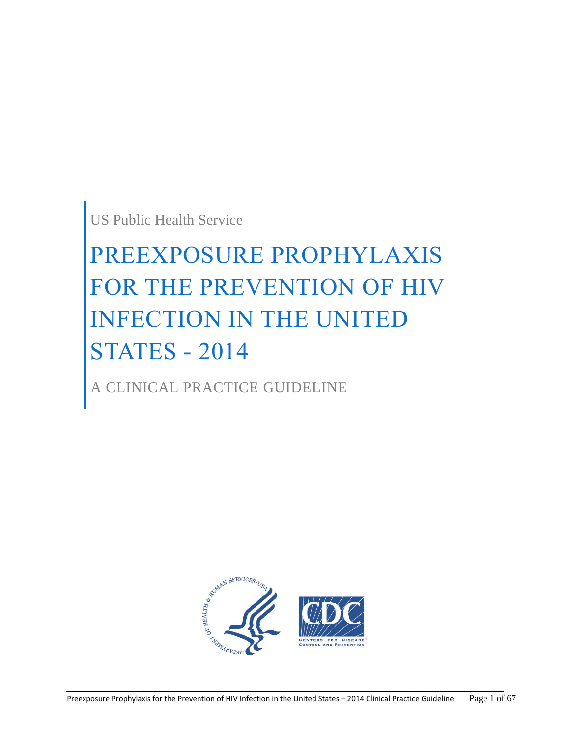US Public Health Service

# PREEXPOSURE PROPHYLAXIS FOR THE PREVENTION OF HIV INFECTION IN THE UNITED STATES - 2014

A CLINICAL PRACTICE GUIDELINE

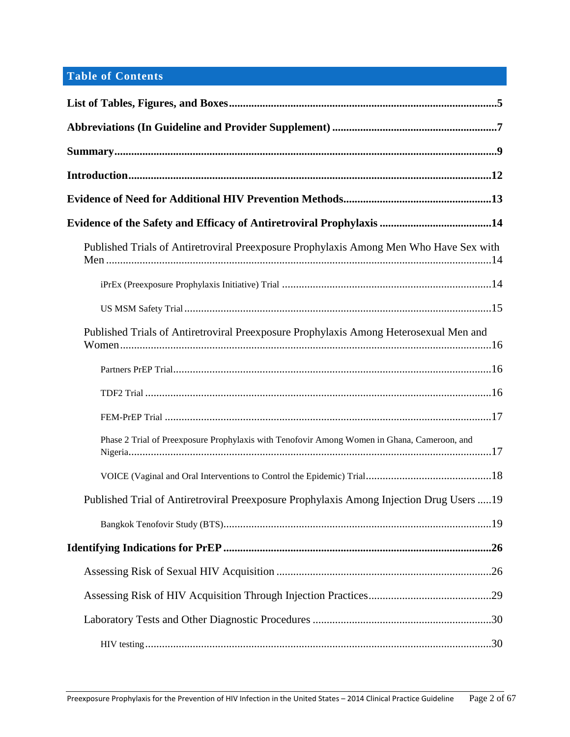# **Table of Contents**

| Published Trials of Antiretroviral Preexposure Prophylaxis Among Men Who Have Sex with      |
|---------------------------------------------------------------------------------------------|
|                                                                                             |
|                                                                                             |
| Published Trials of Antiretroviral Preexposure Prophylaxis Among Heterosexual Men and       |
|                                                                                             |
|                                                                                             |
|                                                                                             |
| Phase 2 Trial of Preexposure Prophylaxis with Tenofovir Among Women in Ghana, Cameroon, and |
|                                                                                             |
| Published Trial of Antiretroviral Preexposure Prophylaxis Among Injection Drug Users 19     |
|                                                                                             |
|                                                                                             |
|                                                                                             |
|                                                                                             |
|                                                                                             |
|                                                                                             |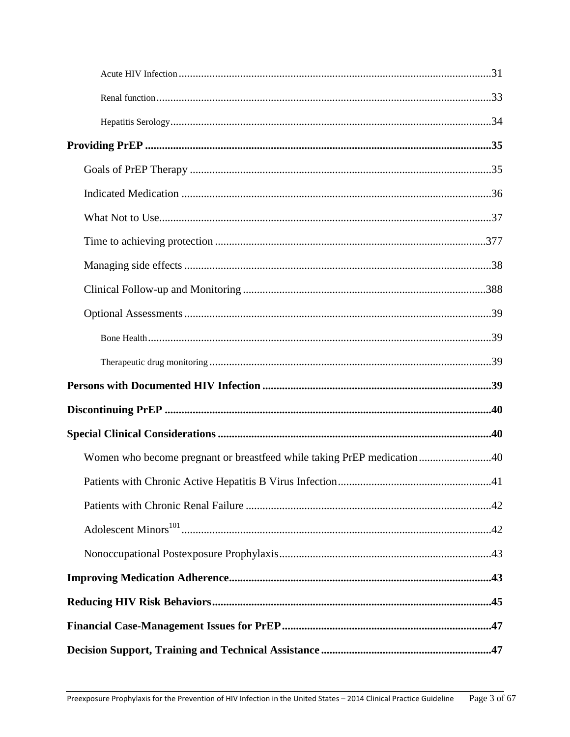| Women who become pregnant or breastfeed while taking PrEP medication40 |  |
|------------------------------------------------------------------------|--|
|                                                                        |  |
|                                                                        |  |
|                                                                        |  |
|                                                                        |  |
|                                                                        |  |
|                                                                        |  |
|                                                                        |  |
|                                                                        |  |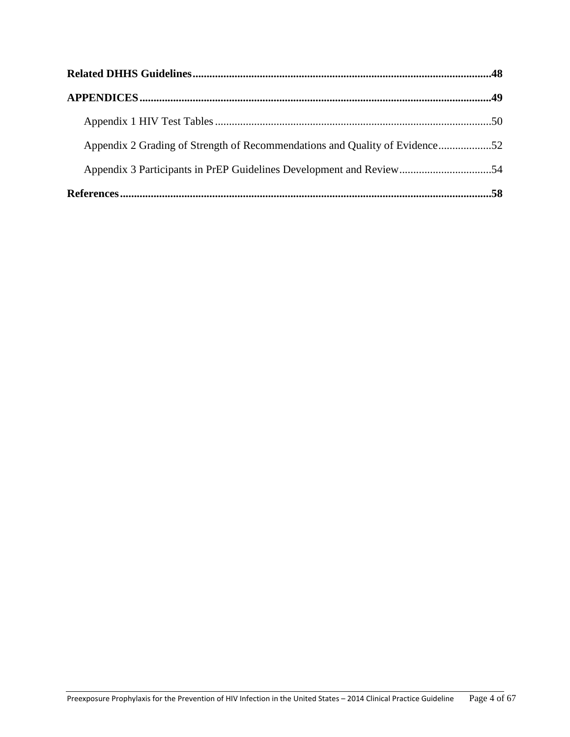| Appendix 2 Grading of Strength of Recommendations and Quality of Evidence52 |  |
|-----------------------------------------------------------------------------|--|
|                                                                             |  |
|                                                                             |  |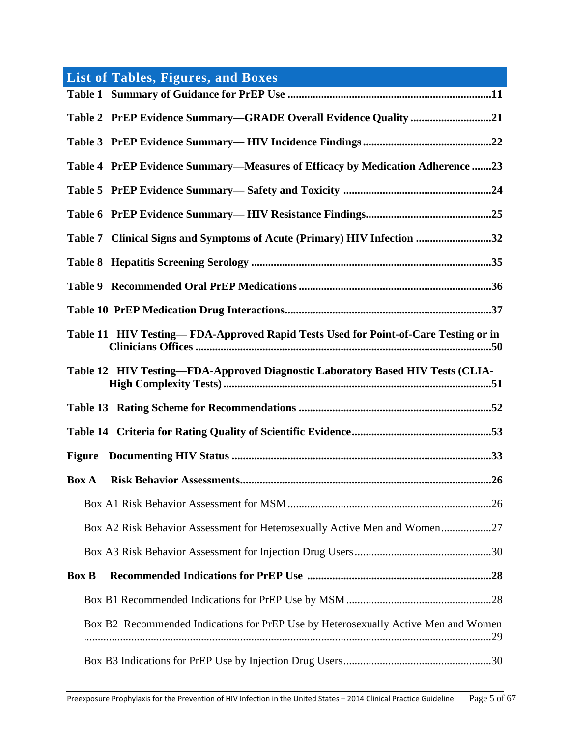<span id="page-4-0"></span>

| <b>List of Tables, Figures, and Boxes</b>                                                 |
|-------------------------------------------------------------------------------------------|
|                                                                                           |
| Table 2 PrEP Evidence Summary—GRADE Overall Evidence Quality 21                           |
|                                                                                           |
| Table 4 PrEP Evidence Summary—Measures of Efficacy by Medication Adherence 23             |
|                                                                                           |
|                                                                                           |
| Table 7 Clinical Signs and Symptoms of Acute (Primary) HIV Infection 32                   |
|                                                                                           |
|                                                                                           |
|                                                                                           |
| Table 11 HIV Testing-FDA-Approved Rapid Tests Used for Point-of-Care Testing or in        |
| Table 12 HIV Testing-FDA-Approved Diagnostic Laboratory Based HIV Tests (CLIA-            |
|                                                                                           |
|                                                                                           |
|                                                                                           |
| <b>Box A</b>                                                                              |
|                                                                                           |
| Box A2 Risk Behavior Assessment for Heterosexually Active Men and Women27                 |
|                                                                                           |
| <b>Box B</b>                                                                              |
|                                                                                           |
| Box B2 Recommended Indications for PrEP Use by Heterosexually Active Men and Women<br>.29 |
|                                                                                           |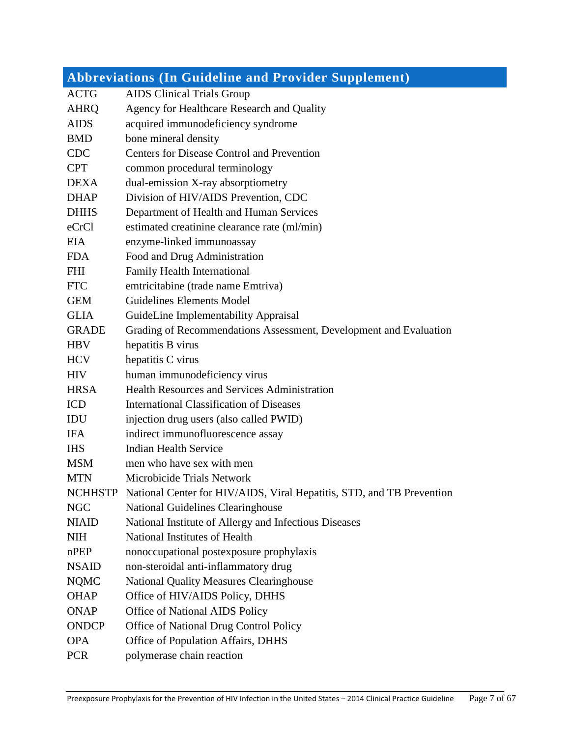<span id="page-6-0"></span>

|                | <b>Abbreviations (In Guideline and Provider Supplement)</b>           |
|----------------|-----------------------------------------------------------------------|
| <b>ACTG</b>    | <b>AIDS</b> Clinical Trials Group                                     |
| <b>AHRQ</b>    | Agency for Healthcare Research and Quality                            |
| <b>AIDS</b>    | acquired immunodeficiency syndrome                                    |
| <b>BMD</b>     | bone mineral density                                                  |
| <b>CDC</b>     | <b>Centers for Disease Control and Prevention</b>                     |
| <b>CPT</b>     | common procedural terminology                                         |
| <b>DEXA</b>    | dual-emission X-ray absorptiometry                                    |
| <b>DHAP</b>    | Division of HIV/AIDS Prevention, CDC                                  |
| <b>DHHS</b>    | Department of Health and Human Services                               |
| eCrCl          | estimated creatinine clearance rate (ml/min)                          |
| EIA            | enzyme-linked immunoassay                                             |
| <b>FDA</b>     | Food and Drug Administration                                          |
| <b>FHI</b>     | <b>Family Health International</b>                                    |
| <b>FTC</b>     | emtricitabine (trade name Emtriva)                                    |
| <b>GEM</b>     | <b>Guidelines Elements Model</b>                                      |
| <b>GLIA</b>    | GuideLine Implementability Appraisal                                  |
| <b>GRADE</b>   | Grading of Recommendations Assessment, Development and Evaluation     |
| <b>HBV</b>     | hepatitis B virus                                                     |
| <b>HCV</b>     | hepatitis C virus                                                     |
| <b>HIV</b>     | human immunodeficiency virus                                          |
| <b>HRSA</b>    | <b>Health Resources and Services Administration</b>                   |
| <b>ICD</b>     | <b>International Classification of Diseases</b>                       |
| <b>IDU</b>     | injection drug users (also called PWID)                               |
| <b>IFA</b>     | indirect immunofluorescence assay                                     |
| <b>IHS</b>     | <b>Indian Health Service</b>                                          |
| <b>MSM</b>     | men who have sex with men                                             |
| <b>MTN</b>     | Microbicide Trials Network                                            |
| <b>NCHHSTP</b> | National Center for HIV/AIDS, Viral Hepatitis, STD, and TB Prevention |
| <b>NGC</b>     | <b>National Guidelines Clearinghouse</b>                              |
| <b>NIAID</b>   | National Institute of Allergy and Infectious Diseases                 |
| <b>NIH</b>     | National Institutes of Health                                         |
| nPEP           | nonoccupational postexposure prophylaxis                              |
| <b>NSAID</b>   | non-steroidal anti-inflammatory drug                                  |
| <b>NQMC</b>    | <b>National Quality Measures Clearinghouse</b>                        |
| <b>OHAP</b>    | Office of HIV/AIDS Policy, DHHS                                       |
| <b>ONAP</b>    | <b>Office of National AIDS Policy</b>                                 |
| <b>ONDCP</b>   | Office of National Drug Control Policy                                |
| <b>OPA</b>     | Office of Population Affairs, DHHS                                    |
| <b>PCR</b>     | polymerase chain reaction                                             |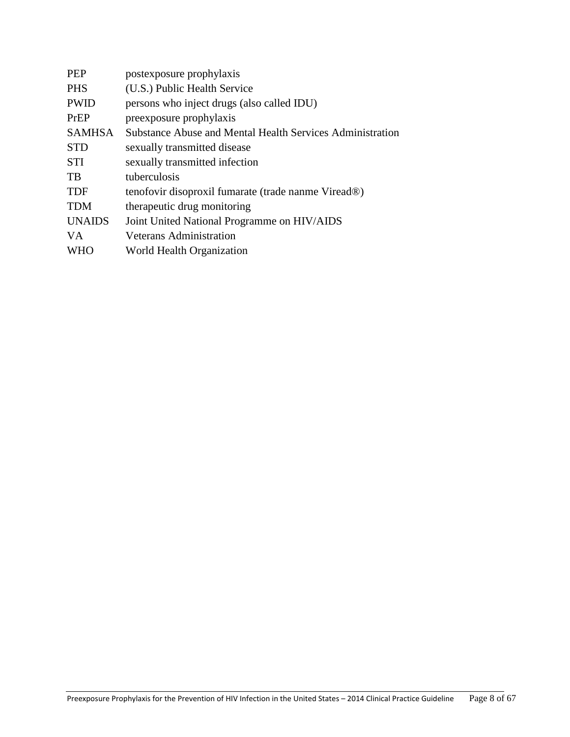| <b>PEP</b>    | postexposure prophylaxis                                         |
|---------------|------------------------------------------------------------------|
| <b>PHS</b>    | (U.S.) Public Health Service                                     |
| <b>PWID</b>   | persons who inject drugs (also called IDU)                       |
| PrEP          | preexposure prophylaxis                                          |
| <b>SAMHSA</b> | <b>Substance Abuse and Mental Health Services Administration</b> |
| <b>STD</b>    | sexually transmitted disease                                     |
| <b>STI</b>    | sexually transmitted infection                                   |
| TB            | tuberculosis                                                     |
| <b>TDF</b>    | tenofovir disoproxil fumarate (trade nanme Viread®)              |
| <b>TDM</b>    | therapeutic drug monitoring                                      |
| <b>UNAIDS</b> | Joint United National Programme on HIV/AIDS                      |
| <b>VA</b>     | <b>Veterans Administration</b>                                   |
| <b>WHO</b>    | World Health Organization                                        |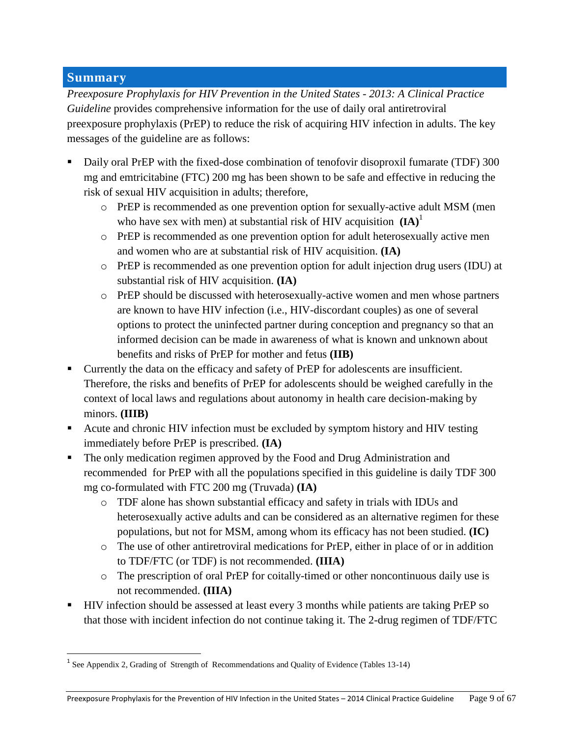# <span id="page-8-0"></span>**Summary**

 $\overline{\phantom{a}}$ 

*Preexposure Prophylaxis for HIV Prevention in the United States - 2013: A Clinical Practice Guideline* provides comprehensive information for the use of daily oral antiretroviral preexposure prophylaxis (PrEP) to reduce the risk of acquiring HIV infection in adults. The key messages of the guideline are as follows:

- Daily oral PrEP with the fixed-dose combination of tenofovir disoproxil fumarate (TDF) 300 mg and emtricitabine (FTC) 200 mg has been shown to be safe and effective in reducing the risk of sexual HIV acquisition in adults; therefore,
	- o PrEP is recommended as one prevention option for sexually-active adult MSM (men who have sex with men) at substantial risk of HIV acquisition  $(IA)^1$
	- o PrEP is recommended as one prevention option for adult heterosexually active men and women who are at substantial risk of HIV acquisition. **(IA)**
	- o PrEP is recommended as one prevention option for adult injection drug users (IDU) at substantial risk of HIV acquisition. **(IA)**
	- o PrEP should be discussed with heterosexually-active women and men whose partners are known to have HIV infection (i.e., HIV-discordant couples) as one of several options to protect the uninfected partner during conception and pregnancy so that an informed decision can be made in awareness of what is known and unknown about benefits and risks of PrEP for mother and fetus **(IIB)**
- Currently the data on the efficacy and safety of PrEP for adolescents are insufficient. Therefore, the risks and benefits of PrEP for adolescents should be weighed carefully in the context of local laws and regulations about autonomy in health care decision-making by minors. **(IIIB)**
- Acute and chronic HIV infection must be excluded by symptom history and HIV testing immediately before PrEP is prescribed. **(IA)**
- The only medication regimen approved by the Food and Drug Administration and recommended for PrEP with all the populations specified in this guideline is daily TDF 300 mg co-formulated with FTC 200 mg (Truvada) **(IA)**
	- o TDF alone has shown substantial efficacy and safety in trials with IDUs and heterosexually active adults and can be considered as an alternative regimen for these populations, but not for MSM, among whom its efficacy has not been studied. **(IC)**
	- o The use of other antiretroviral medications for PrEP, either in place of or in addition to TDF/FTC (or TDF) is not recommended. **(IIIA)**
	- o The prescription of oral PrEP for coitally-timed or other noncontinuous daily use is not recommended. **(IIIA)**
- HIV infection should be assessed at least every 3 months while patients are taking PrEP so that those with incident infection do not continue taking it. The 2-drug regimen of TDF/FTC

<sup>&</sup>lt;sup>1</sup> See Appendix 2, Grading of Strength of Recommendations and Quality of Evidence (Tables 13-14)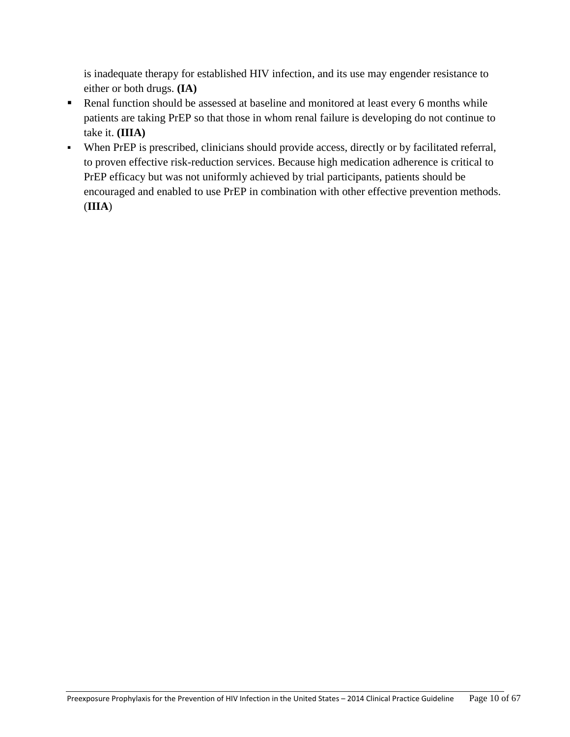is inadequate therapy for established HIV infection, and its use may engender resistance to either or both drugs. **(IA)**

- Renal function should be assessed at baseline and monitored at least every 6 months while patients are taking PrEP so that those in whom renal failure is developing do not continue to take it. **(IIIA)**
- When PrEP is prescribed, clinicians should provide access, directly or by facilitated referral, to proven effective risk-reduction services. Because high medication adherence is critical to PrEP efficacy but was not uniformly achieved by trial participants, patients should be encouraged and enabled to use PrEP in combination with other effective prevention methods. (**IIIA**)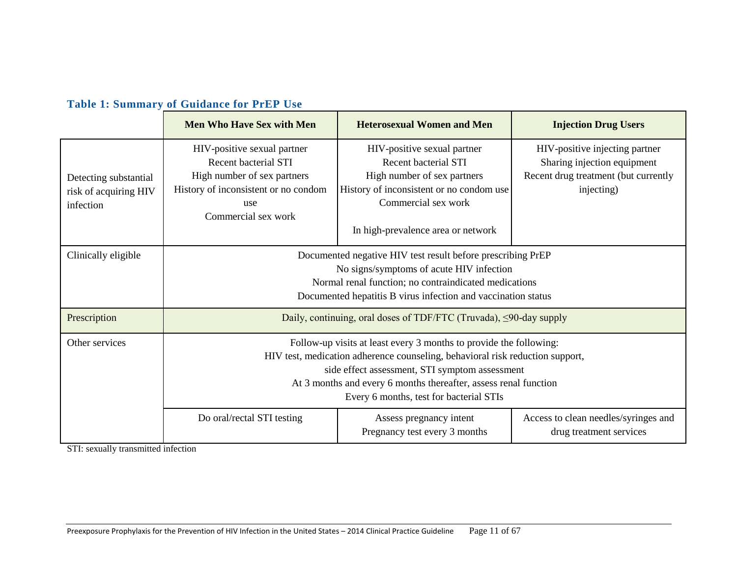| <b>Table 1: Summary of Guidance for PrEP Use</b> |  |  |  |  |  |  |
|--------------------------------------------------|--|--|--|--|--|--|
|--------------------------------------------------|--|--|--|--|--|--|

|                                                             | <b>Men Who Have Sex with Men</b>                                                                                                                                                                                                                                                                                                                                                                                                                                                             | <b>Heterosexual Women and Men</b> | <b>Injection Drug Users</b> |  |  |  |
|-------------------------------------------------------------|----------------------------------------------------------------------------------------------------------------------------------------------------------------------------------------------------------------------------------------------------------------------------------------------------------------------------------------------------------------------------------------------------------------------------------------------------------------------------------------------|-----------------------------------|-----------------------------|--|--|--|
| Detecting substantial<br>risk of acquiring HIV<br>infection | HIV-positive sexual partner<br>HIV-positive injecting partner<br>HIV-positive sexual partner<br><b>Recent bacterial STI</b><br><b>Recent bacterial STI</b><br>Sharing injection equipment<br>High number of sex partners<br>High number of sex partners<br>Recent drug treatment (but currently<br>History of inconsistent or no condom use<br>History of inconsistent or no condom<br>injecting)<br>Commercial sex work<br>use<br>Commercial sex work<br>In high-prevalence area or network |                                   |                             |  |  |  |
| Clinically eligible                                         | Documented negative HIV test result before prescribing PrEP<br>No signs/symptoms of acute HIV infection<br>Normal renal function; no contraindicated medications<br>Documented hepatitis B virus infection and vaccination status                                                                                                                                                                                                                                                            |                                   |                             |  |  |  |
| Prescription                                                | Daily, continuing, oral doses of TDF/FTC (Truvada), $\leq$ 90-day supply                                                                                                                                                                                                                                                                                                                                                                                                                     |                                   |                             |  |  |  |
| Other services                                              | Follow-up visits at least every 3 months to provide the following:<br>HIV test, medication adherence counseling, behavioral risk reduction support,<br>side effect assessment, STI symptom assessment<br>At 3 months and every 6 months thereafter, assess renal function<br>Every 6 months, test for bacterial STIs                                                                                                                                                                         |                                   |                             |  |  |  |
|                                                             | Do oral/rectal STI testing<br>Assess pregnancy intent<br>Access to clean needles/syringes and<br>Pregnancy test every 3 months<br>drug treatment services                                                                                                                                                                                                                                                                                                                                    |                                   |                             |  |  |  |

STI: sexually transmitted infection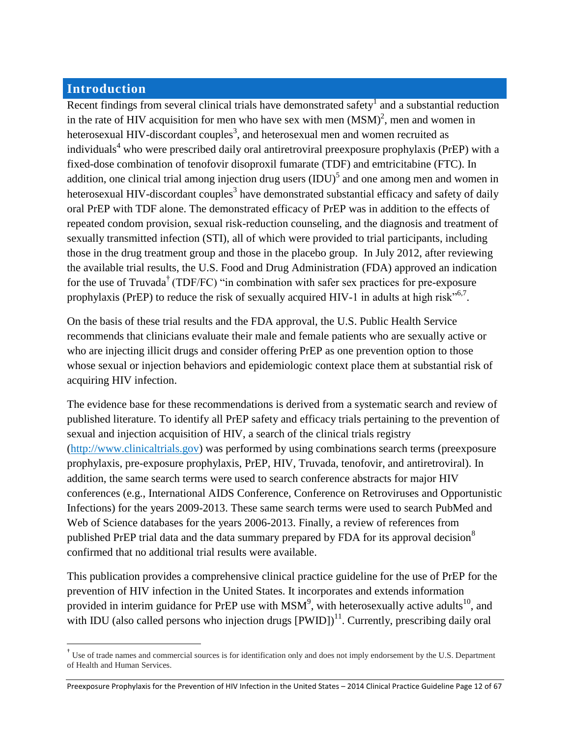# <span id="page-11-0"></span>**Introduction**

 $\overline{a}$ 

Recent findings from several clinical trials have demonstrated safety<sup>1</sup> and a substantial reduction in the rate of HIV acquisition for men who have sex with men  $(MSM)^2$ , men and women in heterosexual HIV-discordant couples<sup>3</sup>, and heterosexual men and women recruited as individuals<sup>4</sup> who were prescribed daily oral antiretroviral preexposure prophylaxis (PrEP) with a fixed-dose combination of tenofovir disoproxil fumarate (TDF) and emtricitabine (FTC). In addition, one clinical trial among injection drug users  $(IDU)^5$  and one among men and women in heterosexual HIV-discordant couples $^3$  have demonstrated substantial efficacy and safety of daily oral PrEP with TDF alone. The demonstrated efficacy of PrEP was in addition to the effects of repeated condom provision, sexual risk-reduction counseling, and the diagnosis and treatment of sexually transmitted infection (STI), all of which were provided to trial participants, including those in the drug treatment group and those in the placebo group. In July 2012, after reviewing the available trial results, the U.S. Food and Drug Administration (FDA) approved an indication for the use of Truvada<sup>†</sup> (TDF/FC) "in combination with safer sex practices for pre-exposure prophylaxis (PrEP) to reduce the risk of sexually acquired HIV-1 in adults at high risk<sup> $5, 6, 7$ </sup>.

On the basis of these trial results and the FDA approval, the U.S. Public Health Service recommends that clinicians evaluate their male and female patients who are sexually active or who are injecting illicit drugs and consider offering PrEP as one prevention option to those whose sexual or injection behaviors and epidemiologic context place them at substantial risk of acquiring HIV infection.

The evidence base for these recommendations is derived from a systematic search and review of published literature. To identify all PrEP safety and efficacy trials pertaining to the prevention of sexual and injection acquisition of HIV, a search of the clinical trials registry [\(http://www.clinicaltrials.gov\)](http://www.clinicaltrials.gov/) was performed by using combinations search terms (preexposure prophylaxis, pre-exposure prophylaxis, PrEP, HIV, Truvada, tenofovir, and antiretroviral). In addition, the same search terms were used to search conference abstracts for major HIV conferences (e.g., International AIDS Conference, Conference on Retroviruses and Opportunistic Infections) for the years 2009-2013. These same search terms were used to search PubMed and Web of Science databases for the years 2006-2013. Finally, a review of references from published PrEP trial data and the data summary prepared by FDA for its approval decision<sup>8</sup> confirmed that no additional trial results were available.

This publication provides a comprehensive clinical practice guideline for the use of PrEP for the prevention of HIV infection in the United States. It incorporates and extends information provided in interim guidance for PrEP use with  $MSM^9$ , with heterosexually active adults<sup>10</sup>, and with IDU (also called persons who injection drugs  $[PWD]$ )<sup>11</sup>. Currently, prescribing daily oral

<sup>&</sup>lt;sup>†</sup> Use of trade names and commercial sources is for identification only and does not imply endorsement by the U.S. Department of Health and Human Services.

Preexposure Prophylaxis for the Prevention of HIV Infection in the United States – 2014 Clinical Practice Guideline Page 12 of 67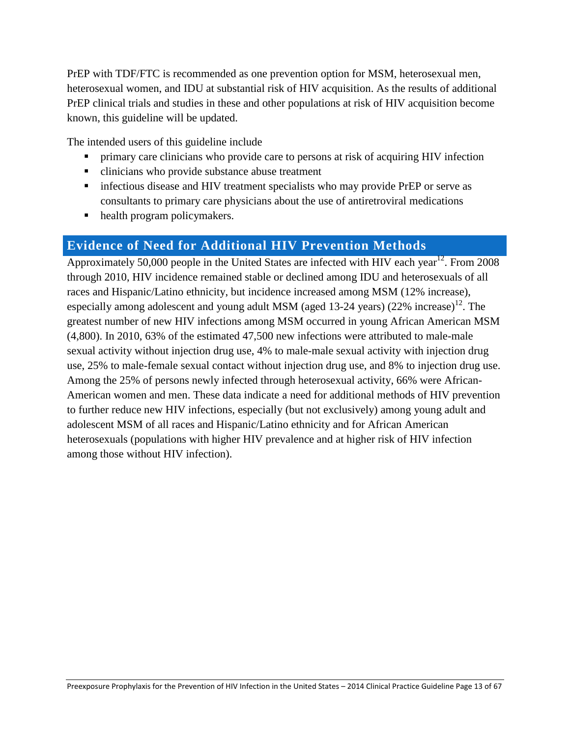PrEP with TDF/FTC is recommended as one prevention option for MSM, heterosexual men, heterosexual women, and IDU at substantial risk of HIV acquisition. As the results of additional PrEP clinical trials and studies in these and other populations at risk of HIV acquisition become known, this guideline will be updated.

The intended users of this guideline include

- **•** primary care clinicians who provide care to persons at risk of acquiring HIV infection
- clinicians who provide substance abuse treatment
- infectious disease and HIV treatment specialists who may provide PrEP or serve as consultants to primary care physicians about the use of antiretroviral medications
- health program policymakers.

# <span id="page-12-0"></span>**Evidence of Need for Additional HIV Prevention Methods**

Approximately 50,000 people in the United States are infected with HIV each year<sup>12</sup>. From 2008 through 2010, HIV incidence remained stable or declined among IDU and heterosexuals of all races and Hispanic/Latino ethnicity, but incidence increased among MSM (12% increase), especially among adolescent and young adult MSM (aged 13-24 years) (22% increase)<sup>12</sup>. The greatest number of new HIV infections among MSM occurred in young African American MSM (4,800). In 2010, 63% of the estimated 47,500 new infections were attributed to male-male sexual activity without injection drug use, 4% to male-male sexual activity with injection drug use, 25% to male-female sexual contact without injection drug use, and 8% to injection drug use. Among the 25% of persons newly infected through heterosexual activity, 66% were African-American women and men. These data indicate a need for additional methods of HIV prevention to further reduce new HIV infections, especially (but not exclusively) among young adult and adolescent MSM of all races and Hispanic/Latino ethnicity and for African American heterosexuals (populations with higher HIV prevalence and at higher risk of HIV infection among those without HIV infection).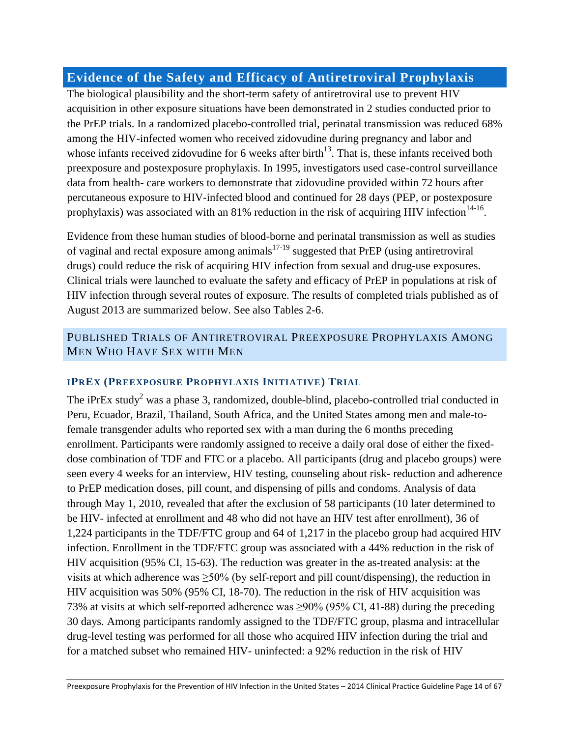# <span id="page-13-0"></span>**Evidence of the Safety and Efficacy of Antiretroviral Prophylaxis**

The biological plausibility and the short-term safety of antiretroviral use to prevent HIV acquisition in other exposure situations have been demonstrated in 2 studies conducted prior to the PrEP trials. In a randomized placebo-controlled trial, perinatal transmission was reduced 68% among the HIV-infected women who received zidovudine during pregnancy and labor and whose infants received zidovudine for 6 weeks after birth<sup>13</sup>. That is, these infants received both preexposure and postexposure prophylaxis. In 1995, investigators used case-control surveillance data from health- care workers to demonstrate that zidovudine provided within 72 hours after percutaneous exposure to HIV-infected blood and continued for 28 days (PEP, or postexposure prophylaxis) was associated with an 81% reduction in the risk of acquiring HIV infection<sup>14-16</sup>.

Evidence from these human studies of blood-borne and perinatal transmission as well as studies of vaginal and rectal exposure among animals<sup>17-19</sup> suggested that PrEP (using antiretroviral drugs) could reduce the risk of acquiring HIV infection from sexual and drug-use exposures. Clinical trials were launched to evaluate the safety and efficacy of PrEP in populations at risk of HIV infection through several routes of exposure. The results of completed trials published as of August 2013 are summarized below. See also Tables 2-6.

# <span id="page-13-1"></span>PUBLISHED TRIALS OF ANTIRETROVIRAL PREEXPOSURE PROPHYLAXIS AMONG MEN WHO HAVE SEX WITH MEN

#### <span id="page-13-2"></span>**IPREX (PREEXPOSURE PROPHYLAXIS INITIATIVE) TRIAL**

The  $iPrEx$  study<sup>2</sup> was a phase 3, randomized, double-blind, placebo-controlled trial conducted in Peru, Ecuador, Brazil, Thailand, South Africa, and the United States among men and male-tofemale transgender adults who reported sex with a man during the 6 months preceding enrollment. Participants were randomly assigned to receive a daily oral dose of either the fixeddose combination of TDF and FTC or a placebo. All participants (drug and placebo groups) were seen every 4 weeks for an interview, HIV testing, counseling about risk- reduction and adherence to PrEP medication doses, pill count, and dispensing of pills and condoms. Analysis of data through May 1, 2010, revealed that after the exclusion of 58 participants (10 later determined to be HIV- infected at enrollment and 48 who did not have an HIV test after enrollment), 36 of 1,224 participants in the TDF/FTC group and 64 of 1,217 in the placebo group had acquired HIV infection. Enrollment in the TDF/FTC group was associated with a 44% reduction in the risk of HIV acquisition (95% CI, 15-63). The reduction was greater in the as-treated analysis: at the visits at which adherence was  $\geq 50\%$  (by self-report and pill count/dispensing), the reduction in HIV acquisition was 50% (95% CI, 18-70). The reduction in the risk of HIV acquisition was 73% at visits at which self-reported adherence was ≥90% (95% CI, 41-88) during the preceding 30 days. Among participants randomly assigned to the TDF/FTC group, plasma and intracellular drug-level testing was performed for all those who acquired HIV infection during the trial and for a matched subset who remained HIV- uninfected: a 92% reduction in the risk of HIV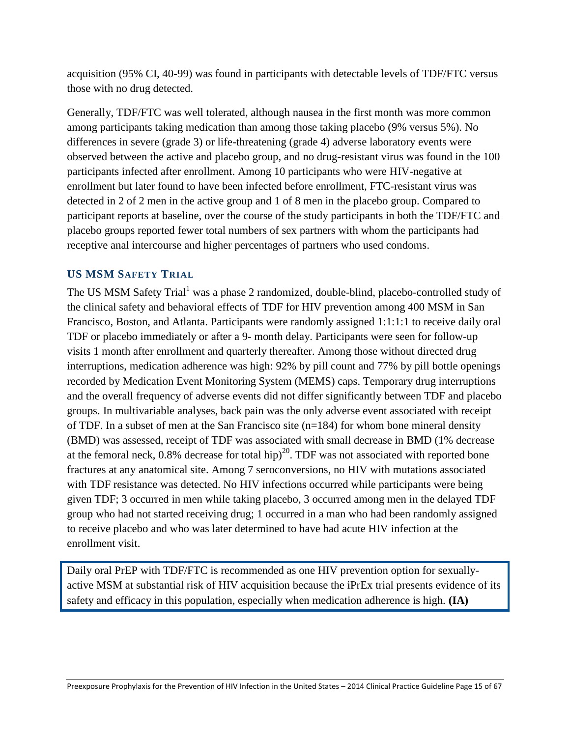acquisition (95% CI, 40-99) was found in participants with detectable levels of TDF/FTC versus those with no drug detected.

Generally, TDF/FTC was well tolerated, although nausea in the first month was more common among participants taking medication than among those taking placebo (9% versus 5%). No differences in severe (grade 3) or life-threatening (grade 4) adverse laboratory events were observed between the active and placebo group, and no drug-resistant virus was found in the 100 participants infected after enrollment. Among 10 participants who were HIV-negative at enrollment but later found to have been infected before enrollment, FTC-resistant virus was detected in 2 of 2 men in the active group and 1 of 8 men in the placebo group. Compared to participant reports at baseline, over the course of the study participants in both the TDF/FTC and placebo groups reported fewer total numbers of sex partners with whom the participants had receptive anal intercourse and higher percentages of partners who used condoms.

#### <span id="page-14-0"></span>**US MSM SAFETY TRIAL**

The US MSM Safety Trial<sup>1</sup> was a phase 2 randomized, double-blind, placebo-controlled study of the clinical safety and behavioral effects of TDF for HIV prevention among 400 MSM in San Francisco, Boston, and Atlanta. Participants were randomly assigned 1:1:1:1 to receive daily oral TDF or placebo immediately or after a 9- month delay. Participants were seen for follow-up visits 1 month after enrollment and quarterly thereafter. Among those without directed drug interruptions, medication adherence was high: 92% by pill count and 77% by pill bottle openings recorded by Medication Event Monitoring System (MEMS) caps. Temporary drug interruptions and the overall frequency of adverse events did not differ significantly between TDF and placebo groups. In multivariable analyses, back pain was the only adverse event associated with receipt of TDF. In a subset of men at the San Francisco site (n=184) for whom bone mineral density (BMD) was assessed, receipt of TDF was associated with small decrease in BMD (1% decrease at the femoral neck,  $0.8\%$  decrease for total hip)<sup>20</sup>. TDF was not associated with reported bone fractures at any anatomical site. Among 7 seroconversions, no HIV with mutations associated with TDF resistance was detected. No HIV infections occurred while participants were being given TDF; 3 occurred in men while taking placebo, 3 occurred among men in the delayed TDF group who had not started receiving drug; 1 occurred in a man who had been randomly assigned to receive placebo and who was later determined to have had acute HIV infection at the enrollment visit.

<span id="page-14-1"></span>Daily oral PrEP with TDF/FTC is recommended as one HIV prevention option for sexuallyactive MSM at substantial risk of HIV acquisition because the iPrEx trial presents evidence of its safety and efficacy in this population, especially when medication adherence is high. **(IA)**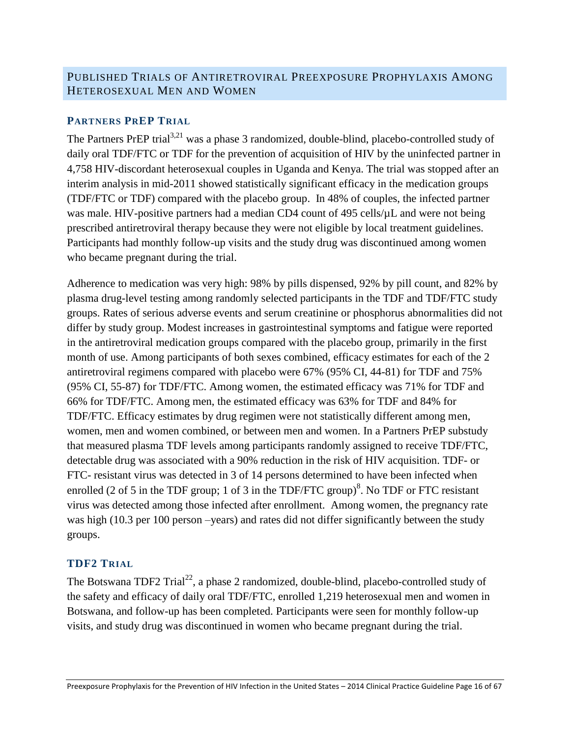# PUBLISHED TRIALS OF ANTIRETROVIRAL PREEXPOSURE PROPHYLAXIS AMONG HETEROSEXUAL MEN AND WOMEN

#### <span id="page-15-0"></span>**PARTNERS PREP TRIAL**

The Partners PrEP trial<sup>3,21</sup> was a phase 3 randomized, double-blind, placebo-controlled study of daily oral TDF/FTC or TDF for the prevention of acquisition of HIV by the uninfected partner in 4,758 HIV-discordant heterosexual couples in Uganda and Kenya. The trial was stopped after an interim analysis in mid-2011 showed statistically significant efficacy in the medication groups (TDF/FTC or TDF) compared with the placebo group. In 48% of couples, the infected partner was male. HIV-positive partners had a median CD4 count of 495 cells/ $\mu$ L and were not being prescribed antiretroviral therapy because they were not eligible by local treatment guidelines. Participants had monthly follow-up visits and the study drug was discontinued among women who became pregnant during the trial.

Adherence to medication was very high: 98% by pills dispensed, 92% by pill count, and 82% by plasma drug-level testing among randomly selected participants in the TDF and TDF/FTC study groups. Rates of serious adverse events and serum creatinine or phosphorus abnormalities did not differ by study group. Modest increases in gastrointestinal symptoms and fatigue were reported in the antiretroviral medication groups compared with the placebo group, primarily in the first month of use. Among participants of both sexes combined, efficacy estimates for each of the 2 antiretroviral regimens compared with placebo were 67% (95% CI, 44-81) for TDF and 75% (95% CI, 55-87) for TDF/FTC. Among women, the estimated efficacy was 71% for TDF and 66% for TDF/FTC. Among men, the estimated efficacy was 63% for TDF and 84% for TDF/FTC. Efficacy estimates by drug regimen were not statistically different among men, women, men and women combined, or between men and women. In a Partners PrEP substudy that measured plasma TDF levels among participants randomly assigned to receive TDF/FTC, detectable drug was associated with a 90% reduction in the risk of HIV acquisition. TDF- or FTC- resistant virus was detected in 3 of 14 persons determined to have been infected when enrolled (2 of 5 in the TDF group; 1 of 3 in the TDF/FTC group)<sup>8</sup>. No TDF or FTC resistant virus was detected among those infected after enrollment. Among women, the pregnancy rate was high (10.3 per 100 person –years) and rates did not differ significantly between the study groups.

#### <span id="page-15-1"></span>**TDF2 TRIAL**

The Botswana TDF2 Trial<sup>22</sup>, a phase 2 randomized, double-blind, placebo-controlled study of the safety and efficacy of daily oral TDF/FTC, enrolled 1,219 heterosexual men and women in Botswana, and follow-up has been completed. Participants were seen for monthly follow-up visits, and study drug was discontinued in women who became pregnant during the trial.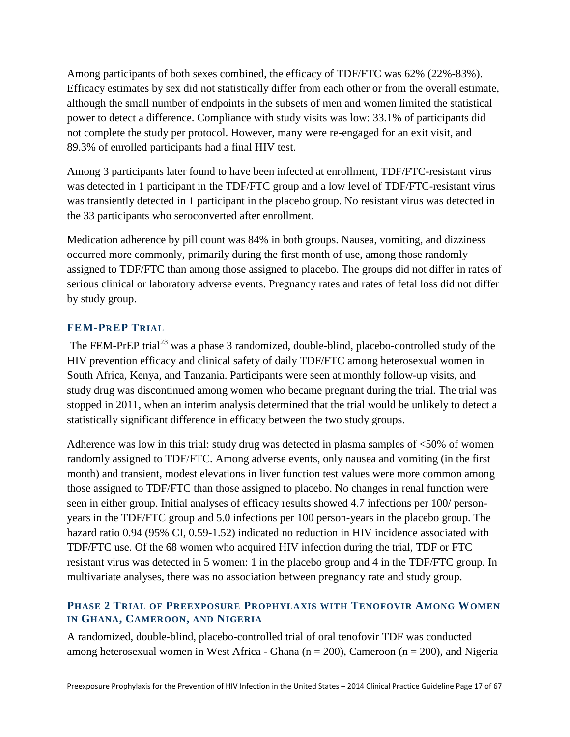Among participants of both sexes combined, the efficacy of TDF/FTC was 62% (22%-83%). Efficacy estimates by sex did not statistically differ from each other or from the overall estimate, although the small number of endpoints in the subsets of men and women limited the statistical power to detect a difference. Compliance with study visits was low: 33.1% of participants did not complete the study per protocol. However, many were re-engaged for an exit visit, and 89.3% of enrolled participants had a final HIV test.

Among 3 participants later found to have been infected at enrollment, TDF/FTC-resistant virus was detected in 1 participant in the TDF/FTC group and a low level of TDF/FTC-resistant virus was transiently detected in 1 participant in the placebo group. No resistant virus was detected in the 33 participants who seroconverted after enrollment.

Medication adherence by pill count was 84% in both groups. Nausea, vomiting, and dizziness occurred more commonly, primarily during the first month of use, among those randomly assigned to TDF/FTC than among those assigned to placebo. The groups did not differ in rates of serious clinical or laboratory adverse events. Pregnancy rates and rates of fetal loss did not differ by study group.

# <span id="page-16-0"></span>**FEM-PREP TRIAL**

The FEM-PrEP trial<sup>23</sup> was a phase 3 randomized, double-blind, placebo-controlled study of the HIV prevention efficacy and clinical safety of daily TDF/FTC among heterosexual women in South Africa, Kenya, and Tanzania. Participants were seen at monthly follow-up visits, and study drug was discontinued among women who became pregnant during the trial. The trial was stopped in 2011, when an interim analysis determined that the trial would be unlikely to detect a statistically significant difference in efficacy between the two study groups.

Adherence was low in this trial: study drug was detected in plasma samples of <50% of women randomly assigned to TDF/FTC. Among adverse events, only nausea and vomiting (in the first month) and transient, modest elevations in liver function test values were more common among those assigned to TDF/FTC than those assigned to placebo. No changes in renal function were seen in either group. Initial analyses of efficacy results showed 4.7 infections per 100/ personyears in the TDF/FTC group and 5.0 infections per 100 person-years in the placebo group. The hazard ratio 0.94 (95% CI, 0.59-1.52) indicated no reduction in HIV incidence associated with TDF/FTC use. Of the 68 women who acquired HIV infection during the trial, TDF or FTC resistant virus was detected in 5 women: 1 in the placebo group and 4 in the TDF/FTC group. In multivariate analyses, there was no association between pregnancy rate and study group.

#### <span id="page-16-1"></span>**PHASE 2 TRIAL OF PREEXPOSURE PROPHYLAXIS WITH TENOFOVIR AMONG WOMEN IN GHANA, CAMEROON, AND NIGERIA**

A randomized, double-blind, placebo-controlled trial of oral tenofovir TDF was conducted among heterosexual women in West Africa - Ghana ( $n = 200$ ), Cameroon ( $n = 200$ ), and Nigeria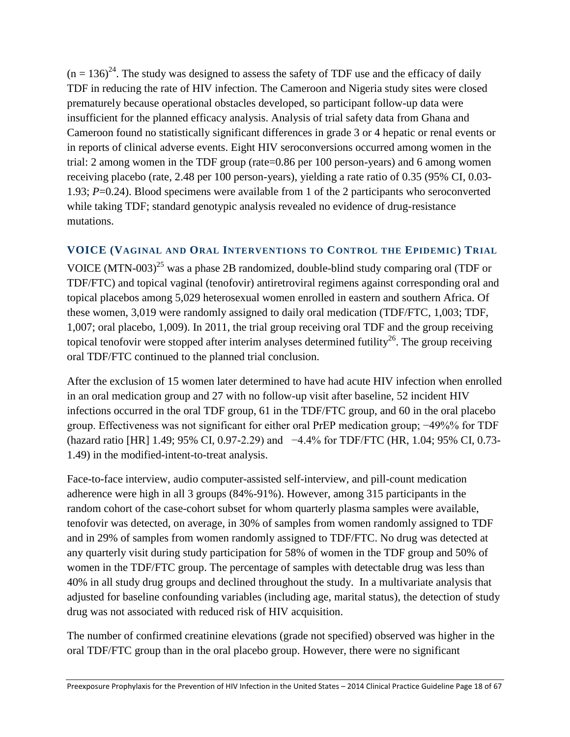$(n = 136)^{24}$ . The study was designed to assess the safety of TDF use and the efficacy of daily TDF in reducing the rate of HIV infection. The Cameroon and Nigeria study sites were closed prematurely because operational obstacles developed, so participant follow-up data were insufficient for the planned efficacy analysis. Analysis of trial safety data from Ghana and Cameroon found no statistically significant differences in grade 3 or 4 hepatic or renal events or in reports of clinical adverse events. Eight HIV seroconversions occurred among women in the trial: 2 among women in the TDF group (rate=0.86 per 100 person-years) and 6 among women receiving placebo (rate, 2.48 per 100 person-years), yielding a rate ratio of 0.35 (95% CI, 0.03- 1.93; *P*=0.24). Blood specimens were available from 1 of the 2 participants who seroconverted while taking TDF; standard genotypic analysis revealed no evidence of drug-resistance mutations.

#### <span id="page-17-0"></span>**VOICE (VAGINAL AND ORAL INTERVENTIONS TO CONTROL THE EPIDEMIC) TRIAL**

VOICE  $(MTN-003)^{25}$  was a phase 2B randomized, double-blind study comparing oral (TDF or TDF/FTC) and topical vaginal (tenofovir) antiretroviral regimens against corresponding oral and topical placebos among 5,029 heterosexual women enrolled in eastern and southern Africa. Of these women, 3,019 were randomly assigned to daily oral medication (TDF/FTC, 1,003; TDF, 1,007; oral placebo, 1,009). In 2011, the trial group receiving oral TDF and the group receiving topical tenofovir were stopped after interim analyses determined futility<sup>26</sup>. The group receiving oral TDF/FTC continued to the planned trial conclusion.

After the exclusion of 15 women later determined to have had acute HIV infection when enrolled in an oral medication group and 27 with no follow-up visit after baseline, 52 incident HIV infections occurred in the oral TDF group, 61 in the TDF/FTC group, and 60 in the oral placebo group. Effectiveness was not significant for either oral PrEP medication group; −49%% for TDF (hazard ratio [HR] 1.49; 95% CI, 0.97-2.29) and −4.4% for TDF/FTC (HR, 1.04; 95% CI, 0.73- 1.49) in the modified-intent-to-treat analysis.

Face-to-face interview, audio computer-assisted self-interview, and pill-count medication adherence were high in all 3 groups (84%-91%). However, among 315 participants in the random cohort of the case-cohort subset for whom quarterly plasma samples were available, tenofovir was detected, on average, in 30% of samples from women randomly assigned to TDF and in 29% of samples from women randomly assigned to TDF/FTC. No drug was detected at any quarterly visit during study participation for 58% of women in the TDF group and 50% of women in the TDF/FTC group. The percentage of samples with detectable drug was less than 40% in all study drug groups and declined throughout the study. In a multivariate analysis that adjusted for baseline confounding variables (including age, marital status), the detection of study drug was not associated with reduced risk of HIV acquisition.

The number of confirmed creatinine elevations (grade not specified) observed was higher in the oral TDF/FTC group than in the oral placebo group. However, there were no significant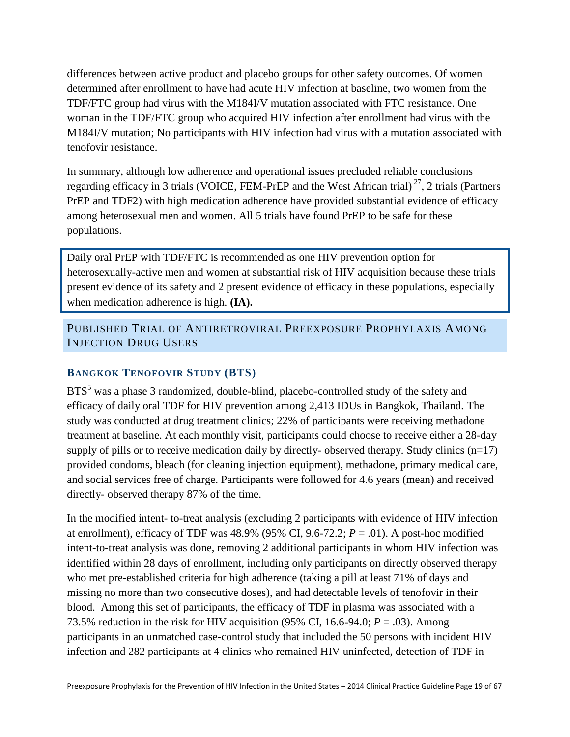differences between active product and placebo groups for other safety outcomes. Of women determined after enrollment to have had acute HIV infection at baseline, two women from the TDF/FTC group had virus with the M184I/V mutation associated with FTC resistance. One woman in the TDF/FTC group who acquired HIV infection after enrollment had virus with the M184I/V mutation; No participants with HIV infection had virus with a mutation associated with tenofovir resistance.

In summary, although low adherence and operational issues precluded reliable conclusions regarding efficacy in 3 trials (VOICE, FEM-PrEP and the West African trial)<sup>27</sup>, 2 trials (Partners PrEP and TDF2) with high medication adherence have provided substantial evidence of efficacy among heterosexual men and women. All 5 trials have found PrEP to be safe for these populations.

Daily oral PrEP with TDF/FTC is recommended as one HIV prevention option for heterosexually-active men and women at substantial risk of HIV acquisition because these trials present evidence of its safety and 2 present evidence of efficacy in these populations, especially when medication adherence is high. **(IA).**

<span id="page-18-0"></span>PUBLISHED TRIAL OF ANTIRETROVIRAL PREEXPOSURE PROPHYLAXIS AMONG INJECTION DRUG USERS

# <span id="page-18-1"></span>**BANGKOK TENOFOVIR STUDY (BTS)**

BTS<sup>5</sup> was a phase 3 randomized, double-blind, placebo-controlled study of the safety and efficacy of daily oral TDF for HIV prevention among 2,413 IDUs in Bangkok, Thailand. The study was conducted at drug treatment clinics; 22% of participants were receiving methadone treatment at baseline. At each monthly visit, participants could choose to receive either a 28-day supply of pills or to receive medication daily by directly- observed therapy. Study clinics  $(n=17)$ provided condoms, bleach (for cleaning injection equipment), methadone, primary medical care, and social services free of charge. Participants were followed for 4.6 years (mean) and received directly- observed therapy 87% of the time.

In the modified intent- to-treat analysis (excluding 2 participants with evidence of HIV infection at enrollment), efficacy of TDF was  $48.9\%$  (95% CI, 9.6-72.2;  $P = .01$ ). A post-hoc modified intent-to-treat analysis was done, removing 2 additional participants in whom HIV infection was identified within 28 days of enrollment, including only participants on directly observed therapy who met pre-established criteria for high adherence (taking a pill at least 71% of days and missing no more than two consecutive doses), and had detectable levels of tenofovir in their blood. Among this set of participants, the efficacy of TDF in plasma was associated with a 73.5% reduction in the risk for HIV acquisition (95% CI, 16.6-94.0;  $P = .03$ ). Among participants in an unmatched case-control study that included the 50 persons with incident HIV infection and 282 participants at 4 clinics who remained HIV uninfected, detection of TDF in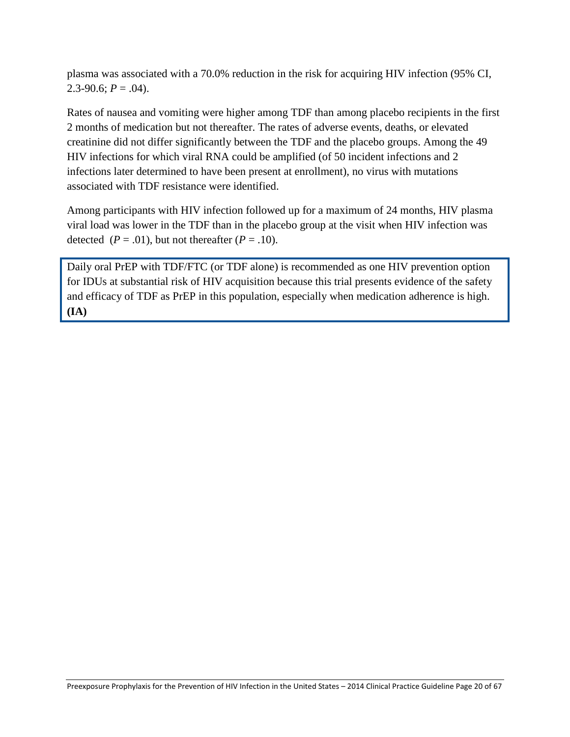plasma was associated with a 70.0% reduction in the risk for acquiring HIV infection (95% CI, 2.3-90.6;  $P = .04$ ).

Rates of nausea and vomiting were higher among TDF than among placebo recipients in the first 2 months of medication but not thereafter. The rates of adverse events, deaths, or elevated creatinine did not differ significantly between the TDF and the placebo groups. Among the 49 HIV infections for which viral RNA could be amplified (of 50 incident infections and 2 infections later determined to have been present at enrollment), no virus with mutations associated with TDF resistance were identified.

Among participants with HIV infection followed up for a maximum of 24 months, HIV plasma viral load was lower in the TDF than in the placebo group at the visit when HIV infection was detected  $(P = .01)$ , but not thereafter  $(P = .10)$ .

Daily oral PrEP with TDF/FTC (or TDF alone) is recommended as one HIV prevention option for IDUs at substantial risk of HIV acquisition because this trial presents evidence of the safety and efficacy of TDF as PrEP in this population, especially when medication adherence is high. **(IA)**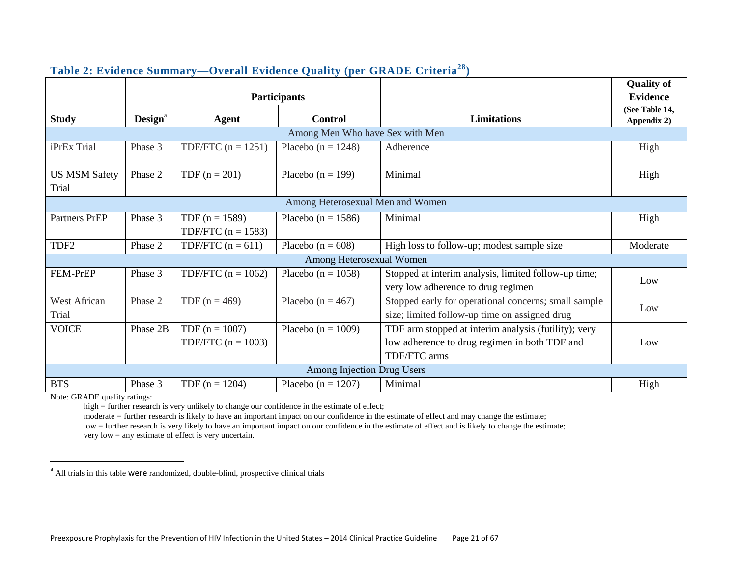|                               |                     |                                          |                                   |                                                                                                                       | <b>Quality of</b>             |
|-------------------------------|---------------------|------------------------------------------|-----------------------------------|-----------------------------------------------------------------------------------------------------------------------|-------------------------------|
|                               |                     | <b>Participants</b>                      |                                   |                                                                                                                       |                               |
| <b>Study</b>                  | Design <sup>a</sup> | Agent                                    | <b>Control</b>                    | <b>Limitations</b>                                                                                                    | (See Table 14,<br>Appendix 2) |
|                               |                     |                                          | Among Men Who have Sex with Men   |                                                                                                                       |                               |
| iPrEx Trial                   | Phase 3             | TDF/FTC $(n = 1251)$                     | Placebo ( $n = 1248$ )            | Adherence                                                                                                             | High                          |
| <b>US MSM Safety</b><br>Trial | Phase 2             | TDF $(n = 201)$                          | Placebo ( $n = 199$ )             | Minimal                                                                                                               | High                          |
|                               |                     |                                          | Among Heterosexual Men and Women  |                                                                                                                       |                               |
| Partners PrEP                 | Phase 3             | TDF $(n = 1589)$<br>TDF/FTC $(n = 1583)$ | Placebo ( $n = 1586$ )            | Minimal                                                                                                               | High                          |
| TDF <sub>2</sub>              | Phase 2             | TDF/FTC $(n = 611)$                      | Placebo ( $n = 608$ )             | High loss to follow-up; modest sample size                                                                            | Moderate                      |
|                               |                     |                                          | Among Heterosexual Women          |                                                                                                                       |                               |
| FEM-PrEP                      | Phase 3             | TDF/FTC $(n = 1062)$                     | Placebo ( $n = 1058$ )            | Stopped at interim analysis, limited follow-up time;<br>very low adherence to drug regimen                            | Low                           |
| West African<br>Trial         | Phase 2             | TDF $(n = 469)$                          | Placebo ( $n = 467$ )             | Stopped early for operational concerns; small sample<br>size; limited follow-up time on assigned drug                 | Low                           |
| <b>VOICE</b>                  | Phase 2B            | TDF $(n = 1007)$<br>TDF/FTC $(n = 1003)$ | Placebo ( $n = 1009$ )            | TDF arm stopped at interim analysis (futility); very<br>low adherence to drug regimen in both TDF and<br>TDF/FTC arms | Low                           |
|                               |                     |                                          | <b>Among Injection Drug Users</b> |                                                                                                                       |                               |
| <b>BTS</b>                    | Phase 3             | TDF $(n = 1204)$                         | Placebo ( $n = 1207$ )            | Minimal                                                                                                               | High                          |

#### **Table 2: Evidence Summary—Overall Evidence Quality (per GRADE Criteria<sup>28</sup>)**

Note: GRADE quality ratings:

high = further research is very unlikely to change our confidence in the estimate of effect;

moderate = further research is likely to have an important impact on our confidence in the estimate of effect and may change the estimate;

low = further research is very likely to have an important impact on our confidence in the estimate of effect and is likely to change the estimate; very low = any estimate of effect is very uncertain.

<sup>&</sup>lt;sup>a</sup> All trials in this table were randomized, double-blind, prospective clinical trials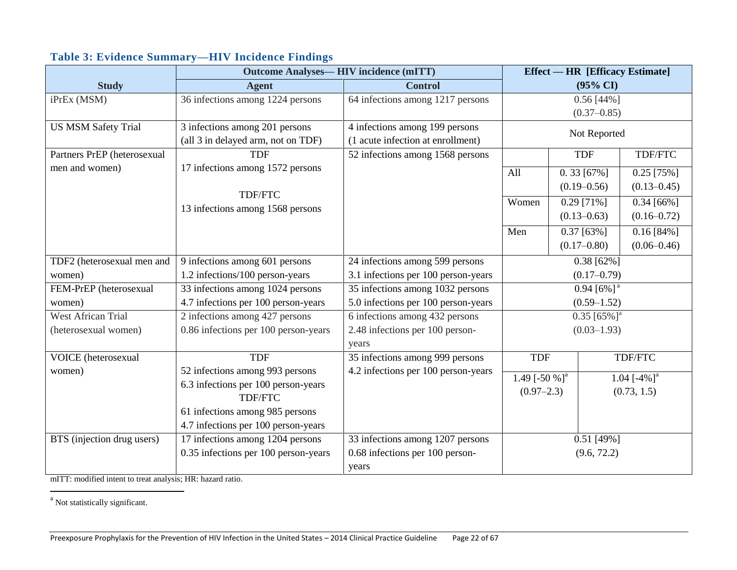|                             | <b>Outcome Analyses— HIV incidence (mITT)</b> |                                     |                                              | <b>Effect — HR [Efficacy Estimate]</b> |                           |                 |
|-----------------------------|-----------------------------------------------|-------------------------------------|----------------------------------------------|----------------------------------------|---------------------------|-----------------|
| <b>Study</b>                | <b>Agent</b>                                  | <b>Control</b>                      | $(95\% \text{ CI})$                          |                                        |                           |                 |
| iPrEx (MSM)                 | 36 infections among 1224 persons              | 64 infections among 1217 persons    | $0.56$ [44%]                                 |                                        |                           |                 |
|                             |                                               |                                     | $(0.37 - 0.85)$                              |                                        |                           |                 |
| <b>US MSM Safety Trial</b>  | 3 infections among 201 persons                | 4 infections among 199 persons      |                                              | Not Reported                           |                           |                 |
|                             | (all 3 in delayed arm, not on TDF)            | (1 acute infection at enrollment)   |                                              |                                        |                           |                 |
| Partners PrEP (heterosexual | <b>TDF</b>                                    | 52 infections among 1568 persons    | <b>TDF</b>                                   |                                        |                           | TDF/FTC         |
| men and women)              | 17 infections among 1572 persons              |                                     | $0.33$ [67%]<br>All                          |                                        |                           | $0.25$ [75%]    |
|                             |                                               |                                     |                                              | $(0.19 - 0.56)$                        |                           | $(0.13 - 0.45)$ |
|                             | TDF/FTC                                       |                                     | Women                                        | $0.29$ [71%]                           |                           | $0.34$ [66%]    |
|                             | 13 infections among 1568 persons              |                                     | $(0.13 - 0.63)$                              |                                        | $(0.16 - 0.72)$           |                 |
|                             |                                               |                                     | Men<br>$0.37$ [63%]                          |                                        |                           | $0.16 [84\%]$   |
|                             |                                               |                                     | $(0.17 - 0.80)$                              |                                        |                           | $(0.06 - 0.46)$ |
| TDF2 (heterosexual men and  | 9 infections among 601 persons                | 24 infections among 599 persons     | $0.38$ [62%]                                 |                                        |                           |                 |
| women)                      | 1.2 infections/100 person-years               | 3.1 infections per 100 person-years | $(0.17 - 0.79)$                              |                                        |                           |                 |
| FEM-PrEP (heterosexual      | 33 infections among 1024 persons              | 35 infections among 1032 persons    | $0.94$ [6%] <sup>a</sup>                     |                                        |                           |                 |
| women)                      | 4.7 infections per 100 person-years           | 5.0 infections per 100 person-years | $(0.59 - 1.52)$                              |                                        |                           |                 |
| <b>West African Trial</b>   | 2 infections among 427 persons                | 6 infections among 432 persons      |                                              |                                        | $0.35$ [65%] <sup>a</sup> |                 |
| (heterosexual women)        | 0.86 infections per 100 person-years          | 2.48 infections per 100 person-     |                                              |                                        | $(0.03 - 1.93)$           |                 |
|                             |                                               | years                               |                                              |                                        |                           |                 |
| <b>VOICE</b> (heterosexual  | <b>TDF</b>                                    | 35 infections among 999 persons     | <b>TDF</b>                                   |                                        |                           | TDF/FTC         |
| women)                      | 52 infections among 993 persons               | 4.2 infections per 100 person-years | 1.49 [-50 %] <sup>a</sup><br>1.04 $[-4\%]^a$ |                                        |                           |                 |
|                             | 6.3 infections per 100 person-years           |                                     | $(0.97 - 2.3)$<br>(0.73, 1.5)                |                                        |                           |                 |
|                             | <b>TDF/FTC</b>                                |                                     |                                              |                                        |                           |                 |
|                             | 61 infections among 985 persons               |                                     |                                              |                                        |                           |                 |
|                             | 4.7 infections per 100 person-years           |                                     |                                              |                                        |                           |                 |
| BTS (injection drug users)  | 17 infections among 1204 persons              | 33 infections among 1207 persons    |                                              |                                        | $0.51$ [49%]              |                 |
|                             | 0.35 infections per 100 person-years          | 0.68 infections per 100 person-     |                                              |                                        | (9.6, 72.2)               |                 |
|                             |                                               | years                               |                                              |                                        |                           |                 |

# **Table 3: Evidence Summary—HIV Incidence Findings**

<span id="page-21-0"></span>mITT: modified intent to treat analysis; HR: hazard ratio.

<sup>a</sup> Not statistically significant.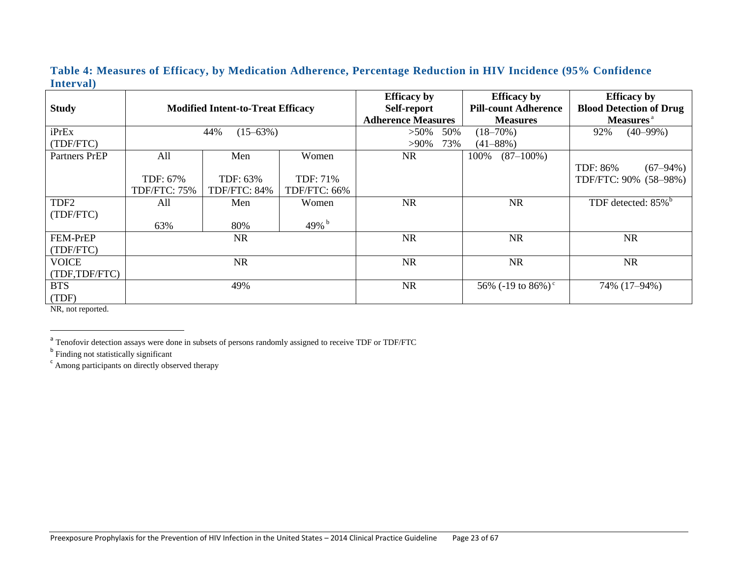#### **Table 4: Measures of Efficacy, by Medication Adherence, Percentage Reduction in HIV Incidence (95% Confidence Interval)**

| <b>Study</b>     |                      | <b>Modified Intent-to-Treat Efficacy</b> |              | <b>Efficacy</b> by<br>Self-report            |               |                       | <b>Efficacy</b> by<br><b>Pill-count Adherence</b> |               | <b>Efficacy</b> by<br><b>Blood Detection of Drug</b> |
|------------------|----------------------|------------------------------------------|--------------|----------------------------------------------|---------------|-----------------------|---------------------------------------------------|---------------|------------------------------------------------------|
|                  |                      |                                          |              | <b>Adherence Measures</b><br><b>Measures</b> |               | Measures <sup>a</sup> |                                                   |               |                                                      |
| iPrEx            | $(15 - 63\%)$<br>44% |                                          | $>50\%$      | 50%                                          | $(18 - 70\%)$ |                       | 92%                                               | $(40 - 99\%)$ |                                                      |
| (TDF/FTC)        |                      |                                          |              | $>90\%$                                      | 73%           |                       | $(41 - 88\%)$                                     |               |                                                      |
| Partners PrEP    | All                  | Men                                      | Women        | <b>NR</b>                                    |               | 100%                  | $(87-100\%)$                                      |               |                                                      |
|                  |                      |                                          |              |                                              |               |                       |                                                   | TDF: 86%      | $(67 - 94\%)$                                        |
|                  | TDF: 67%             | TDF: 63%                                 | TDF: 71%     |                                              |               |                       |                                                   |               | TDF/FTC: 90% (58-98%)                                |
|                  | TDF/FTC: 75%         | TDF/FTC: 84%                             | TDF/FTC: 66% |                                              |               |                       |                                                   |               |                                                      |
| TDF <sub>2</sub> | All                  | Men                                      | Women        | <b>NR</b>                                    |               |                       | <b>NR</b>                                         |               | TDF detected: 85% <sup>b</sup>                       |
| (TDF/FTC)        |                      |                                          |              |                                              |               |                       |                                                   |               |                                                      |
|                  | 63%                  | 80%                                      | 49% $b$      |                                              |               |                       |                                                   |               |                                                      |
| <b>FEM-PrEP</b>  |                      | <b>NR</b>                                |              | <b>NR</b>                                    |               |                       | <b>NR</b>                                         |               | <b>NR</b>                                            |
| (TDF/FTC)        |                      |                                          |              |                                              |               |                       |                                                   |               |                                                      |
| <b>VOICE</b>     |                      | <b>NR</b>                                |              | <b>NR</b>                                    |               |                       | <b>NR</b>                                         |               | <b>NR</b>                                            |
| (TDF,TDF/FTC)    |                      |                                          |              |                                              |               |                       |                                                   |               |                                                      |
| <b>BTS</b>       |                      | 49%                                      |              | <b>NR</b>                                    |               |                       | 56% (-19 to 86%) <sup>c</sup>                     |               | 74% (17-94%)                                         |
| (TDF)            |                      |                                          |              |                                              |               |                       |                                                   |               |                                                      |

NR, not reported.

 $\overline{\phantom{a}}$ 

<sup>a</sup> Tenofovir detection assays were done in subsets of persons randomly assigned to receive TDF or TDF/FTC

<sup>b</sup> Finding not statistically significant

<sup>c</sup> Among participants on directly observed therapy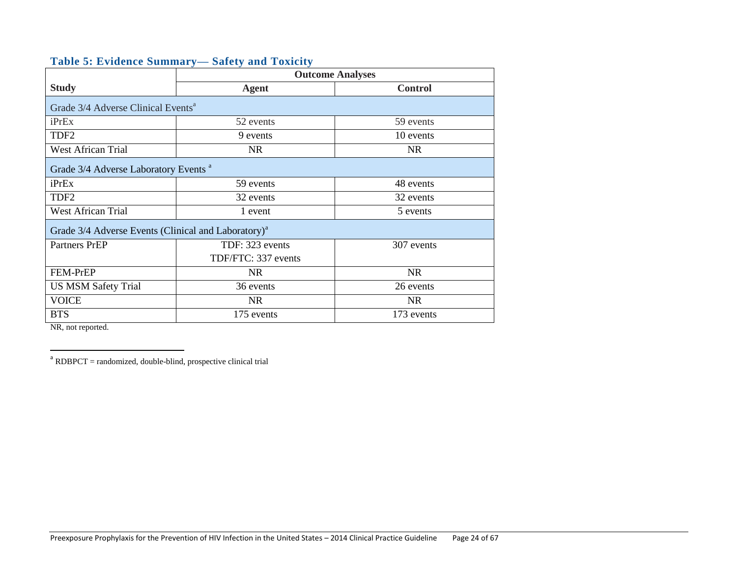<span id="page-23-0"></span>

|  |  | <b>Table 5: Evidence Summary— Safety and Toxicity</b> |  |
|--|--|-------------------------------------------------------|--|
|  |  |                                                       |  |

|                                                                 | <b>Outcome Analyses</b> |                |  |  |  |  |  |
|-----------------------------------------------------------------|-------------------------|----------------|--|--|--|--|--|
| <b>Study</b>                                                    | <b>Agent</b>            | <b>Control</b> |  |  |  |  |  |
| Grade 3/4 Adverse Clinical Events <sup>a</sup>                  |                         |                |  |  |  |  |  |
| iPrEx                                                           | 52 events               | 59 events      |  |  |  |  |  |
| TDF <sub>2</sub>                                                | 9 events                | 10 events      |  |  |  |  |  |
| <b>West African Trial</b>                                       | <b>NR</b>               | NR.            |  |  |  |  |  |
| Grade 3/4 Adverse Laboratory Events <sup>a</sup>                |                         |                |  |  |  |  |  |
| iPrEx                                                           | 59 events               | 48 events      |  |  |  |  |  |
| TDF <sub>2</sub>                                                | 32 events               | 32 events      |  |  |  |  |  |
| <b>West African Trial</b>                                       | 1 event                 | 5 events       |  |  |  |  |  |
| Grade 3/4 Adverse Events (Clinical and Laboratory) <sup>a</sup> |                         |                |  |  |  |  |  |
| <b>Partners PrEP</b>                                            | TDF: 323 events         | 307 events     |  |  |  |  |  |
|                                                                 | TDF/FTC: 337 events     |                |  |  |  |  |  |
| FEM-PrEP                                                        | <b>NR</b>               | <b>NR</b>      |  |  |  |  |  |
| <b>US MSM Safety Trial</b>                                      | 36 events               | 26 events      |  |  |  |  |  |
| <b>VOICE</b>                                                    | NR.                     | <b>NR</b>      |  |  |  |  |  |
| <b>BTS</b>                                                      | 175 events              | 173 events     |  |  |  |  |  |

NR, not reported.

a<br>
RDBPCT = randomized, double-blind, prospective clinical trial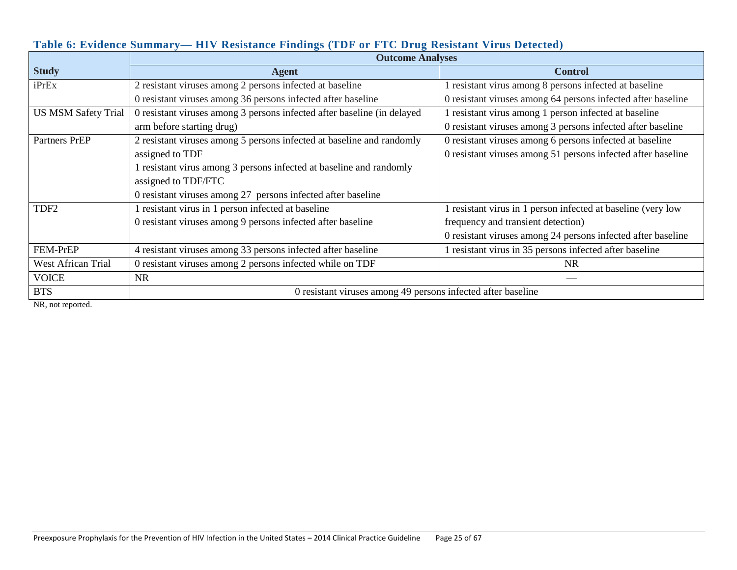|                            | <b>Outcome Analyses</b>                                                 |                                                              |  |  |  |
|----------------------------|-------------------------------------------------------------------------|--------------------------------------------------------------|--|--|--|
| <b>Study</b>               | <b>Agent</b>                                                            | <b>Control</b>                                               |  |  |  |
| iPrEx                      | 2 resistant viruses among 2 persons infected at baseline                | 1 resistant virus among 8 persons infected at baseline       |  |  |  |
|                            | 0 resistant viruses among 36 persons infected after baseline            | 0 resistant viruses among 64 persons infected after baseline |  |  |  |
| <b>US MSM Safety Trial</b> | 0 resistant viruses among 3 persons infected after baseline (in delayed | 1 resistant virus among 1 person infected at baseline        |  |  |  |
|                            | arm before starting drug)                                               | 0 resistant viruses among 3 persons infected after baseline  |  |  |  |
| <b>Partners PrEP</b>       | 2 resistant viruses among 5 persons infected at baseline and randomly   | 0 resistant viruses among 6 persons infected at baseline     |  |  |  |
|                            | assigned to TDF                                                         | 0 resistant viruses among 51 persons infected after baseline |  |  |  |
|                            | 1 resistant virus among 3 persons infected at baseline and randomly     |                                                              |  |  |  |
|                            | assigned to TDF/FTC                                                     |                                                              |  |  |  |
|                            | 0 resistant viruses among 27 persons infected after baseline            |                                                              |  |  |  |
| TDF <sub>2</sub>           | resistant virus in 1 person infected at baseline                        | 1 resistant virus in 1 person infected at baseline (very low |  |  |  |
|                            | 0 resistant viruses among 9 persons infected after baseline             | frequency and transient detection)                           |  |  |  |
|                            |                                                                         | 0 resistant viruses among 24 persons infected after baseline |  |  |  |
| FEM-PrEP                   | 4 resistant viruses among 33 persons infected after baseline            | 1 resistant virus in 35 persons infected after baseline      |  |  |  |
| <b>West African Trial</b>  | 0 resistant viruses among 2 persons infected while on TDF               | NR.                                                          |  |  |  |
| <b>VOICE</b>               | <b>NR</b>                                                               |                                                              |  |  |  |
| <b>BTS</b>                 | 0 resistant viruses among 49 persons infected after baseline            |                                                              |  |  |  |

#### **Table 6: Evidence Summary— HIV Resistance Findings (TDF or FTC Drug Resistant Virus Detected)**

NR, not reported.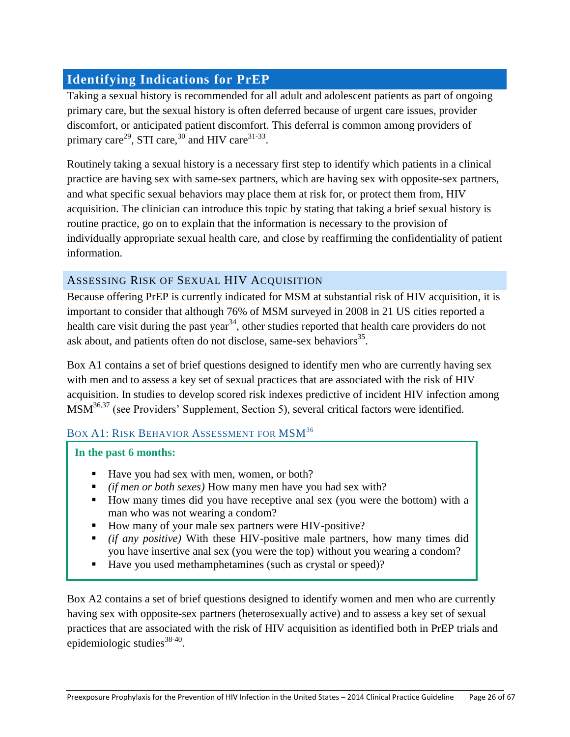# <span id="page-25-0"></span>**Identifying Indications for PrEP**

Taking a sexual history is recommended for all adult and adolescent patients as part of ongoing primary care, but the sexual history is often deferred because of urgent care issues, provider discomfort, or anticipated patient discomfort. This deferral is common among providers of primary care<sup>29</sup>, STI care,<sup>30</sup> and HIV care<sup>31-33</sup>.

Routinely taking a sexual history is a necessary first step to identify which patients in a clinical practice are having sex with same-sex partners, which are having sex with opposite-sex partners, and what specific sexual behaviors may place them at risk for, or protect them from, HIV acquisition. The clinician can introduce this topic by stating that taking a brief sexual history is routine practice, go on to explain that the information is necessary to the provision of individually appropriate sexual health care, and close by reaffirming the confidentiality of patient information.

# <span id="page-25-1"></span>ASSESSING RISK OF SEXUAL HIV ACQUISITION

Because offering PrEP is currently indicated for MSM at substantial risk of HIV acquisition, it is important to consider that although 76% of MSM surveyed in 2008 in 21 US cities reported a health care visit during the past year<sup>34</sup>, other studies reported that health care providers do not ask about, and patients often do not disclose, same-sex behaviors $^{35}$ .

Box A1 contains a set of brief questions designed to identify men who are currently having sex with men and to assess a key set of sexual practices that are associated with the risk of HIV acquisition. In studies to develop scored risk indexes predictive of incident HIV infection among MSM<sup>36,37</sup> (see Providers' Supplement, Section 5), several critical factors were identified.

#### BOX A1: RISK BEHAVIOR ASSESSMENT FOR MSM<sup>36</sup>

**In the past 6 months:**

- Have you had sex with men, women, or both?
- *(if men or both sexes)* How many men have you had sex with?
- How many times did you have receptive anal sex (you were the bottom) with a man who was not wearing a condom?
- How many of your male sex partners were HIV-positive?
- *(if any positive)* With these HIV-positive male partners, how many times did you have insertive anal sex (you were the top) without you wearing a condom?
- Have you used methamphetamines (such as crystal or speed)?

Box A2 contains a set of brief questions designed to identify women and men who are currently having sex with opposite-sex partners (heterosexually active) and to assess a key set of sexual practices that are associated with the risk of HIV acquisition as identified both in PrEP trials and epidemiologic studies<sup>38-40</sup>.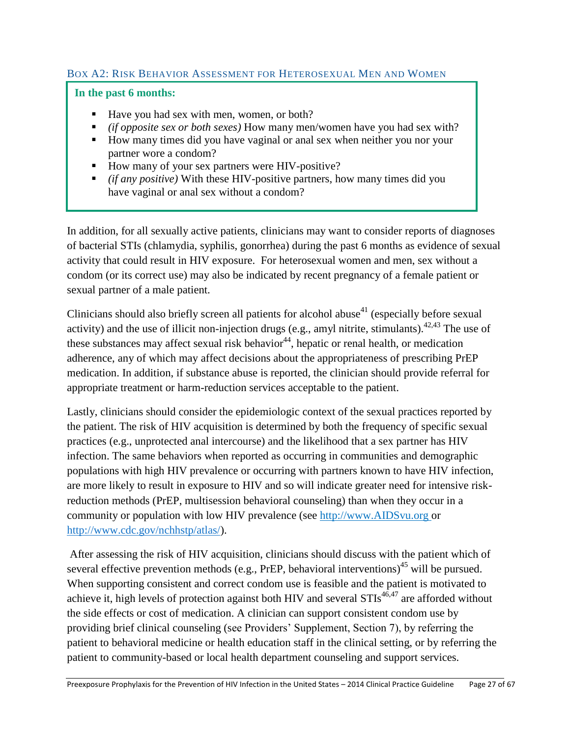#### BOX A2: RISK BEHAVIOR ASSESSMENT FOR HETEROSEXUAL MEN AND WOMEN

#### **In the past 6 months:**

- Have you had sex with men, women, or both?
- *(if opposite sex or both sexes)* How many men/women have you had sex with?
- How many times did you have vaginal or anal sex when neither you nor your partner wore a condom?
- How many of your sex partners were HIV-positive?
- *(if any positive)* With these HIV-positive partners, how many times did you have vaginal or anal sex without a condom?

In addition, for all sexually active patients, clinicians may want to consider reports of diagnoses of bacterial STIs (chlamydia, syphilis, gonorrhea) during the past 6 months as evidence of sexual activity that could result in HIV exposure. For heterosexual women and men, sex without a condom (or its correct use) may also be indicated by recent pregnancy of a female patient or sexual partner of a male patient.

Clinicians should also briefly screen all patients for alcohol abuse<sup>41</sup> (especially before sexual activity) and the use of illicit non-injection drugs (e.g., amyl nitrite, stimulants).  $42,43$  The use of these substances may affect sexual risk behavior<sup>44</sup>, hepatic or renal health, or medication adherence, any of which may affect decisions about the appropriateness of prescribing PrEP medication. In addition, if substance abuse is reported, the clinician should provide referral for appropriate treatment or harm-reduction services acceptable to the patient.

Lastly, clinicians should consider the epidemiologic context of the sexual practices reported by the patient. The risk of HIV acquisition is determined by both the frequency of specific sexual practices (e.g., unprotected anal intercourse) and the likelihood that a sex partner has HIV infection. The same behaviors when reported as occurring in communities and demographic populations with high HIV prevalence or occurring with partners known to have HIV infection, are more likely to result in exposure to HIV and so will indicate greater need for intensive riskreduction methods (PrEP, multisession behavioral counseling) than when they occur in a community or population with low HIV prevalence (see [http://www.AIDSvu.org](http://www.aidsvu.org/) or [http://www.cdc.gov/nchhstp/atlas/\)](http://www.cdc.gov/nchhstp/atlas/).

After assessing the risk of HIV acquisition, clinicians should discuss with the patient which of several effective prevention methods (e.g., PrEP, behavioral interventions)<sup>45</sup> will be pursued. When supporting consistent and correct condom use is feasible and the patient is motivated to achieve it, high levels of protection against both HIV and several  $STIs^{46,47}$  are afforded without the side effects or cost of medication. A clinician can support consistent condom use by providing brief clinical counseling (see Providers' Supplement, Section 7), by referring the patient to behavioral medicine or health education staff in the clinical setting, or by referring the patient to community-based or local health department counseling and support services.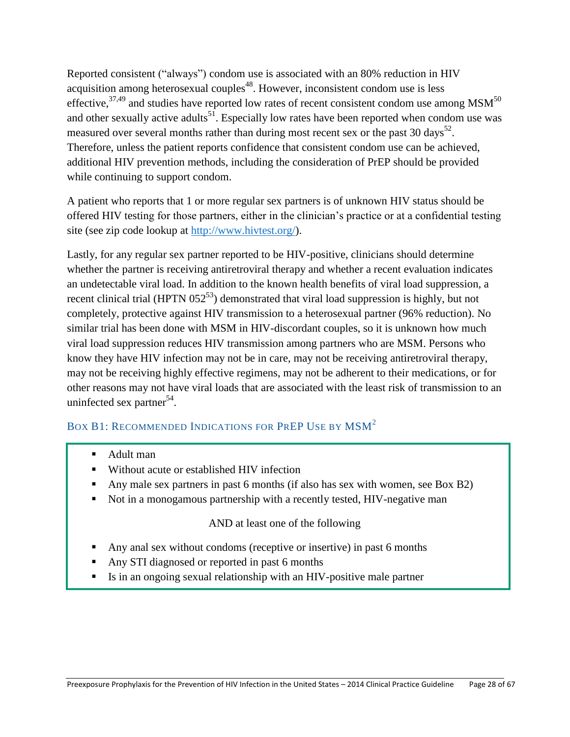Reported consistent ("always") condom use is associated with an 80% reduction in HIV acquisition among heterosexual couples<sup>48</sup>. However, inconsistent condom use is less effective,<sup>37,49</sup> and studies have reported low rates of recent consistent condom use among MSM<sup>50</sup> and other sexually active adults<sup>51</sup>. Especially low rates have been reported when condom use was measured over several months rather than during most recent sex or the past 30 days<sup>52</sup>. Therefore, unless the patient reports confidence that consistent condom use can be achieved, additional HIV prevention methods, including the consideration of PrEP should be provided while continuing to support condom.

A patient who reports that 1 or more regular sex partners is of unknown HIV status should be offered HIV testing for those partners, either in the clinician's practice or at a confidential testing site (see zip code lookup at [http://www.hivtest.org/\)](http://www.hivtest.org/).

Lastly, for any regular sex partner reported to be HIV-positive, clinicians should determine whether the partner is receiving antiretroviral therapy and whether a recent evaluation indicates an undetectable viral load. In addition to the known health benefits of viral load suppression, a recent clinical trial (HPTN  $052^{53}$ ) demonstrated that viral load suppression is highly, but not completely, protective against HIV transmission to a heterosexual partner (96% reduction). No similar trial has been done with MSM in HIV-discordant couples, so it is unknown how much viral load suppression reduces HIV transmission among partners who are MSM. Persons who know they have HIV infection may not be in care, may not be receiving antiretroviral therapy, may not be receiving highly effective regimens, may not be adherent to their medications, or for other reasons may not have viral loads that are associated with the least risk of transmission to an uninfected sex partner<sup>54</sup>.

# BOX B1: RECOMMENDED INDICATIONS FOR PREP USE BY MSM<sup>2</sup>

- Adult man
- Without acute or established HIV infection
- Any male sex partners in past 6 months (if also has sex with women, see Box B2)
- Not in a monogamous partnership with a recently tested, HIV-negative man

#### AND at least one of the following

- Any anal sex without condoms (receptive or insertive) in past 6 months
- Any STI diagnosed or reported in past 6 months
- Is in an ongoing sexual relationship with an HIV-positive male partner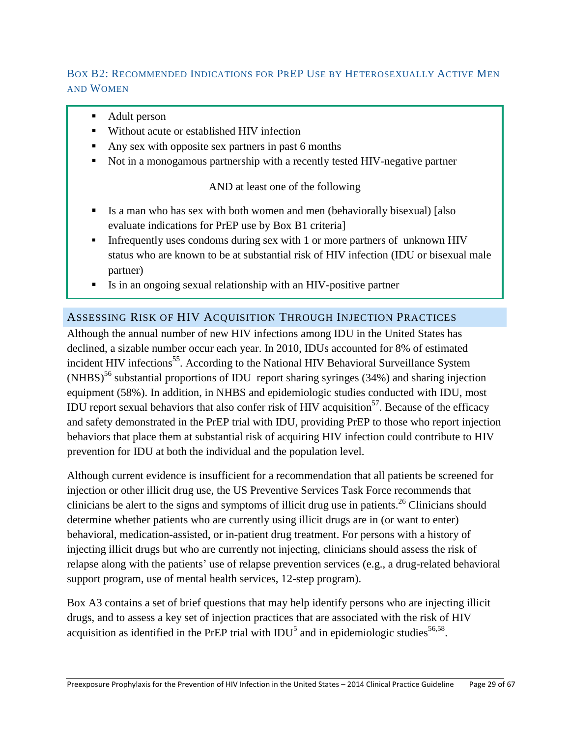# BOX B2: RECOMMENDED INDICATIONS FOR PREP USE BY HETEROSEXUALLY ACTIVE MEN AND WOMEN

- Adult person
- Without acute or established HIV infection
- Any sex with opposite sex partners in past 6 months
- Not in a monogamous partnership with a recently tested HIV-negative partner

# AND at least one of the following

- Is a man who has sex with both women and men (behaviorally bisexual) [also evaluate indications for PrEP use by Box B1 criteria]
- Infrequently uses condoms during sex with 1 or more partners of unknown HIV status who are known to be at substantial risk of HIV infection (IDU or bisexual male partner)
- Is in an ongoing sexual relationship with an HIV-positive partner

# <span id="page-28-0"></span>ASSESSING RISK OF HIV ACQUISITION THROUGH INJECTION PRACTICES

Although the annual number of new HIV infections among IDU in the United States has declined, a sizable number occur each year. In 2010, IDUs accounted for 8% of estimated incident HIV infections<sup>55</sup>. According to the National HIV Behavioral Surveillance System  $(NHBS)^{56}$  substantial proportions of IDU report sharing syringes (34%) and sharing injection equipment (58%). In addition, in NHBS and epidemiologic studies conducted with IDU, most IDU report sexual behaviors that also confer risk of HIV acquisition<sup>57</sup>. Because of the efficacy and safety demonstrated in the PrEP trial with IDU, providing PrEP to those who report injection behaviors that place them at substantial risk of acquiring HIV infection could contribute to HIV prevention for IDU at both the individual and the population level.

Although current evidence is insufficient for a recommendation that all patients be screened for injection or other illicit drug use, the US Preventive Services Task Force recommends that clinicians be alert to the signs and symptoms of illicit drug use in patients.<sup>26</sup> Clinicians should determine whether patients who are currently using illicit drugs are in (or want to enter) behavioral, medication-assisted, or in-patient drug treatment. For persons with a history of injecting illicit drugs but who are currently not injecting, clinicians should assess the risk of relapse along with the patients' use of relapse prevention services (e.g., a drug-related behavioral support program, use of mental health services, 12-step program).

Box A3 contains a set of brief questions that may help identify persons who are injecting illicit drugs, and to assess a key set of injection practices that are associated with the risk of HIV acquisition as identified in the PrEP trial with  $IDU<sup>5</sup>$  and in epidemiologic studies<sup>56,58</sup>.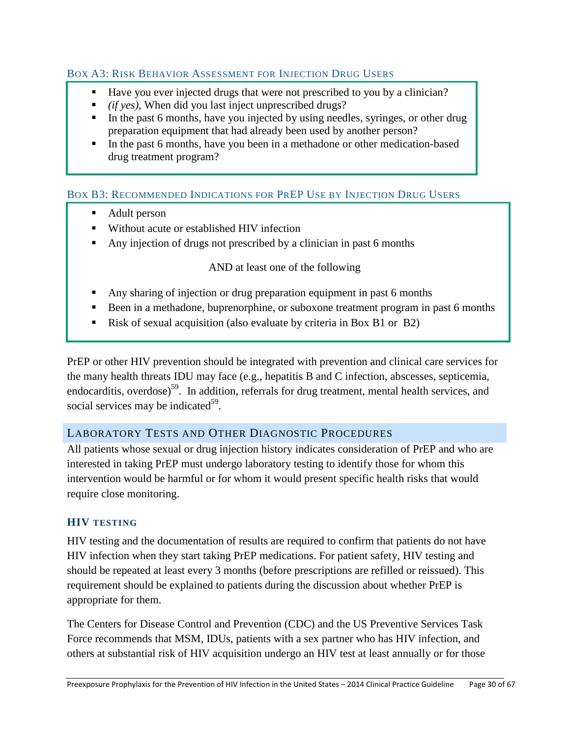#### BOX A3: RISK BEHAVIOR ASSESSMENT FOR INJECTION DRUG USERS

- Have you ever injected drugs that were not prescribed to you by a clinician?
- *(if yes),* When did you last inject unprescribed drugs?
- In the past 6 months, have you injected by using needles, syringes, or other drug preparation equipment that had already been used by another person?
- In the past 6 months, have you been in a methadone or other medication-based drug treatment program?

# BOX B3: RECOMMENDED INDICATIONS FOR PREP USE BY INJECTION DRUG USERS

- Adult person
- Without acute or established HIV infection
- Any injection of drugs not prescribed by a clinician in past 6 months

#### AND at least one of the following

- Any sharing of injection or drug preparation equipment in past 6 months
- Been in a methadone, buprenorphine, or suboxone treatment program in past 6 months
- Risk of sexual acquisition (also evaluate by criteria in Box B1 or B2)

PrEP or other HIV prevention should be integrated with prevention and clinical care services for the many health threats IDU may face (e.g., hepatitis B and C infection, abscesses, septicemia, endocarditis, overdose)<sup>59</sup>. In addition, referrals for drug treatment, mental health services, and social services may be indicated<sup>59</sup>.

# <span id="page-29-0"></span>LABORATORY TESTS AND OTHER DIAGNOSTIC PROCEDURES

All patients whose sexual or drug injection history indicates consideration of PrEP and who are interested in taking PrEP must undergo laboratory testing to identify those for whom this intervention would be harmful or for whom it would present specific health risks that would require close monitoring.

# <span id="page-29-1"></span>**HIV TESTING**

HIV testing and the documentation of results are required to confirm that patients do not have HIV infection when they start taking PrEP medications. For patient safety, HIV testing and should be repeated at least every 3 months (before prescriptions are refilled or reissued). This requirement should be explained to patients during the discussion about whether PrEP is appropriate for them.

The Centers for Disease Control and Prevention (CDC) and the US Preventive Services Task Force recommends that MSM, IDUs, patients with a sex partner who has HIV infection, and others at substantial risk of HIV acquisition undergo an HIV test at least annually or for those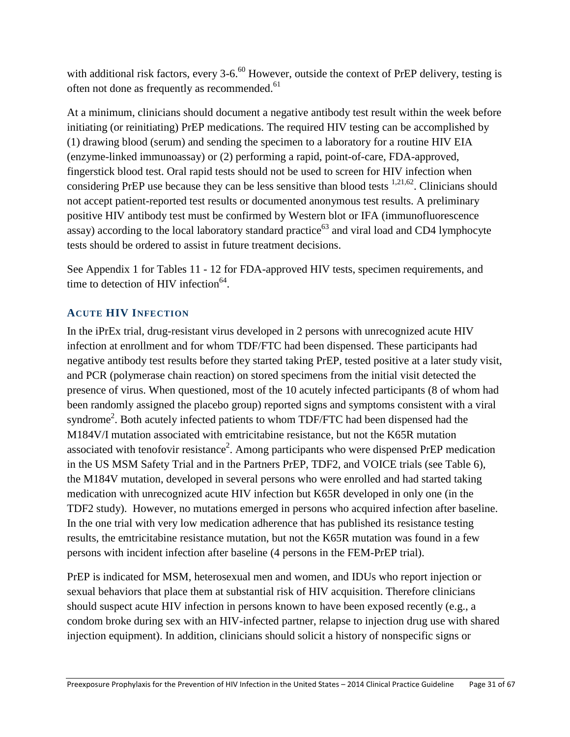with additional risk factors, every  $3-6.60$  However, outside the context of PrEP delivery, testing is often not done as frequently as recommended.<sup>61</sup>

At a minimum, clinicians should document a negative antibody test result within the week before initiating (or reinitiating) PrEP medications. The required HIV testing can be accomplished by (1) drawing blood (serum) and sending the specimen to a laboratory for a routine HIV EIA (enzyme-linked immunoassay) or (2) performing a rapid, point-of-care, FDA-approved, fingerstick blood test. Oral rapid tests should not be used to screen for HIV infection when considering PrEP use because they can be less sensitive than blood tests  $1,21,62$ . Clinicians should not accept patient-reported test results or documented anonymous test results. A preliminary positive HIV antibody test must be confirmed by Western blot or IFA (immunofluorescence assay) according to the local laboratory standard practice<sup>63</sup> and viral load and CD4 lymphocyte tests should be ordered to assist in future treatment decisions.

See Appendix 1 for Tables 11 - 12 for FDA-approved HIV tests, specimen requirements, and time to detection of HIV infection $^{64}$ .

# <span id="page-30-0"></span>**ACUTE HIV INFECTION**

In the iPrEx trial, drug-resistant virus developed in 2 persons with unrecognized acute HIV infection at enrollment and for whom TDF/FTC had been dispensed. These participants had negative antibody test results before they started taking PrEP, tested positive at a later study visit, and PCR (polymerase chain reaction) on stored specimens from the initial visit detected the presence of virus. When questioned, most of the 10 acutely infected participants (8 of whom had been randomly assigned the placebo group) reported signs and symptoms consistent with a viral syndrome<sup>2</sup>. Both acutely infected patients to whom TDF/FTC had been dispensed had the M184V/I mutation associated with emtricitabine resistance, but not the K65R mutation associated with tenofovir resistance<sup>2</sup>. Among participants who were dispensed PrEP medication in the US MSM Safety Trial and in the Partners PrEP, TDF2, and VOICE trials (see Table 6), the M184V mutation, developed in several persons who were enrolled and had started taking medication with unrecognized acute HIV infection but K65R developed in only one (in the TDF2 study). However, no mutations emerged in persons who acquired infection after baseline. In the one trial with very low medication adherence that has published its resistance testing results, the emtricitabine resistance mutation, but not the K65R mutation was found in a few persons with incident infection after baseline (4 persons in the FEM-PrEP trial).

PrEP is indicated for MSM, heterosexual men and women, and IDUs who report injection or sexual behaviors that place them at substantial risk of HIV acquisition. Therefore clinicians should suspect acute HIV infection in persons known to have been exposed recently (e.g., a condom broke during sex with an HIV-infected partner, relapse to injection drug use with shared injection equipment). In addition, clinicians should solicit a history of nonspecific signs or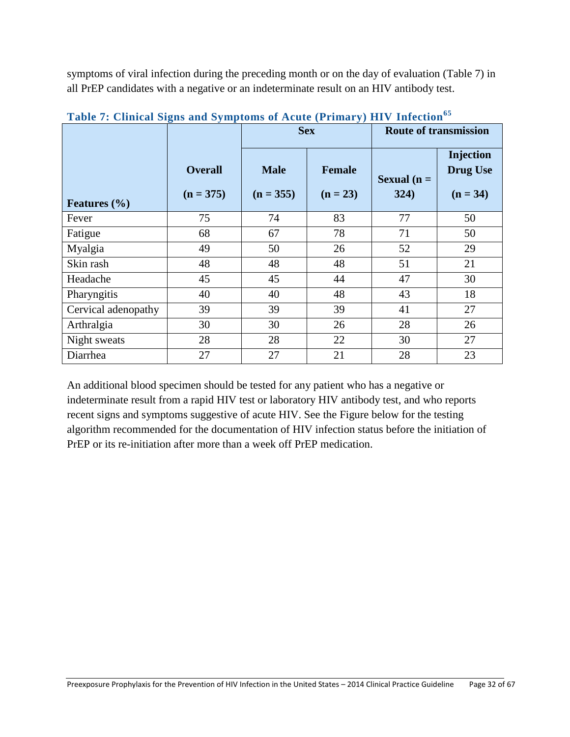symptoms of viral infection during the preceding month or on the day of evaluation (Table 7) in all PrEP candidates with a negative or an indeterminate result on an HIV antibody test.

|                     |                               | <b>Sex</b>                 |                             | <b>Route of transmission</b> |                                            |
|---------------------|-------------------------------|----------------------------|-----------------------------|------------------------------|--------------------------------------------|
| Features $(\% )$    | <b>Overall</b><br>$(n = 375)$ | <b>Male</b><br>$(n = 355)$ | <b>Female</b><br>$(n = 23)$ | Sexual $(n =$<br>324)        | Injection<br><b>Drug Use</b><br>$(n = 34)$ |
| Fever               | 75                            | 74                         | 83                          | 77                           | 50                                         |
| Fatigue             | 68                            | 67                         | 78                          | 71                           | 50                                         |
| Myalgia             | 49                            | 50                         | 26                          | 52                           | 29                                         |
| Skin rash           | 48                            | 48                         | 48                          | 51                           | 21                                         |
| Headache            | 45                            | 45                         | 44                          | 47                           | 30                                         |
| Pharyngitis         | 40                            | 40                         | 48                          | 43                           | 18                                         |
| Cervical adenopathy | 39                            | 39                         | 39                          | 41                           | 27                                         |
| Arthralgia          | 30                            | 30                         | 26                          | 28                           | 26                                         |
| Night sweats        | 28                            | 28                         | 22                          | 30                           | 27                                         |
| Diarrhea            | 27                            | 27                         | 21                          | 28                           | 23                                         |

**Table 7: Clinical Signs and Symptoms of Acute (Primary) HIV Infection<sup>65</sup>**

An additional blood specimen should be tested for any patient who has a negative or indeterminate result from a rapid HIV test or laboratory HIV antibody test, and who reports recent signs and symptoms suggestive of acute HIV. See the Figure below for the testing algorithm recommended for the documentation of HIV infection status before the initiation of PrEP or its re-initiation after more than a week off PrEP medication.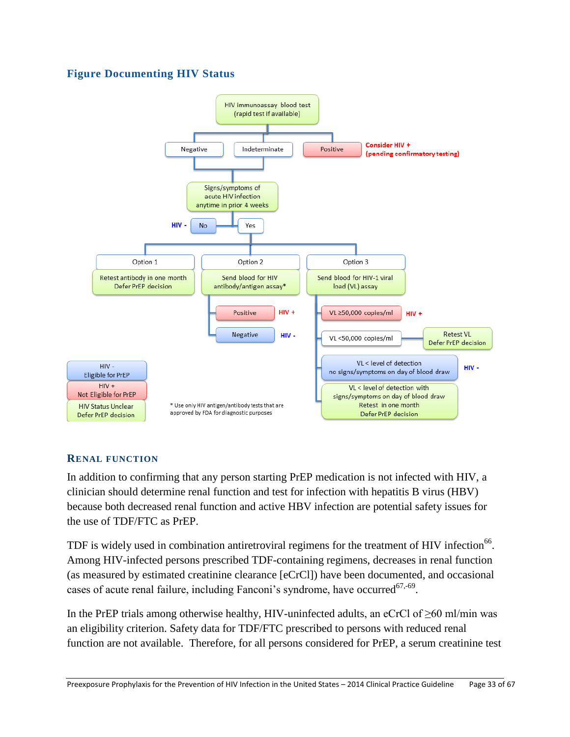# **Figure Documenting HIV Status**



#### <span id="page-32-0"></span>**RENAL FUNCTION**

In addition to confirming that any person starting PrEP medication is not infected with HIV, a clinician should determine renal function and test for infection with hepatitis B virus (HBV) because both decreased renal function and active HBV infection are potential safety issues for the use of TDF/FTC as PrEP.

TDF is widely used in combination antiretroviral regimens for the treatment of HIV infection<sup>66</sup>. Among HIV-infected persons prescribed TDF-containing regimens, decreases in renal function (as measured by estimated creatinine clearance [eCrCl]) have been documented, and occasional cases of acute renal failure, including Fanconi's syndrome, have occurred $67,69$ .

In the PrEP trials among otherwise healthy, HIV-uninfected adults, an eCrCl of  $\geq 60$  ml/min was an eligibility criterion. Safety data for TDF/FTC prescribed to persons with reduced renal function are not available. Therefore, for all persons considered for PrEP, a serum creatinine test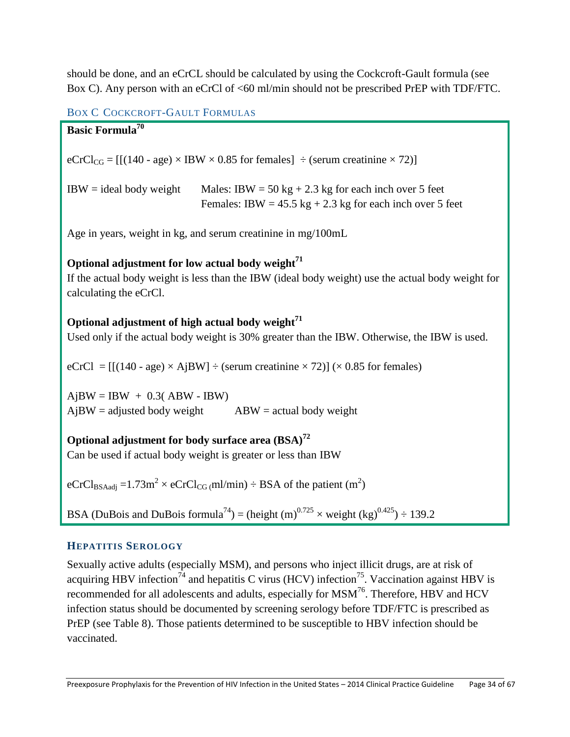should be done, and an eCrCL should be calculated by using the Cockcroft-Gault formula (see Box C). Any person with an eCrCl of <60 ml/min should not be prescribed PrEP with TDF/FTC.

# BOX C COCKCROFT-GAULT FORMULAS

| <b>Basic Formula<sup>70</sup></b>                                                                                                                                                           |  |  |  |  |  |
|---------------------------------------------------------------------------------------------------------------------------------------------------------------------------------------------|--|--|--|--|--|
| $eCrCl_{CG} = [[(140 - age) \times IBW \times 0.85$ for females] $\div$ (serum creatinine $\times$ 72)]                                                                                     |  |  |  |  |  |
| $IBW = ideal body weight$<br>Males: IBW = $50 \text{ kg} + 2.3 \text{ kg}$ for each inch over 5 feet<br>Females: IBW = $45.5$ kg + 2.3 kg for each inch over 5 feet                         |  |  |  |  |  |
| Age in years, weight in kg, and serum creatinine in mg/100mL                                                                                                                                |  |  |  |  |  |
| Optional adjustment for low actual body weight <sup>71</sup><br>If the actual body weight is less than the IBW (ideal body weight) use the actual body weight for<br>calculating the eCrCl. |  |  |  |  |  |
| Optional adjustment of high actual body weight $^{71}$<br>Used only if the actual body weight is 30% greater than the IBW. Otherwise, the IBW is used.                                      |  |  |  |  |  |
| $eCrCl = [[(140 - age) \times A]BW] \div (serum creationine \times 72)] (\times 0.85$ for females)                                                                                          |  |  |  |  |  |
| $A$ jBW = IBW + 0.3(ABW - IBW)<br>$A$ j $BW =$ adjusted body weight<br>$ABW = actual body weight$                                                                                           |  |  |  |  |  |
| Optional adjustment for body surface area (BSA) <sup>72</sup><br>Can be used if actual body weight is greater or less than IBW                                                              |  |  |  |  |  |
| eCrCl <sub>BSAadj</sub> = 1.73m <sup>2</sup> × eCrCl <sub>CG</sub> (ml/min) ÷ BSA of the patient (m <sup>2</sup> )                                                                          |  |  |  |  |  |
| BSA (DuBois and DuBois formula <sup>74</sup> ) = (height (m) <sup>0.725</sup> × weight (kg) <sup>0.425</sup> ) ÷ 139.2                                                                      |  |  |  |  |  |
| <b>HEPATITIS SEROLOGY</b>                                                                                                                                                                   |  |  |  |  |  |
| Sexually active adults (especially MSM), and persons who inject illicit drugs, are at risk of                                                                                               |  |  |  |  |  |

<span id="page-33-0"></span>Sexually active adults (especially MSM), and persons who inject illicit drugs, are at risk of acquiring HBV infection<sup>74</sup> and hepatitis C virus (HCV) infection<sup>75</sup>. Vaccination against HBV is recommended for all adolescents and adults, especially for MSM<sup>76</sup>. Therefore, HBV and HCV infection status should be documented by screening serology before TDF/FTC is prescribed as PrEP (see Table 8). Those patients determined to be susceptible to HBV infection should be vaccinated.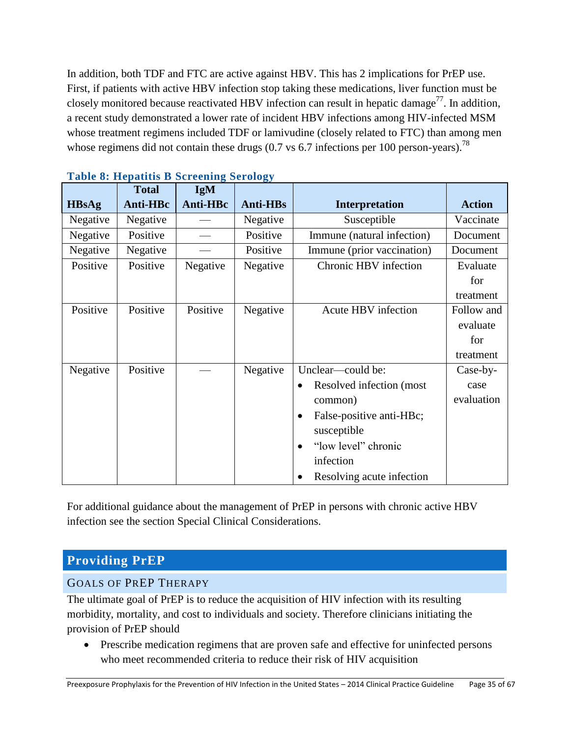In addition, both TDF and FTC are active against HBV. This has 2 implications for PrEP use. First, if patients with active HBV infection stop taking these medications, liver function must be closely monitored because reactivated HBV infection can result in hepatic damage<sup>77</sup>. In addition, a recent study demonstrated a lower rate of incident HBV infections among HIV-infected MSM whose treatment regimens included TDF or lamivudine (closely related to FTC) than among men whose regimens did not contain these drugs  $(0.7 \text{ vs } 6.7 \text{ infections per } 100 \text{ person-years})$ .<sup>78</sup>

|              | <b>Total</b> | $\bullet$<br><b>IgM</b> |                 |                                       |               |
|--------------|--------------|-------------------------|-----------------|---------------------------------------|---------------|
| <b>HBsAg</b> | Anti-HBc     | Anti-HBc                | <b>Anti-HBs</b> | <b>Interpretation</b>                 | <b>Action</b> |
| Negative     | Negative     |                         | Negative        | Susceptible                           | Vaccinate     |
| Negative     | Positive     |                         | Positive        | Immune (natural infection)            | Document      |
| Negative     | Negative     |                         | Positive        | Immune (prior vaccination)            | Document      |
| Positive     | Positive     | Negative                | Negative        | Chronic HBV infection                 | Evaluate      |
|              |              |                         |                 |                                       | for           |
|              |              |                         |                 |                                       | treatment     |
| Positive     | Positive     | Positive                | Negative        | Acute HBV infection                   | Follow and    |
|              |              |                         |                 |                                       | evaluate      |
|              |              |                         |                 |                                       | for           |
|              |              |                         |                 |                                       | treatment     |
| Negative     | Positive     |                         | Negative        | Unclear—could be:                     | Case-by-      |
|              |              |                         |                 | Resolved infection (most<br>$\bullet$ | case          |
|              |              |                         |                 | common)                               | evaluation    |
|              |              |                         |                 | False-positive anti-HBc;<br>$\bullet$ |               |
|              |              |                         |                 | susceptible                           |               |
|              |              |                         |                 | "low level" chronic<br>$\bullet$      |               |
|              |              |                         |                 | infection                             |               |
|              |              |                         |                 | Resolving acute infection             |               |

|  |  | <b>Table 8: Hepatitis B Screening Serology</b> |  |
|--|--|------------------------------------------------|--|
|  |  |                                                |  |

For additional guidance about the management of PrEP in persons with chronic active HBV infection see the section Special Clinical Considerations.

# <span id="page-34-0"></span>**Providing PrEP**

# <span id="page-34-1"></span>GOALS OF PREP THERAPY

The ultimate goal of PrEP is to reduce the acquisition of HIV infection with its resulting morbidity, mortality, and cost to individuals and society. Therefore clinicians initiating the provision of PrEP should

• Prescribe medication regimens that are proven safe and effective for uninfected persons who meet recommended criteria to reduce their risk of HIV acquisition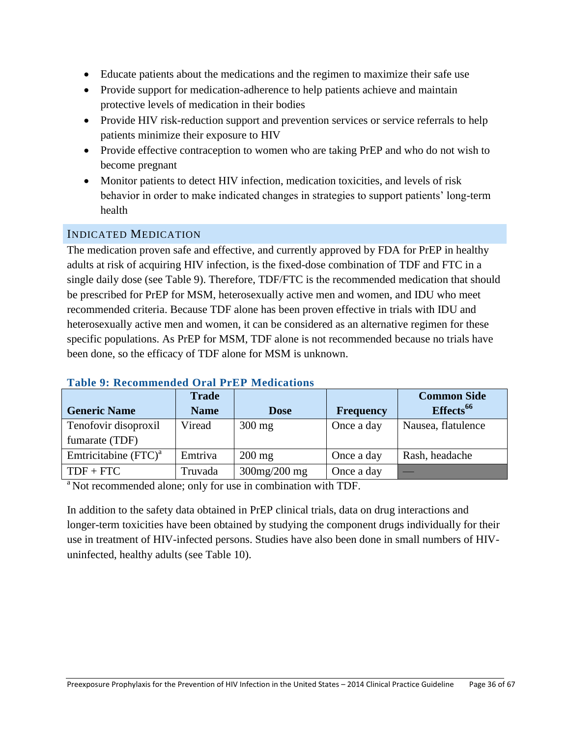- Educate patients about the medications and the regimen to maximize their safe use
- Provide support for medication-adherence to help patients achieve and maintain protective levels of medication in their bodies
- Provide HIV risk-reduction support and prevention services or service referrals to help patients minimize their exposure to HIV
- Provide effective contraception to women who are taking PrEP and who do not wish to become pregnant
- Monitor patients to detect HIV infection, medication toxicities, and levels of risk behavior in order to make indicated changes in strategies to support patients' long-term health

# <span id="page-35-0"></span>INDICATED MEDICATION

The medication proven safe and effective, and currently approved by FDA for PrEP in healthy adults at risk of acquiring HIV infection, is the fixed-dose combination of TDF and FTC in a single daily dose (see Table 9). Therefore, TDF/FTC is the recommended medication that should be prescribed for PrEP for MSM, heterosexually active men and women, and IDU who meet recommended criteria. Because TDF alone has been proven effective in trials with IDU and heterosexually active men and women, it can be considered as an alternative regimen for these specific populations. As PrEP for MSM, TDF alone is not recommended because no trials have been done, so the efficacy of TDF alone for MSM is unknown.

|                         | <b>Trade</b> |                    |                  | <b>Common Side</b>    |
|-------------------------|--------------|--------------------|------------------|-----------------------|
| <b>Generic Name</b>     | <b>Name</b>  | <b>Dose</b>        | <b>Frequency</b> | Effects <sup>66</sup> |
| Tenofovir disoproxil    | Viread       | $300$ mg           | Once a day       | Nausea, flatulence    |
| fumarate (TDF)          |              |                    |                  |                       |
| Emtricitabine $(FTC)^a$ | Emtriva      | $200 \text{ mg}$   | Once a day       | Rash, headache        |
| $TDF + FTC$             | Truvada      | $300$ mg/ $200$ mg | Once a day       |                       |

#### **Table 9: Recommended Oral PrEP Medications**

<sup>a</sup> Not recommended alone; only for use in combination with TDF.

In addition to the safety data obtained in PrEP clinical trials, data on drug interactions and longer-term toxicities have been obtained by studying the component drugs individually for their use in treatment of HIV-infected persons. Studies have also been done in small numbers of HIVuninfected, healthy adults (see Table 10).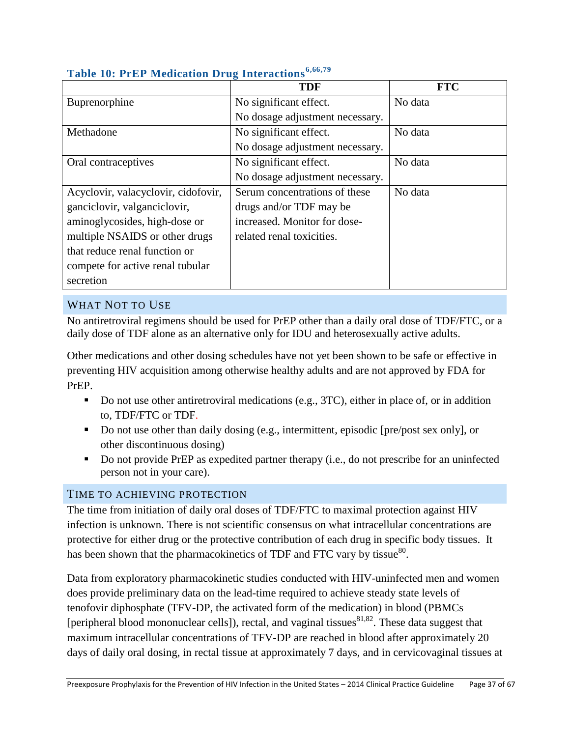|                                     | o<br><b>TDF</b>                 | <b>FTC</b> |
|-------------------------------------|---------------------------------|------------|
| Buprenorphine                       | No significant effect.          | No data    |
|                                     | No dosage adjustment necessary. |            |
| Methadone                           | No significant effect.          | No data    |
|                                     | No dosage adjustment necessary. |            |
| Oral contraceptives                 | No significant effect.          | No data    |
|                                     | No dosage adjustment necessary. |            |
| Acyclovir, valacyclovir, cidofovir, | Serum concentrations of these   | No data    |
| ganciclovir, valganciclovir,        | drugs and/or TDF may be         |            |
| aminoglycosides, high-dose or       | increased. Monitor for dose-    |            |
| multiple NSAIDS or other drugs      | related renal toxicities.       |            |
| that reduce renal function or       |                                 |            |
| compete for active renal tubular    |                                 |            |
| secretion                           |                                 |            |

# **Table 10: PrEP Medication Drug Interactions6,66,79**

# <span id="page-36-0"></span>WHAT NOT TO USE

No antiretroviral regimens should be used for PrEP other than a daily oral dose of TDF/FTC, or a daily dose of TDF alone as an alternative only for IDU and heterosexually active adults.

Other medications and other dosing schedules have not yet been shown to be safe or effective in preventing HIV acquisition among otherwise healthy adults and are not approved by FDA for PrEP.

- Do not use other antiretroviral medications (e.g., 3TC), either in place of, or in addition to, TDF/FTC or TDF.
- Do not use other than daily dosing (e.g., intermittent, episodic [pre/post sex only], or other discontinuous dosing)
- Do not provide PrEP as expedited partner therapy (i.e., do not prescribe for an uninfected person not in your care).

# <span id="page-36-1"></span>TIME TO ACHIEVING PROTECTION

The time from initiation of daily oral doses of TDF/FTC to maximal protection against HIV infection is unknown. There is not scientific consensus on what intracellular concentrations are protective for either drug or the protective contribution of each drug in specific body tissues. It has been shown that the pharmacokinetics of TDF and FTC vary by tissue $^{80}$ .

Data from exploratory pharmacokinetic studies conducted with HIV-uninfected men and women does provide preliminary data on the lead-time required to achieve steady state levels of tenofovir diphosphate (TFV-DP, the activated form of the medication) in blood (PBMCs [peripheral blood mononuclear cells]), rectal, and vaginal tissues  $81,82$ . These data suggest that maximum intracellular concentrations of TFV-DP are reached in blood after approximately 20 days of daily oral dosing, in rectal tissue at approximately 7 days, and in cervicovaginal tissues at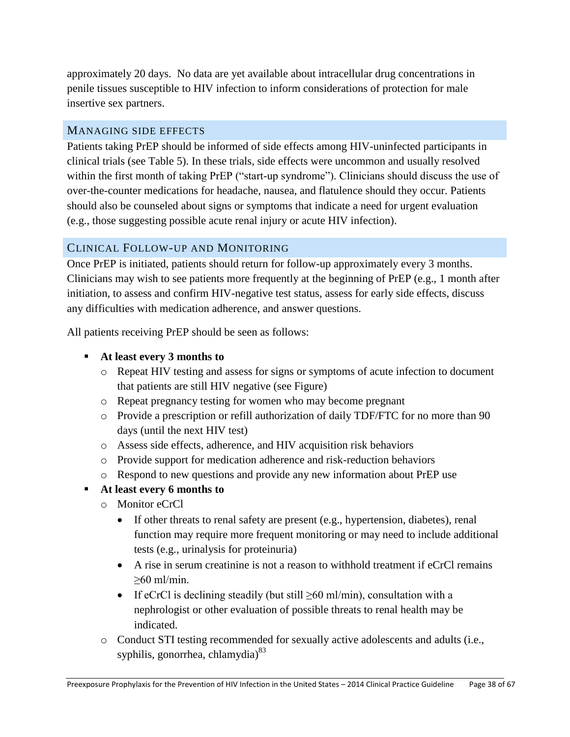approximately 20 days. No data are yet available about intracellular drug concentrations in penile tissues susceptible to HIV infection to inform considerations of protection for male insertive sex partners.

#### <span id="page-37-0"></span>MANAGING SIDE EFFECTS

Patients taking PrEP should be informed of side effects among HIV-uninfected participants in clinical trials (see Table 5). In these trials, side effects were uncommon and usually resolved within the first month of taking PrEP ("start-up syndrome"). Clinicians should discuss the use of over-the-counter medications for headache, nausea, and flatulence should they occur. Patients should also be counseled about signs or symptoms that indicate a need for urgent evaluation (e.g., those suggesting possible acute renal injury or acute HIV infection).

# <span id="page-37-1"></span>CLINICAL FOLLOW-UP AND MONITORING

Once PrEP is initiated, patients should return for follow-up approximately every 3 months. Clinicians may wish to see patients more frequently at the beginning of PrEP (e.g., 1 month after initiation, to assess and confirm HIV-negative test status, assess for early side effects, discuss any difficulties with medication adherence, and answer questions.

All patients receiving PrEP should be seen as follows:

- **At least every 3 months to**
	- o Repeat HIV testing and assess for signs or symptoms of acute infection to document that patients are still HIV negative (see Figure)
	- o Repeat pregnancy testing for women who may become pregnant
	- o Provide a prescription or refill authorization of daily TDF/FTC for no more than 90 days (until the next HIV test)
	- o Assess side effects, adherence, and HIV acquisition risk behaviors
	- o Provide support for medication adherence and risk-reduction behaviors
	- o Respond to new questions and provide any new information about PrEP use
- **At least every 6 months to**
	- o Monitor eCrCl
		- If other threats to renal safety are present (e.g., hypertension, diabetes), renal function may require more frequent monitoring or may need to include additional tests (e.g., urinalysis for proteinuria)
		- A rise in serum creatinine is not a reason to withhold treatment if eCrCl remains ≥60 ml/min.
		- If eCrCl is declining steadily (but still  $\geq 60$  ml/min), consultation with a nephrologist or other evaluation of possible threats to renal health may be indicated.
	- o Conduct STI testing recommended for sexually active adolescents and adults (i.e., syphilis, gonorrhea, chlamydia)<sup>83</sup>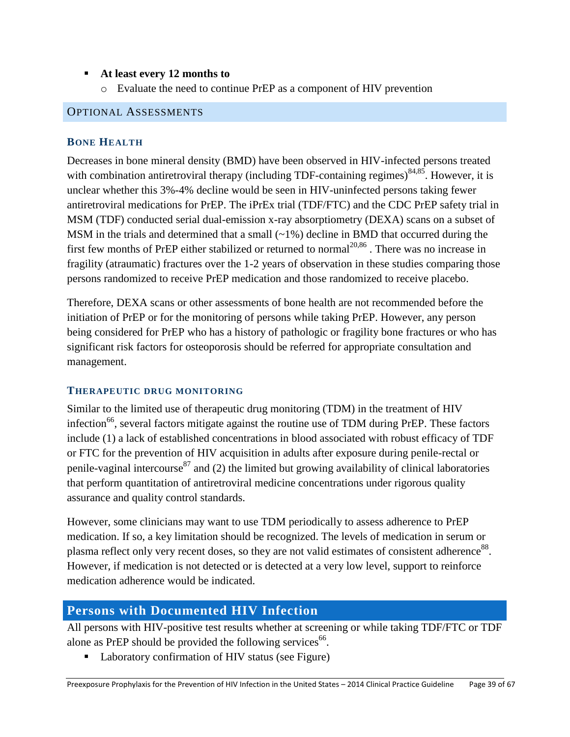#### **At least every 12 months to**

o Evaluate the need to continue PrEP as a component of HIV prevention

#### <span id="page-38-1"></span><span id="page-38-0"></span>OPTIONAL ASSESSMENTS

#### **BONE HEALTH**

Decreases in bone mineral density (BMD) have been observed in HIV-infected persons treated with combination antiretroviral therapy (including TDF-containing regimes) $84,85$ . However, it is unclear whether this 3%-4% decline would be seen in HIV-uninfected persons taking fewer antiretroviral medications for PrEP. The iPrEx trial (TDF/FTC) and the CDC PrEP safety trial in MSM (TDF) conducted serial dual-emission x-ray absorptiometry (DEXA) scans on a subset of MSM in the trials and determined that a small  $(\sim 1\%)$  decline in BMD that occurred during the first few months of PrEP either stabilized or returned to normal<sup>20,86</sup>. There was no increase in fragility (atraumatic) fractures over the 1-2 years of observation in these studies comparing those persons randomized to receive PrEP medication and those randomized to receive placebo.

Therefore, DEXA scans or other assessments of bone health are not recommended before the initiation of PrEP or for the monitoring of persons while taking PrEP. However, any person being considered for PrEP who has a history of pathologic or fragility bone fractures or who has significant risk factors for osteoporosis should be referred for appropriate consultation and management.

#### <span id="page-38-2"></span>**THERAPEUTIC DRUG MONITORING**

Similar to the limited use of therapeutic drug monitoring (TDM) in the treatment of HIV infection<sup>66</sup>, several factors mitigate against the routine use of TDM during PrEP. These factors include (1) a lack of established concentrations in blood associated with robust efficacy of TDF or FTC for the prevention of HIV acquisition in adults after exposure during penile-rectal or penile-vaginal intercourse<sup>87</sup> and (2) the limited but growing availability of clinical laboratories that perform quantitation of antiretroviral medicine concentrations under rigorous quality assurance and quality control standards.

However, some clinicians may want to use TDM periodically to assess adherence to PrEP medication. If so, a key limitation should be recognized. The levels of medication in serum or plasma reflect only very recent doses, so they are not valid estimates of consistent adherence $^{88}$ . However, if medication is not detected or is detected at a very low level, support to reinforce medication adherence would be indicated.

# <span id="page-38-3"></span>**Persons with Documented HIV Infection**

All persons with HIV-positive test results whether at screening or while taking TDF/FTC or TDF alone as PrEP should be provided the following services $^{66}$ .

■ Laboratory confirmation of HIV status (see Figure)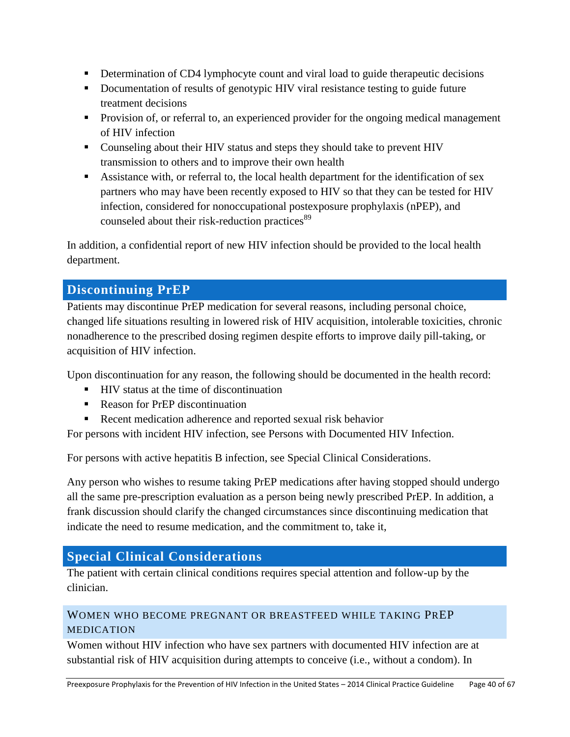- Determination of CD4 lymphocyte count and viral load to guide therapeutic decisions
- Documentation of results of genotypic HIV viral resistance testing to guide future treatment decisions
- **Provision of, or referral to, an experienced provider for the ongoing medical management** of HIV infection
- Counseling about their HIV status and steps they should take to prevent HIV transmission to others and to improve their own health
- Assistance with, or referral to, the local health department for the identification of sex partners who may have been recently exposed to HIV so that they can be tested for HIV infection, considered for nonoccupational postexposure prophylaxis (nPEP), and counseled about their risk-reduction practices<sup>89</sup>

In addition, a confidential report of new HIV infection should be provided to the local health department.

# <span id="page-39-0"></span>**Discontinuing PrEP**

Patients may discontinue PrEP medication for several reasons, including personal choice, changed life situations resulting in lowered risk of HIV acquisition, intolerable toxicities, chronic nonadherence to the prescribed dosing regimen despite efforts to improve daily pill-taking, or acquisition of HIV infection.

Upon discontinuation for any reason, the following should be documented in the health record:

- HIV status at the time of discontinuation
- Reason for PrEP discontinuation
- Recent medication adherence and reported sexual risk behavior

For persons with incident HIV infection, see Persons with Documented HIV Infection.

For persons with active hepatitis B infection, see Special Clinical Considerations.

Any person who wishes to resume taking PrEP medications after having stopped should undergo all the same pre-prescription evaluation as a person being newly prescribed PrEP. In addition, a frank discussion should clarify the changed circumstances since discontinuing medication that indicate the need to resume medication, and the commitment to, take it,

# <span id="page-39-1"></span>**Special Clinical Considerations**

The patient with certain clinical conditions requires special attention and follow-up by the clinician.

# <span id="page-39-2"></span>WOMEN WHO BECOME PREGNANT OR BREASTFEED WHILE TAKING PREP MEDICATION

Women without HIV infection who have sex partners with documented HIV infection are at substantial risk of HIV acquisition during attempts to conceive (i.e., without a condom). In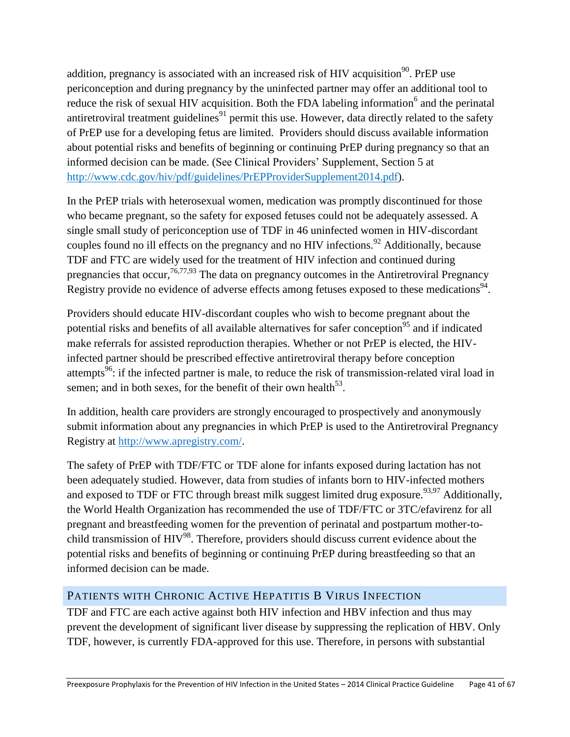addition, pregnancy is associated with an increased risk of HIV acquisition<sup>90</sup>. PrEP use periconception and during pregnancy by the uninfected partner may offer an additional tool to reduce the risk of sexual HIV acquisition. Both the FDA labeling information<sup>6</sup> and the perinatal antiretroviral treatment guidelines<sup>91</sup> permit this use. However, data directly related to the safety of PrEP use for a developing fetus are limited. Providers should discuss available information about potential risks and benefits of beginning or continuing PrEP during pregnancy so that an informed decision can be made. (See Clinical Providers' Supplement, Section 5 at [http://www.cdc.gov/hiv/pdf/guidelines/PrEPProviderSupplement2014.pdf\)](http://www.cdc.gov/hiv/pdf/guidelines/PrEPProviderSupplement2014.pdf).

In the PrEP trials with heterosexual women, medication was promptly discontinued for those who became pregnant, so the safety for exposed fetuses could not be adequately assessed. A single small study of periconception use of TDF in 46 uninfected women in HIV-discordant couples found no ill effects on the pregnancy and no HIV infections.<sup>92</sup> Additionally, because TDF and FTC are widely used for the treatment of HIV infection and continued during pregnancies that occur,  $76,77,93$  The data on pregnancy outcomes in the Antiretroviral Pregnancy Registry provide no evidence of adverse effects among fetuses exposed to these medications<sup>94</sup>.

Providers should educate HIV-discordant couples who wish to become pregnant about the potential risks and benefits of all available alternatives for safer conception<sup>95</sup> and if indicated make referrals for assisted reproduction therapies. Whether or not PrEP is elected, the HIVinfected partner should be prescribed effective antiretroviral therapy before conception attempts<sup>96</sup>: if the infected partner is male, to reduce the risk of transmission-related viral load in semen; and in both sexes, for the benefit of their own health<sup>53</sup>.

In addition, health care providers are strongly encouraged to prospectively and anonymously submit information about any pregnancies in which PrEP is used to the Antiretroviral Pregnancy Registry at [http://www.apregistry.com/.](http://www.apregistry.com/)

The safety of PrEP with TDF/FTC or TDF alone for infants exposed during lactation has not been adequately studied. However, data from studies of infants born to HIV-infected mothers and exposed to TDF or FTC through breast milk suggest limited drug exposure.<sup>93,97</sup> Additionally, the World Health Organization has recommended the use of TDF/FTC or 3TC/efavirenz for all pregnant and breastfeeding women for the prevention of perinatal and postpartum mother-tochild transmission of HIV<sup>98</sup>. Therefore, providers should discuss current evidence about the potential risks and benefits of beginning or continuing PrEP during breastfeeding so that an informed decision can be made.

# <span id="page-40-0"></span>PATIENTS WITH CHRONIC ACTIVE HEPATITIS B VIRUS INFECTION

TDF and FTC are each active against both HIV infection and HBV infection and thus may prevent the development of significant liver disease by suppressing the replication of HBV. Only TDF, however, is currently FDA-approved for this use. Therefore, in persons with substantial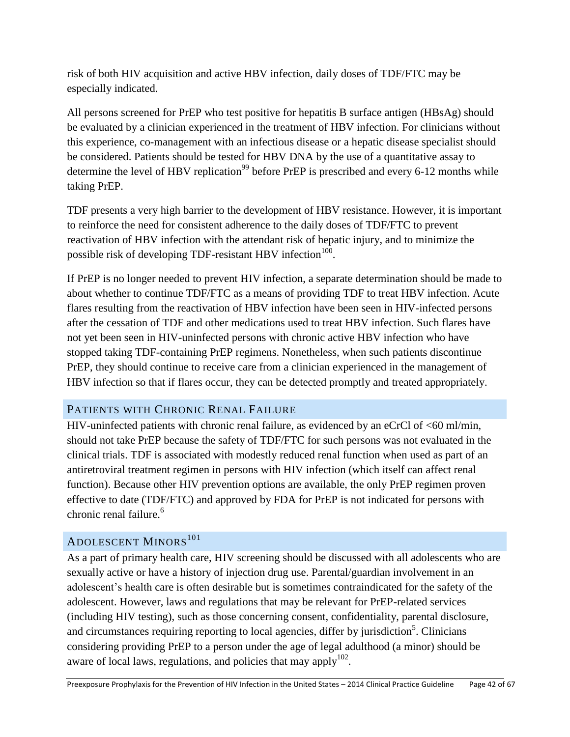risk of both HIV acquisition and active HBV infection, daily doses of TDF/FTC may be especially indicated.

All persons screened for PrEP who test positive for hepatitis B surface antigen (HBsAg) should be evaluated by a clinician experienced in the treatment of HBV infection. For clinicians without this experience, co-management with an infectious disease or a hepatic disease specialist should be considered. Patients should be tested for HBV DNA by the use of a quantitative assay to determine the level of HBV replication<sup>99</sup> before PrEP is prescribed and every 6-12 months while taking PrEP.

TDF presents a very high barrier to the development of HBV resistance. However, it is important to reinforce the need for consistent adherence to the daily doses of TDF/FTC to prevent reactivation of HBV infection with the attendant risk of hepatic injury, and to minimize the possible risk of developing TDF-resistant HBV infection $^{100}$ .

If PrEP is no longer needed to prevent HIV infection, a separate determination should be made to about whether to continue TDF/FTC as a means of providing TDF to treat HBV infection. Acute flares resulting from the reactivation of HBV infection have been seen in HIV-infected persons after the cessation of TDF and other medications used to treat HBV infection. Such flares have not yet been seen in HIV-uninfected persons with chronic active HBV infection who have stopped taking TDF-containing PrEP regimens. Nonetheless, when such patients discontinue PrEP, they should continue to receive care from a clinician experienced in the management of HBV infection so that if flares occur, they can be detected promptly and treated appropriately.

# <span id="page-41-0"></span>PATIENTS WITH CHRONIC RENAL FAILURE

HIV-uninfected patients with chronic renal failure, as evidenced by an eCrCl of <60 ml/min, should not take PrEP because the safety of TDF/FTC for such persons was not evaluated in the clinical trials. TDF is associated with modestly reduced renal function when used as part of an antiretroviral treatment regimen in persons with HIV infection (which itself can affect renal function). Because other HIV prevention options are available, the only PrEP regimen proven effective to date (TDF/FTC) and approved by FDA for PrEP is not indicated for persons with chronic renal failure.<sup>6</sup>

# <span id="page-41-1"></span>ADOLESCENT MINORS<sup>101</sup>

As a part of primary health care, HIV screening should be discussed with all adolescents who are sexually active or have a history of injection drug use. Parental/guardian involvement in an adolescent's health care is often desirable but is sometimes contraindicated for the safety of the adolescent. However, laws and regulations that may be relevant for PrEP-related services (including HIV testing), such as those concerning consent, confidentiality, parental disclosure, and circumstances requiring reporting to local agencies, differ by jurisdiction<sup>5</sup>. Clinicians considering providing PrEP to a person under the age of legal adulthood (a minor) should be aware of local laws, regulations, and policies that may apply $102$ .

Preexposure Prophylaxis for the Prevention of HIV Infection in the United States – 2014 Clinical Practice Guideline Page 42 of 67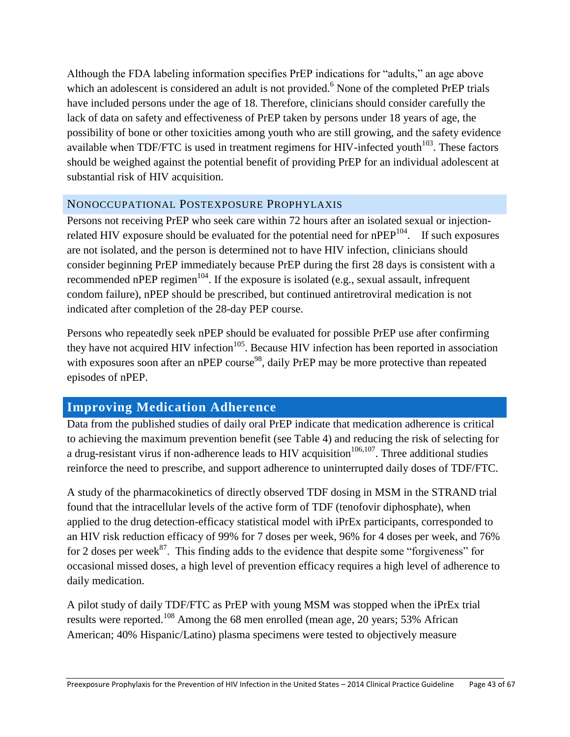Although the FDA labeling information specifies PrEP indications for "adults," an age above which an adolescent is considered an adult is not provided.<sup>6</sup> None of the completed PrEP trials have included persons under the age of 18. Therefore, clinicians should consider carefully the lack of data on safety and effectiveness of PrEP taken by persons under 18 years of age, the possibility of bone or other toxicities among youth who are still growing, and the safety evidence available when TDF/FTC is used in treatment regimens for HIV-infected vouth $103$ . These factors should be weighed against the potential benefit of providing PrEP for an individual adolescent at substantial risk of HIV acquisition.

#### <span id="page-42-0"></span>NONOCCUPATIONAL POSTEXPOSURE PROPHYLAXIS

Persons not receiving PrEP who seek care within 72 hours after an isolated sexual or injectionrelated HIV exposure should be evaluated for the potential need for  $nPEP^{104}$ . If such exposures are not isolated, and the person is determined not to have HIV infection, clinicians should consider beginning PrEP immediately because PrEP during the first 28 days is consistent with a recommended nPEP regimen<sup>104</sup>. If the exposure is isolated (e.g., sexual assault, infrequent condom failure), nPEP should be prescribed, but continued antiretroviral medication is not indicated after completion of the 28-day PEP course.

Persons who repeatedly seek nPEP should be evaluated for possible PrEP use after confirming they have not acquired HIV infection<sup>105</sup>. Because HIV infection has been reported in association with exposures soon after an nPEP course<sup>98</sup>, daily PrEP may be more protective than repeated episodes of nPEP.

# <span id="page-42-1"></span>**Improving Medication Adherence**

Data from the published studies of daily oral PrEP indicate that medication adherence is critical to achieving the maximum prevention benefit (see Table 4) and reducing the risk of selecting for a drug-resistant virus if non-adherence leads to HIV acquisition<sup> $106,107$ </sup>. Three additional studies reinforce the need to prescribe, and support adherence to uninterrupted daily doses of TDF/FTC.

A study of the pharmacokinetics of directly observed TDF dosing in MSM in the STRAND trial found that the intracellular levels of the active form of TDF (tenofovir diphosphate), when applied to the drug detection-efficacy statistical model with iPrEx participants, corresponded to an HIV risk reduction efficacy of 99% for 7 doses per week, 96% for 4 doses per week, and 76% for 2 doses per week $^{87}$ . This finding adds to the evidence that despite some "forgiveness" for occasional missed doses, a high level of prevention efficacy requires a high level of adherence to daily medication.

A pilot study of daily TDF/FTC as PrEP with young MSM was stopped when the iPrEx trial results were reported.<sup>108</sup> Among the 68 men enrolled (mean age, 20 years; 53% African American; 40% Hispanic/Latino) plasma specimens were tested to objectively measure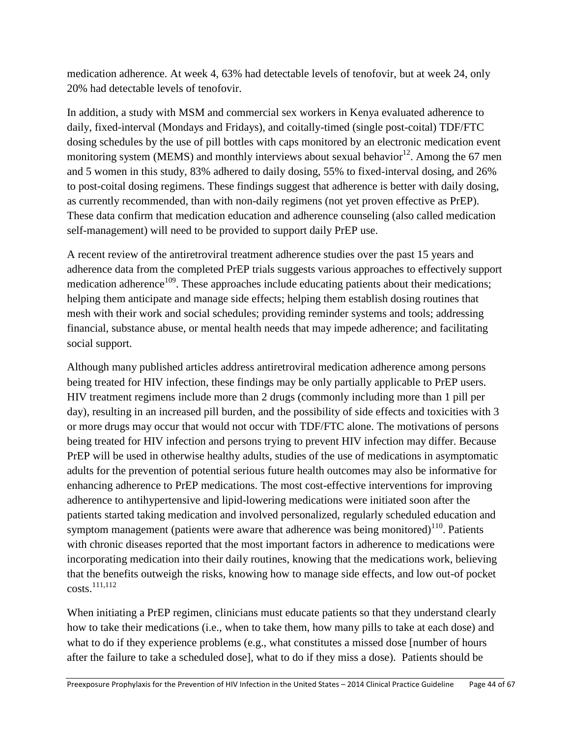medication adherence. At week 4, 63% had detectable levels of tenofovir, but at week 24, only 20% had detectable levels of tenofovir.

In addition, a study with MSM and commercial sex workers in Kenya evaluated adherence to daily, fixed-interval (Mondays and Fridays), and coitally-timed (single post-coital) TDF/FTC dosing schedules by the use of pill bottles with caps monitored by an electronic medication event monitoring system (MEMS) and monthly interviews about sexual behavior<sup>12</sup>. Among the 67 men and 5 women in this study, 83% adhered to daily dosing, 55% to fixed-interval dosing, and 26% to post-coital dosing regimens. These findings suggest that adherence is better with daily dosing, as currently recommended, than with non-daily regimens (not yet proven effective as PrEP). These data confirm that medication education and adherence counseling (also called medication self-management) will need to be provided to support daily PrEP use.

A recent review of the antiretroviral treatment adherence studies over the past 15 years and adherence data from the completed PrEP trials suggests various approaches to effectively support medication adherence<sup>109</sup>. These approaches include educating patients about their medications; helping them anticipate and manage side effects; helping them establish dosing routines that mesh with their work and social schedules; providing reminder systems and tools; addressing financial, substance abuse, or mental health needs that may impede adherence; and facilitating social support.

Although many published articles address antiretroviral medication adherence among persons being treated for HIV infection, these findings may be only partially applicable to PrEP users. HIV treatment regimens include more than 2 drugs (commonly including more than 1 pill per day), resulting in an increased pill burden, and the possibility of side effects and toxicities with 3 or more drugs may occur that would not occur with TDF/FTC alone. The motivations of persons being treated for HIV infection and persons trying to prevent HIV infection may differ. Because PrEP will be used in otherwise healthy adults, studies of the use of medications in asymptomatic adults for the prevention of potential serious future health outcomes may also be informative for enhancing adherence to PrEP medications. The most cost-effective interventions for improving adherence to antihypertensive and lipid-lowering medications were initiated soon after the patients started taking medication and involved personalized, regularly scheduled education and symptom management (patients were aware that adherence was being monitored)<sup>110</sup>. Patients with chronic diseases reported that the most important factors in adherence to medications were incorporating medication into their daily routines, knowing that the medications work, believing that the benefits outweigh the risks, knowing how to manage side effects, and low out-of pocket costs.111,112

When initiating a PrEP regimen, clinicians must educate patients so that they understand clearly how to take their medications (i.e., when to take them, how many pills to take at each dose) and what to do if they experience problems (e.g., what constitutes a missed dose [number of hours after the failure to take a scheduled dose], what to do if they miss a dose). Patients should be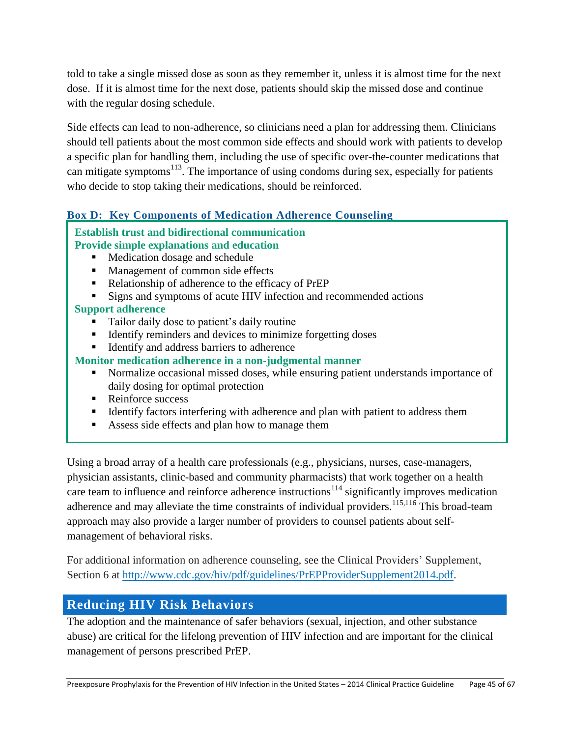told to take a single missed dose as soon as they remember it, unless it is almost time for the next dose. If it is almost time for the next dose, patients should skip the missed dose and continue with the regular dosing schedule.

Side effects can lead to non-adherence, so clinicians need a plan for addressing them. Clinicians should tell patients about the most common side effects and should work with patients to develop a specific plan for handling them, including the use of specific over-the-counter medications that can mitigate symptoms<sup>113</sup>. The importance of using condoms during sex, especially for patients who decide to stop taking their medications, should be reinforced.

# **Box D: Key Components of Medication Adherence Counseling**

#### **Establish trust and bidirectional communication Provide simple explanations and education**

- Medication dosage and schedule
- Management of common side effects
- Relationship of adherence to the efficacy of PrEP
- Signs and symptoms of acute HIV infection and recommended actions

# **Support adherence**

- Tailor daily dose to patient's daily routine
- Identify reminders and devices to minimize forgetting doses
- Identify and address barriers to adherence

# **Monitor medication adherence in a non-judgmental manner**

- Normalize occasional missed doses, while ensuring patient understands importance of daily dosing for optimal protection
- Reinforce success
- Identify factors interfering with adherence and plan with patient to address them
- Assess side effects and plan how to manage them

Using a broad array of a health care professionals (e.g., physicians, nurses, case-managers, physician assistants, clinic-based and community pharmacists) that work together on a health care team to influence and reinforce adherence instructions<sup>114</sup> significantly improves medication adherence and may alleviate the time constraints of individual providers.<sup>115,116</sup> This broad-team approach may also provide a larger number of providers to counsel patients about selfmanagement of behavioral risks.

For additional information on adherence counseling, see the Clinical Providers' Supplement, Section 6 at [http://www.cdc.gov/hiv/pdf/guidelines/PrEPProviderSupplement2014.pdf.](http://www.cdc.gov/hiv/pdf/guidelines/PrEPProviderSupplement2014.pdf)

# <span id="page-44-0"></span>**Reducing HIV Risk Behaviors**

The adoption and the maintenance of safer behaviors (sexual, injection, and other substance abuse) are critical for the lifelong prevention of HIV infection and are important for the clinical management of persons prescribed PrEP.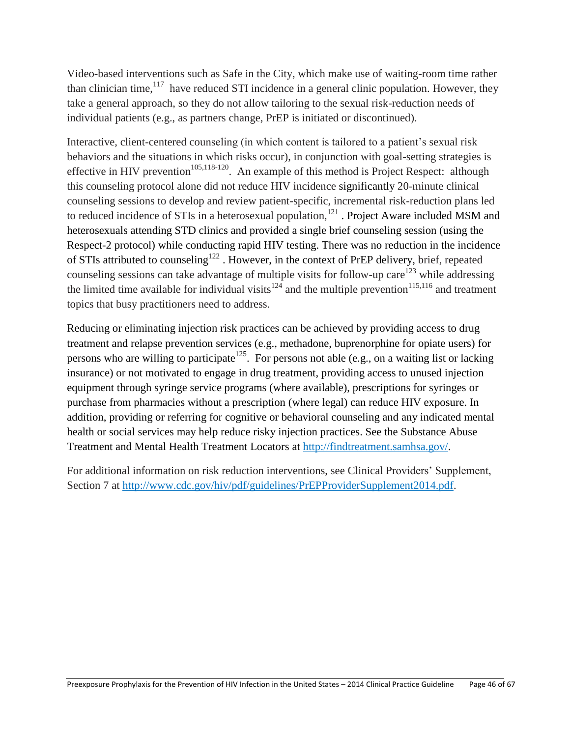Video-based interventions such as Safe in the City, which make use of waiting-room time rather than clinician time,  $117$  have reduced STI incidence in a general clinic population. However, they take a general approach, so they do not allow tailoring to the sexual risk-reduction needs of individual patients (e.g., as partners change, PrEP is initiated or discontinued).

Interactive, client-centered counseling (in which content is tailored to a patient's sexual risk behaviors and the situations in which risks occur), in conjunction with goal-setting strategies is effective in HIV prevention<sup>105,118-120</sup>. An example of this method is Project Respect: although this counseling protocol alone did not reduce HIV incidence significantly 20-minute clinical counseling sessions to develop and review patient-specific, incremental risk-reduction plans led to reduced incidence of STIs in a heterosexual population,<sup>121</sup>. Project Aware included MSM and heterosexuals attending STD clinics and provided a single brief counseling session (using the Respect-2 protocol) while conducting rapid HIV testing. There was no reduction in the incidence of STIs attributed to counseling<sup>122</sup>. However, in the context of PrEP delivery, brief, repeated counseling sessions can take advantage of multiple visits for follow-up care<sup>123</sup> while addressing the limited time available for individual visits<sup>124</sup> and the multiple prevention<sup>115,116</sup> and treatment topics that busy practitioners need to address.

Reducing or eliminating injection risk practices can be achieved by providing access to drug treatment and relapse prevention services (e.g., methadone, buprenorphine for opiate users) for persons who are willing to participate<sup>125</sup>. For persons not able (e.g., on a waiting list or lacking insurance) or not motivated to engage in drug treatment, providing access to unused injection equipment through syringe service programs (where available), prescriptions for syringes or purchase from pharmacies without a prescription (where legal) can reduce HIV exposure. In addition, providing or referring for cognitive or behavioral counseling and any indicated mental health or social services may help reduce risky injection practices. See the Substance Abuse Treatment and Mental Health Treatment Locators at [http://findtreatment.samhsa.gov/.](http://findtreatment.samhsa.gov/)

For additional information on risk reduction interventions, see Clinical Providers' Supplement, Section 7 at [http://www.cdc.gov/hiv/pdf/guidelines/PrEPProviderSupplement2014.pdf.](http://www.cdc.gov/hiv/pdf/guidelines/PrEPProviderSupplement2014.pdf)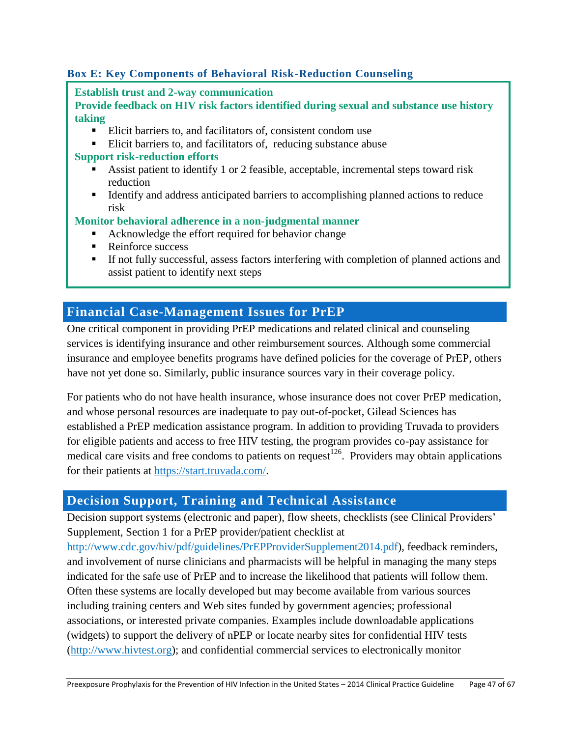# **Box E: Key Components of Behavioral Risk-Reduction Counseling**

**Establish trust and 2-way communication**

**Provide feedback on HIV risk factors identified during sexual and substance use history taking**

- Elicit barriers to, and facilitators of, consistent condom use
- Elicit barriers to, and facilitators of, reducing substance abuse

#### **Support risk-reduction efforts**

- Assist patient to identify 1 or 2 feasible, acceptable, incremental steps toward risk reduction
- Identify and address anticipated barriers to accomplishing planned actions to reduce risk

#### **Monitor behavioral adherence in a non-judgmental manner**

- Acknowledge the effort required for behavior change
- Reinforce success
- If not fully successful, assess factors interfering with completion of planned actions and assist patient to identify next steps

# <span id="page-46-0"></span>**Financial Case-Management Issues for PrEP**

One critical component in providing PrEP medications and related clinical and counseling services is identifying insurance and other reimbursement sources. Although some commercial insurance and employee benefits programs have defined policies for the coverage of PrEP, others have not yet done so. Similarly, public insurance sources vary in their coverage policy.

For patients who do not have health insurance, whose insurance does not cover PrEP medication, and whose personal resources are inadequate to pay out-of-pocket, Gilead Sciences has established a PrEP medication assistance program. In addition to providing Truvada to providers for eligible patients and access to free HIV testing, the program provides co-pay assistance for medical care visits and free condoms to patients on request<sup>126</sup>. Providers may obtain applications for their patients at [https://start.truvada.com/.](https://start.truvada.com/)

# <span id="page-46-1"></span>**Decision Support, Training and Technical Assistance**

Decision support systems (electronic and paper), flow sheets, checklists (see Clinical Providers' Supplement, Section 1 for a PrEP provider/patient checklist at

[http://www.cdc.gov/hiv/pdf/guidelines/PrEPProviderSupplement2014.pdf\)](http://www.cdc.gov/hiv/pdf/guidelines/PrEPProviderSupplement2014.pdf), feedback reminders, and involvement of nurse clinicians and pharmacists will be helpful in managing the many steps indicated for the safe use of PrEP and to increase the likelihood that patients will follow them. Often these systems are locally developed but may become available from various sources including training centers and Web sites funded by government agencies; professional associations, or interested private companies. Examples include downloadable applications (widgets) to support the delivery of nPEP or locate nearby sites for confidential HIV tests [\(http://www.hivtest.org\)](http://www.hivtest.org/); and confidential commercial services to electronically monitor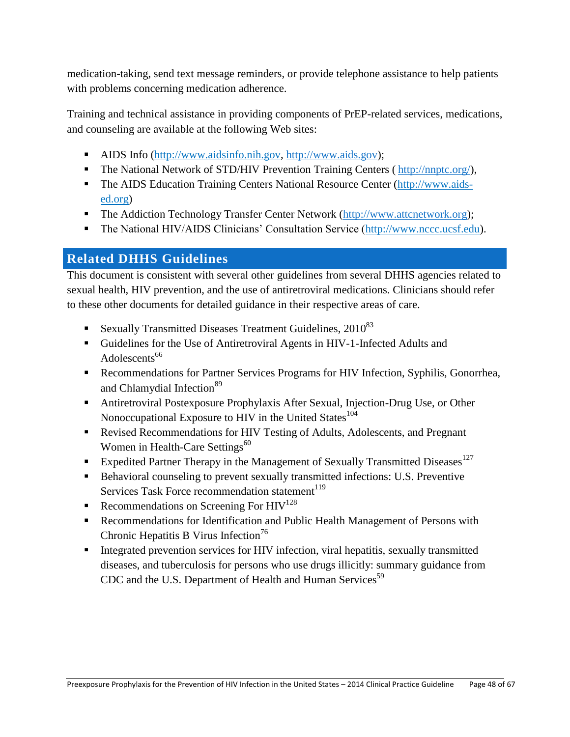medication-taking, send text message reminders, or provide telephone assistance to help patients with problems concerning medication adherence.

Training and technical assistance in providing components of PrEP-related services, medications, and counseling are available at the following Web sites:

- AIDS Info [\(http://www.aidsinfo.nih.gov,](http://www.aidsinfo.nih.gov/) [http://www.aids.gov\)](http://www.aids.gov/);
- The National Network of STD/HIV Prevention Training Centers ( http://nnptc.org/),
- The AIDS Education Training Centers National Resource Center [\(http://www.aids](http://www.aids-ed.org/)[ed.org\)](http://www.aids-ed.org/)
- The Addiction Technology Transfer Center Network [\(http://www.attcnetwork.org\)](http://www.attcnetwork.org/);
- The National HIV/AIDS Clinicians' Consultation Service [\(http://www.nccc.ucsf.edu\)](http://www.nccc.ucsf.edu/).

# <span id="page-47-0"></span>**Related DHHS Guidelines**

This document is consistent with several other guidelines from several DHHS agencies related to sexual health, HIV prevention, and the use of antiretroviral medications. Clinicians should refer to these other documents for detailed guidance in their respective areas of care.

- Sexually Transmitted Diseases Treatment Guidelines,  $2010^{83}$
- Guidelines for the Use of Antiretroviral Agents in HIV-1-Infected Adults and Adolescents<sup>66</sup>
- Recommendations for Partner Services Programs for HIV Infection, Syphilis, Gonorrhea, and Chlamydial Infection<sup>89</sup>
- Antiretroviral Postexposure Prophylaxis After Sexual, Injection-Drug Use, or Other Nonoccupational Exposure to HIV in the United States $104$
- Revised Recommendations for HIV Testing of Adults, Adolescents, and Pregnant Women in Health-Care Settings<sup>60</sup>
- Expedited Partner Therapy in the Management of Sexually Transmitted Diseases<sup>127</sup>
- Behavioral counseling to prevent sexually transmitted infections: U.S. Preventive Services Task Force recommendation statement<sup>119</sup>
- Recommendations on Screening For  $HIV^{128}$
- Recommendations for Identification and Public Health Management of Persons with Chronic Hepatitis B Virus Infection<sup>76</sup>
- **Integrated prevention services for HIV infection, viral hepatitis, sexually transmitted** diseases, and tuberculosis for persons who use drugs illicitly: summary guidance from CDC and the U.S. Department of Health and Human Services<sup>59</sup>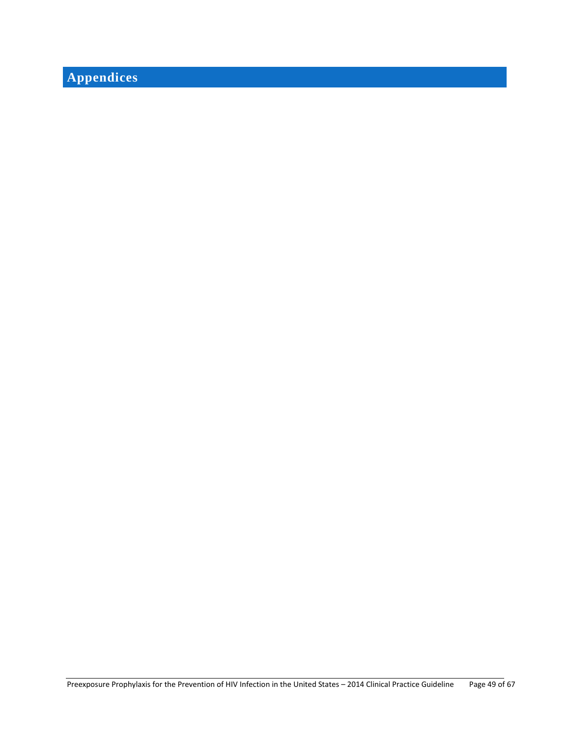# <span id="page-48-0"></span>**Appendices**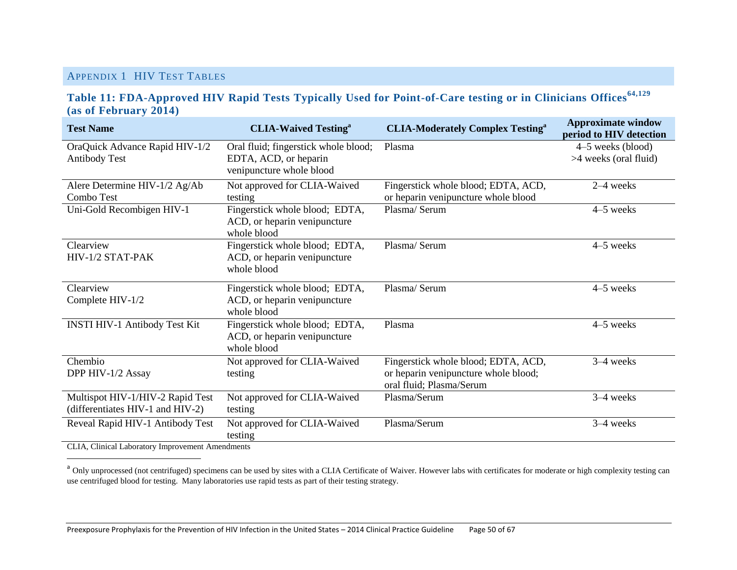#### APPENDIX 1 HIV TEST TABLES

#### **Table 11: FDA-Approved HIV Rapid Tests Typically Used for Point-of-Care testing or in Clinicians Offices64,129 (as of February 2014)**

<span id="page-49-1"></span><span id="page-49-0"></span>

| <b>Test Name</b>                                                     | <b>CLIA-Waived Testing</b> <sup>a</sup>                                       | <b>CLIA-Moderately Complex Testing<sup>a</sup></b>                         | <b>Approximate window</b><br>period to HIV detection |
|----------------------------------------------------------------------|-------------------------------------------------------------------------------|----------------------------------------------------------------------------|------------------------------------------------------|
| OraQuick Advance Rapid HIV-1/2                                       | Oral fluid; fingerstick whole blood;                                          | Plasma                                                                     | 4–5 weeks (blood)                                    |
| <b>Antibody Test</b>                                                 | EDTA, ACD, or heparin<br>venipuncture whole blood                             |                                                                            | >4 weeks (oral fluid)                                |
| Alere Determine HIV-1/2 Ag/Ab<br>Combo Test                          | Not approved for CLIA-Waived<br>testing                                       | Fingerstick whole blood; EDTA, ACD,<br>or heparin venipuncture whole blood | $2-4$ weeks                                          |
| Uni-Gold Recombigen HIV-1                                            | Fingerstick whole blood; EDTA,<br>ACD, or heparin venipuncture<br>whole blood | Plasma/Serum                                                               | 4–5 weeks                                            |
| Clearview                                                            | Fingerstick whole blood; EDTA,                                                | Plasma/Serum                                                               | 4-5 weeks                                            |
| HIV-1/2 STAT-PAK                                                     | ACD, or heparin venipuncture<br>whole blood                                   |                                                                            |                                                      |
| Clearview                                                            | Fingerstick whole blood; EDTA,                                                | Plasma/Serum                                                               | 4–5 weeks                                            |
| Complete HIV-1/2                                                     | ACD, or heparin venipuncture<br>whole blood                                   |                                                                            |                                                      |
| INSTI HIV-1 Antibody Test Kit                                        | Fingerstick whole blood; EDTA,<br>ACD, or heparin venipuncture<br>whole blood | Plasma                                                                     | $4-5$ weeks                                          |
| Chembio                                                              | Not approved for CLIA-Waived                                                  | Fingerstick whole blood; EDTA, ACD,                                        | 3-4 weeks                                            |
| DPP HIV-1/2 Assay                                                    | testing                                                                       | or heparin venipuncture whole blood;<br>oral fluid; Plasma/Serum           |                                                      |
| Multispot HIV-1/HIV-2 Rapid Test<br>(differentiates HIV-1 and HIV-2) | Not approved for CLIA-Waived<br>testing                                       | Plasma/Serum                                                               | 3-4 weeks                                            |
| Reveal Rapid HIV-1 Antibody Test<br>$CITA$ $CIP 1$ $I 1$ $I 1$       | Not approved for CLIA-Waived<br>testing                                       | Plasma/Serum                                                               | 3-4 weeks                                            |

CLIA, Clinical Laboratory Improvement Amendments

l

<sup>a</sup> Only unprocessed (not centrifuged) specimens can be used by sites with a CLIA Certificate of Waiver. However labs with certificates for moderate or high complexity testing can use centrifuged blood for testing. Many laboratories use rapid tests as part of their testing strategy.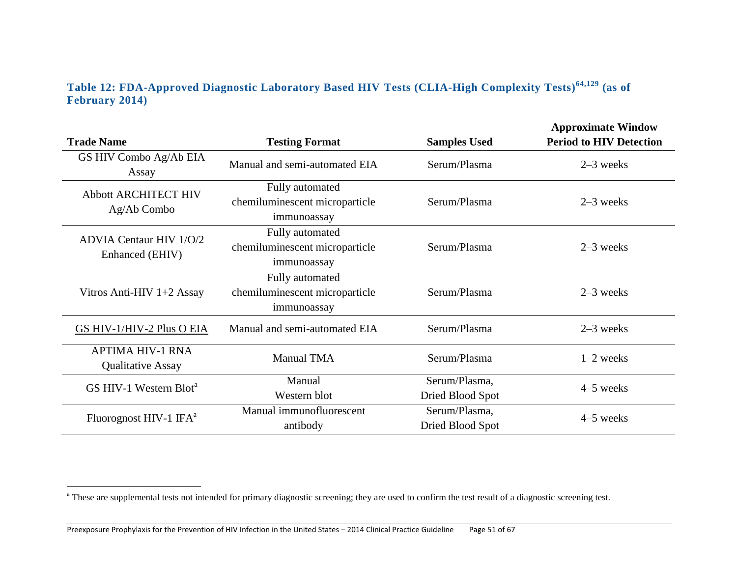# **Table 12: FDA-Approved Diagnostic Laboratory Based HIV Tests (CLIA-High Complexity Tests)64,129 (as of February 2014)**

| <b>Trade Name</b>                                   | <b>Testing Format</b>                                            | <b>Samples Used</b>               | <b>Approximate Window</b><br><b>Period to HIV Detection</b> |
|-----------------------------------------------------|------------------------------------------------------------------|-----------------------------------|-------------------------------------------------------------|
| GS HIV Combo Ag/Ab EIA<br>Assay                     | Manual and semi-automated EIA                                    | Serum/Plasma                      | $2-3$ weeks                                                 |
| <b>Abbott ARCHITECT HIV</b><br>Ag/Ab Combo          | Fully automated<br>chemiluminescent microparticle<br>immunoassay | Serum/Plasma                      | $2-3$ weeks                                                 |
| <b>ADVIA Centaur HIV 1/0/2</b><br>Enhanced (EHIV)   | Fully automated<br>chemiluminescent microparticle<br>immunoassay |                                   | $2-3$ weeks                                                 |
| Vitros Anti-HIV 1+2 Assay                           | Fully automated<br>chemiluminescent microparticle<br>immunoassay | Serum/Plasma                      | $2-3$ weeks                                                 |
| GS HIV-1/HIV-2 Plus O EIA                           | Manual and semi-automated EIA                                    | Serum/Plasma                      | $2-3$ weeks                                                 |
| <b>APTIMA HIV-1 RNA</b><br><b>Qualitative Assay</b> | <b>Manual TMA</b>                                                | Serum/Plasma                      | $1-2$ weeks                                                 |
| GS HIV-1 Western Blot <sup>a</sup>                  | Manual<br>Western blot                                           | Serum/Plasma,<br>Dried Blood Spot | 4–5 weeks                                                   |
| Fluorognost HIV-1 IFA <sup>a</sup>                  | Manual immunofluorescent<br>antibody                             | Serum/Plasma,<br>Dried Blood Spot | 4–5 weeks                                                   |

<span id="page-50-0"></span> $\overline{\phantom{a}}$ 

<sup>&</sup>lt;sup>a</sup> These are supplemental tests not intended for primary diagnostic screening; they are used to confirm the test result of a diagnostic screening test.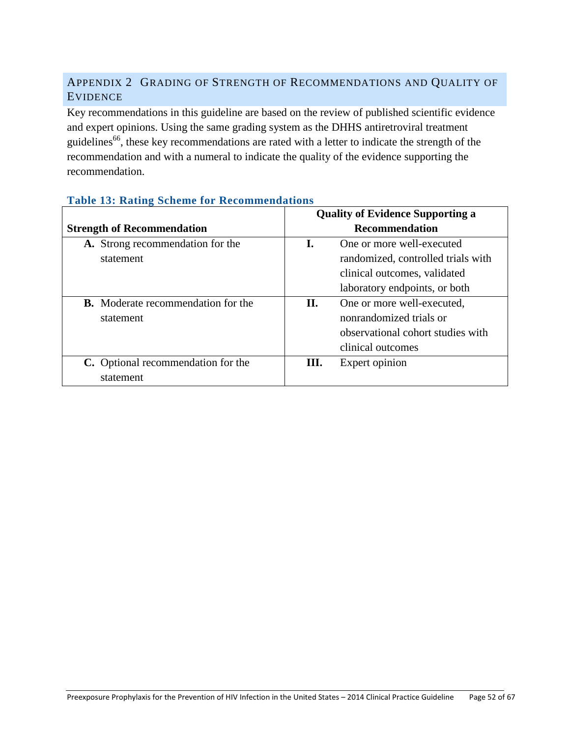# <span id="page-51-0"></span>APPENDIX 2 GRADING OF STRENGTH OF RECOMMENDATIONS AND QUALITY OF EVIDENCE

Key recommendations in this guideline are based on the review of published scientific evidence and expert opinions. Using the same grading system as the DHHS antiretroviral treatment guidelines<sup>66</sup>, these key recommendations are rated with a letter to indicate the strength of the recommendation and with a numeral to indicate the quality of the evidence supporting the recommendation.

|                                           | <b>Quality of Evidence Supporting a</b> |                                    |
|-------------------------------------------|-----------------------------------------|------------------------------------|
| <b>Strength of Recommendation</b>         |                                         | <b>Recommendation</b>              |
| A. Strong recommendation for the          |                                         | One or more well-executed          |
| statement                                 |                                         | randomized, controlled trials with |
|                                           |                                         | clinical outcomes, validated       |
|                                           |                                         | laboratory endpoints, or both      |
| <b>B.</b> Moderate recommendation for the | П.                                      | One or more well-executed,         |
| statement                                 |                                         | nonrandomized trials or            |
|                                           |                                         | observational cohort studies with  |
|                                           |                                         | clinical outcomes                  |
| C. Optional recommendation for the        | Ш.                                      | Expert opinion                     |
| statement                                 |                                         |                                    |

#### **Table 13: Rating Scheme for Recommendations**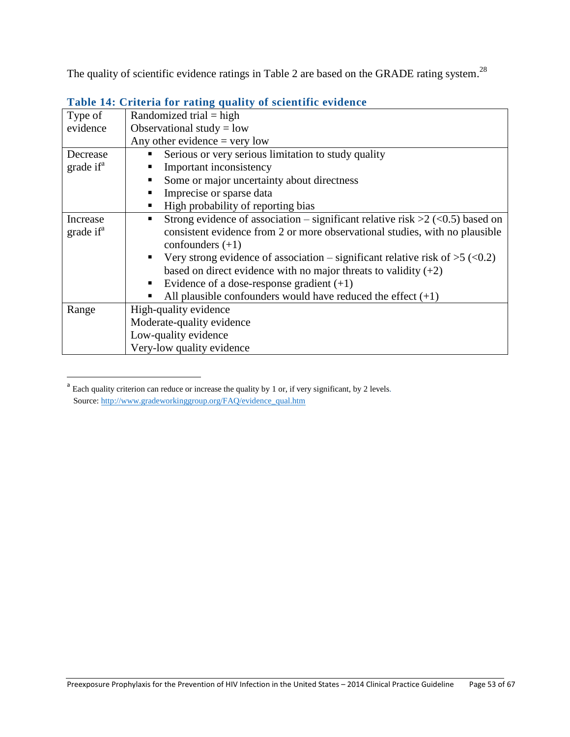The quality of scientific evidence ratings in Table 2 are based on the GRADE rating system.<sup>28</sup>

<span id="page-52-0"></span>

| Type of               | Randomized trial = high                                                         |
|-----------------------|---------------------------------------------------------------------------------|
| evidence              | Observational study = $low$                                                     |
|                       | Any other evidence $=$ very low                                                 |
| Decrease              | Serious or very serious limitation to study quality                             |
| grade if <sup>a</sup> | Important inconsistency                                                         |
|                       | Some or major uncertainty about directness                                      |
|                       | Imprecise or sparse data                                                        |
|                       | High probability of reporting bias                                              |
| Increase              | Strong evidence of association – significant relative risk $>2$ (<0.5) based on |
| grade if <sup>a</sup> | consistent evidence from 2 or more observational studies, with no plausible     |
|                       | confounders $(+1)$                                                              |
|                       | Very strong evidence of association – significant relative risk of $>5$ (<0.2)  |
|                       | based on direct evidence with no major threats to validity $(+2)$               |
|                       | Evidence of a dose-response gradient $(+1)$                                     |
|                       | All plausible confounders would have reduced the effect $(+1)$                  |
| Range                 | High-quality evidence                                                           |
|                       | Moderate-quality evidence                                                       |
|                       | Low-quality evidence                                                            |
|                       | Very-low quality evidence                                                       |

#### **Table 14: Criteria for rating quality of scientific evidence**

l

<sup>&</sup>lt;sup>a</sup> Each quality criterion can reduce or increase the quality by 1 or, if very significant, by 2 levels. Source[: http://www.gradeworkinggroup.org/FAQ/evidence\\_qual.htm](http://www.gradeworkinggroup.org/FAQ/evidence_qual.htm)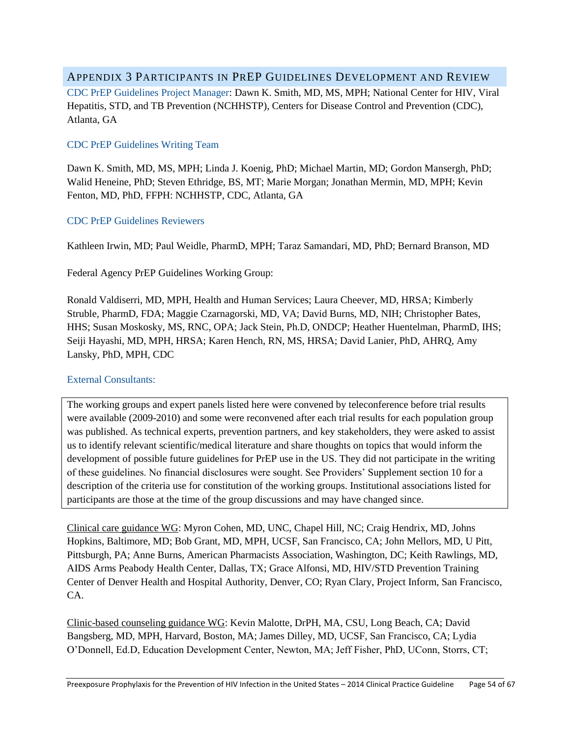#### <span id="page-53-0"></span>APPENDIX 3 PARTICIPANTS IN PREP GUIDELINES DEVELOPMENT AND REVIEW

CDC PrEP Guidelines Project Manager: Dawn K. Smith, MD, MS, MPH; National Center for HIV, Viral Hepatitis, STD, and TB Prevention (NCHHSTP), Centers for Disease Control and Prevention (CDC), Atlanta, GA

#### CDC PrEP Guidelines Writing Team

Dawn K. Smith, MD, MS, MPH; Linda J. Koenig, PhD; Michael Martin, MD; Gordon Mansergh, PhD; Walid Heneine, PhD; Steven Ethridge, BS, MT; Marie Morgan; Jonathan Mermin, MD, MPH; Kevin Fenton, MD, PhD, FFPH: NCHHSTP, CDC, Atlanta, GA

#### CDC PrEP Guidelines Reviewers

Kathleen Irwin, MD; Paul Weidle, PharmD, MPH; Taraz Samandari, MD, PhD; Bernard Branson, MD

Federal Agency PrEP Guidelines Working Group:

Ronald Valdiserri, MD, MPH, Health and Human Services; Laura Cheever, MD, HRSA; Kimberly Struble, PharmD, FDA; Maggie Czarnagorski, MD, VA; David Burns, MD, NIH; Christopher Bates, HHS; Susan Moskosky, MS, RNC, OPA; Jack Stein, Ph.D, ONDCP; Heather Huentelman, PharmD, IHS; Seiji Hayashi, MD, MPH, HRSA; Karen Hench, RN, MS, HRSA; David Lanier, PhD, AHRQ, Amy Lansky, PhD, MPH, CDC

#### External Consultants:

The working groups and expert panels listed here were convened by teleconference before trial results were available (2009-2010) and some were reconvened after each trial results for each population group was published. As technical experts, prevention partners, and key stakeholders, they were asked to assist us to identify relevant scientific/medical literature and share thoughts on topics that would inform the development of possible future guidelines for PrEP use in the US. They did not participate in the writing of these guidelines. No financial disclosures were sought. See Providers' Supplement section 10 for a description of the criteria use for constitution of the working groups. Institutional associations listed for participants are those at the time of the group discussions and may have changed since.

Clinical care guidance WG: Myron Cohen, MD, UNC, Chapel Hill, NC; Craig Hendrix, MD, Johns Hopkins, Baltimore, MD; Bob Grant, MD, MPH, UCSF, San Francisco, CA; John Mellors, MD, U Pitt, Pittsburgh, PA; Anne Burns, American Pharmacists Association, Washington, DC; Keith Rawlings, MD, AIDS Arms Peabody Health Center, Dallas, TX; Grace Alfonsi, MD, HIV/STD Prevention Training Center of Denver Health and Hospital Authority, Denver, CO; Ryan Clary, Project Inform, San Francisco, CA.

Clinic-based counseling guidance WG: Kevin Malotte, DrPH, MA, CSU, Long Beach, CA; David Bangsberg, MD, MPH, Harvard, Boston, MA; James Dilley, MD, UCSF, San Francisco, CA; Lydia O'Donnell, Ed.D, Education Development Center, Newton, MA; Jeff Fisher, PhD, UConn, Storrs, CT;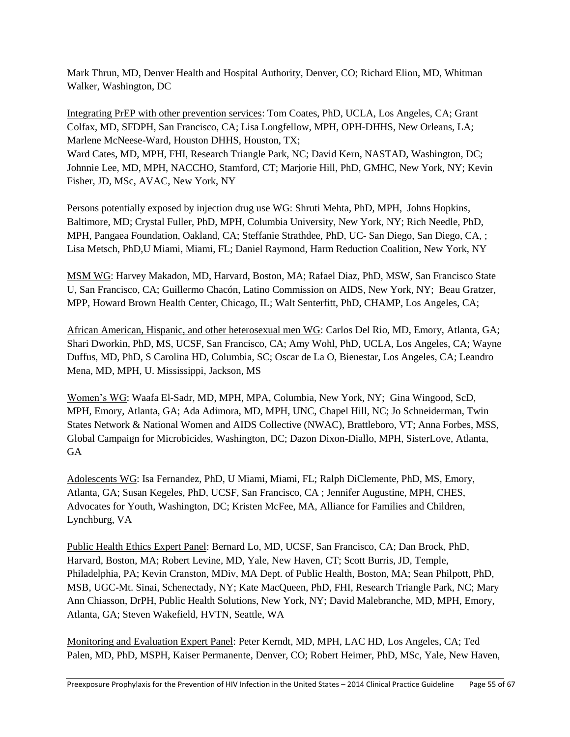Mark Thrun, MD, Denver Health and Hospital Authority, Denver, CO; Richard Elion, MD, Whitman Walker, Washington, DC

Integrating PrEP with other prevention services: Tom Coates, PhD, UCLA, Los Angeles, CA; Grant Colfax, MD, SFDPH, San Francisco, CA; Lisa Longfellow, MPH, OPH-DHHS, New Orleans, LA; Marlene McNeese-Ward, Houston DHHS, Houston, TX;

Ward Cates, MD, MPH, FHI, Research Triangle Park, NC; David Kern, NASTAD, Washington, DC; Johnnie Lee, MD, MPH, NACCHO, Stamford, CT; Marjorie Hill, PhD, GMHC, New York, NY; Kevin Fisher, JD, MSc, AVAC, New York, NY

Persons potentially exposed by injection drug use WG: Shruti Mehta, PhD, MPH, Johns Hopkins, Baltimore, MD; Crystal Fuller, PhD, MPH, Columbia University, New York, NY; Rich Needle, PhD, MPH, Pangaea Foundation, Oakland, CA; Steffanie Strathdee, PhD, UC- San Diego, San Diego, CA, ; Lisa Metsch, PhD,U Miami, Miami, FL; Daniel Raymond, Harm Reduction Coalition, New York, NY

MSM WG: Harvey Makadon, MD, Harvard, Boston, MA; Rafael Diaz, PhD, MSW, San Francisco State U, San Francisco, CA; Guillermo Chacón, Latino Commission on AIDS, New York, NY; Beau Gratzer, MPP, Howard Brown Health Center, Chicago, IL; Walt Senterfitt, PhD, CHAMP, Los Angeles, CA;

African American, Hispanic, and other heterosexual men WG: Carlos Del Rio, MD, Emory, Atlanta, GA; Shari Dworkin, PhD, MS, UCSF, San Francisco, CA; Amy Wohl, PhD, UCLA, Los Angeles, CA; Wayne Duffus, MD, PhD, S Carolina HD, Columbia, SC; Oscar de La O, Bienestar, Los Angeles, CA; Leandro Mena, MD, MPH, U. Mississippi, Jackson, MS

Women's WG: Waafa El-Sadr, MD, MPH, MPA, Columbia, New York, NY; Gina Wingood, ScD, MPH, Emory, Atlanta, GA; Ada Adimora, MD, MPH, UNC, Chapel Hill, NC; Jo Schneiderman, Twin States Network & National Women and AIDS Collective (NWAC), Brattleboro, VT; Anna Forbes, MSS, Global Campaign for Microbicides, Washington, DC; Dazon Dixon-Diallo, MPH, SisterLove, Atlanta, **GA** 

Adolescents WG: Isa Fernandez, PhD, U Miami, Miami, FL; Ralph DiClemente, PhD, MS, Emory, Atlanta, GA; Susan Kegeles, PhD, UCSF, San Francisco, CA ; Jennifer Augustine, MPH, CHES, Advocates for Youth, Washington, DC; Kristen McFee, MA, Alliance for Families and Children, Lynchburg, VA

Public Health Ethics Expert Panel: Bernard Lo, MD, UCSF, San Francisco, CA; Dan Brock, PhD, Harvard, Boston, MA; Robert Levine, MD, Yale, New Haven, CT; Scott Burris, JD, Temple, Philadelphia, PA; Kevin Cranston, MDiv, MA Dept. of Public Health, Boston, MA; Sean Philpott, PhD, MSB, UGC-Mt. Sinai, Schenectady, NY; Kate MacQueen, PhD, FHI, Research Triangle Park, NC; Mary Ann Chiasson, DrPH, Public Health Solutions, New York, NY; David Malebranche, MD, MPH, Emory, Atlanta, GA; Steven Wakefield, HVTN, Seattle, WA

Monitoring and Evaluation Expert Panel: Peter Kerndt, MD, MPH, LAC HD, Los Angeles, CA; Ted Palen, MD, PhD, MSPH, Kaiser Permanente, Denver, CO; Robert Heimer, PhD, MSc, Yale, New Haven,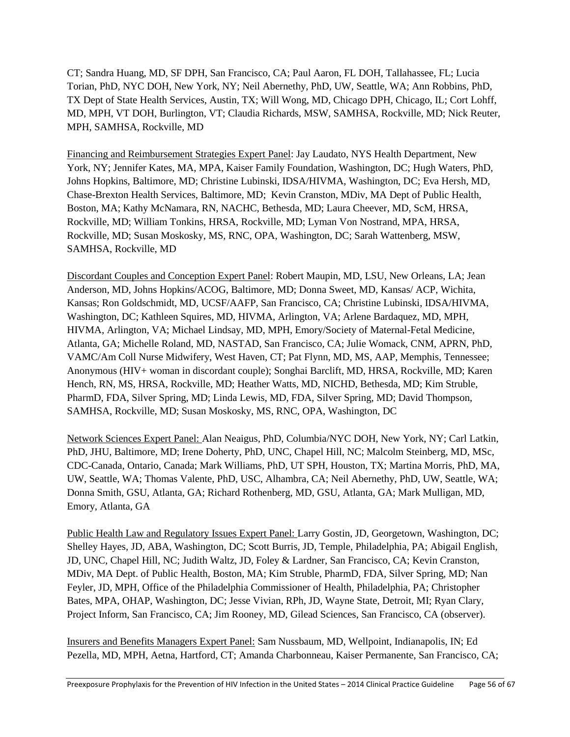CT; Sandra Huang, MD, SF DPH, San Francisco, CA; Paul Aaron, FL DOH, Tallahassee, FL; Lucia Torian, PhD, NYC DOH, New York, NY; Neil Abernethy, PhD, UW, Seattle, WA; Ann Robbins, PhD, TX Dept of State Health Services, Austin, TX; Will Wong, MD, Chicago DPH, Chicago, IL; Cort Lohff, MD, MPH, VT DOH, Burlington, VT; Claudia Richards, MSW, SAMHSA, Rockville, MD; Nick Reuter, MPH, SAMHSA, Rockville, MD

Financing and Reimbursement Strategies Expert Panel: Jay Laudato, NYS Health Department, New York, NY; Jennifer Kates, MA, MPA, Kaiser Family Foundation, Washington, DC; Hugh Waters, PhD, Johns Hopkins, Baltimore, MD; Christine Lubinski, IDSA/HIVMA, Washington, DC; Eva Hersh, MD, Chase-Brexton Health Services, Baltimore, MD; Kevin Cranston, MDiv, MA Dept of Public Health, Boston, MA; Kathy McNamara, RN, NACHC, Bethesda, MD; Laura Cheever, MD, ScM, HRSA, Rockville, MD; William Tonkins, HRSA, Rockville, MD; Lyman Von Nostrand, MPA, HRSA, Rockville, MD; Susan Moskosky, MS, RNC, OPA, Washington, DC; Sarah Wattenberg, MSW, SAMHSA, Rockville, MD

Discordant Couples and Conception Expert Panel: Robert Maupin, MD, LSU, New Orleans, LA; Jean Anderson, MD, Johns Hopkins/ACOG, Baltimore, MD; Donna Sweet, MD, Kansas/ ACP, Wichita, Kansas; Ron Goldschmidt, MD, UCSF/AAFP, San Francisco, CA; Christine Lubinski, IDSA/HIVMA, Washington, DC; Kathleen Squires, MD, HIVMA, Arlington, VA; Arlene Bardaquez, MD, MPH, HIVMA, Arlington, VA; Michael Lindsay, MD, MPH, Emory/Society of Maternal-Fetal Medicine, Atlanta, GA; Michelle Roland, MD, NASTAD, San Francisco, CA; Julie Womack, CNM, APRN, PhD, VAMC/Am Coll Nurse Midwifery, West Haven, CT; Pat Flynn, MD, MS, AAP, Memphis, Tennessee; Anonymous (HIV+ woman in discordant couple); Songhai Barclift, MD, HRSA, Rockville, MD; Karen Hench, RN, MS, HRSA, Rockville, MD; Heather Watts, MD, NICHD, Bethesda, MD; Kim Struble, PharmD, FDA, Silver Spring, MD; Linda Lewis, MD, FDA, Silver Spring, MD; David Thompson, SAMHSA, Rockville, MD; Susan Moskosky, MS, RNC, OPA, Washington, DC

Network Sciences Expert Panel: Alan Neaigus, PhD, Columbia/NYC DOH, New York, NY; Carl Latkin, PhD, JHU, Baltimore, MD; Irene Doherty, PhD, UNC, Chapel Hill, NC; Malcolm Steinberg, MD, MSc, CDC-Canada, Ontario, Canada; Mark Williams, PhD, UT SPH, Houston, TX; Martina Morris, PhD, MA, UW, Seattle, WA; Thomas Valente, PhD, USC, Alhambra, CA; Neil Abernethy, PhD, UW, Seattle, WA; Donna Smith, GSU, Atlanta, GA; Richard Rothenberg, MD, GSU, Atlanta, GA; Mark Mulligan, MD, Emory, Atlanta, GA

Public Health Law and Regulatory Issues Expert Panel: Larry Gostin, JD, Georgetown, Washington, DC; Shelley Hayes, JD, ABA, Washington, DC; Scott Burris, JD, Temple, Philadelphia, PA; Abigail English, JD, UNC, Chapel Hill, NC; Judith Waltz, JD, Foley & Lardner, San Francisco, CA; Kevin Cranston, MDiv, MA Dept. of Public Health, Boston, MA; Kim Struble, PharmD, FDA, Silver Spring, MD; Nan Feyler, JD, MPH, Office of the Philadelphia Commissioner of Health, Philadelphia, PA; Christopher Bates, MPA, OHAP, Washington, DC; Jesse Vivian, RPh, JD, Wayne State, Detroit, MI; Ryan Clary, Project Inform, San Francisco, CA; Jim Rooney, MD, Gilead Sciences, San Francisco, CA (observer).

Insurers and Benefits Managers Expert Panel: Sam Nussbaum, MD, Wellpoint, Indianapolis, IN; Ed Pezella, MD, MPH, Aetna, Hartford, CT; Amanda Charbonneau, Kaiser Permanente, San Francisco, CA;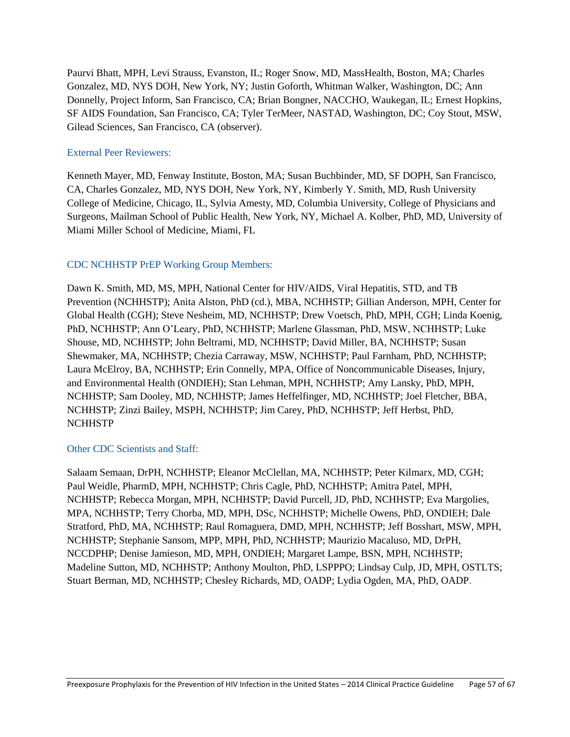Paurvi Bhatt, MPH, Levi Strauss, Evanston, IL; Roger Snow, MD, MassHealth, Boston, MA; Charles Gonzalez, MD, NYS DOH, New York, NY; Justin Goforth, Whitman Walker, Washington, DC; Ann Donnelly, Project Inform, San Francisco, CA; Brian Bongner, NACCHO, Waukegan, IL; Ernest Hopkins, SF AIDS Foundation, San Francisco, CA; Tyler TerMeer, NASTAD, Washington, DC; Coy Stout, MSW, Gilead Sciences, San Francisco, CA (observer).

#### External Peer Reviewers:

Kenneth Mayer, MD, Fenway Institute, Boston, MA; Susan Buchbinder, MD, SF DOPH, San Francisco, CA, Charles Gonzalez, MD, NYS DOH, New York, NY, Kimberly Y. Smith, MD, Rush University College of Medicine, Chicago, IL, Sylvia Amesty, MD, Columbia University, College of Physicians and Surgeons, Mailman School of Public Health, New York, NY, Michael A. Kolber, PhD, MD, University of Miami Miller School of Medicine, Miami, FL

#### CDC NCHHSTP PrEP Working Group Members:

Dawn K. Smith, MD, MS, MPH, National Center for HIV/AIDS, Viral Hepatitis, STD, and TB Prevention (NCHHSTP); Anita Alston, PhD (cd.), MBA, NCHHSTP; Gillian Anderson, MPH, Center for Global Health (CGH); Steve Nesheim, MD, NCHHSTP; Drew Voetsch, PhD, MPH, CGH; Linda Koenig, PhD, NCHHSTP; Ann O'Leary, PhD, NCHHSTP; Marlene Glassman, PhD, MSW, NCHHSTP; Luke Shouse, MD, NCHHSTP; John Beltrami, MD, NCHHSTP; David Miller, BA, NCHHSTP; Susan Shewmaker, MA, NCHHSTP; Chezia Carraway, MSW, NCHHSTP; Paul Farnham, PhD, NCHHSTP; Laura McElroy, BA, NCHHSTP; Erin Connelly, MPA, Office of Noncommunicable Diseases, Injury, and Environmental Health (ONDIEH); Stan Lehman, MPH, NCHHSTP; Amy Lansky, PhD, MPH, NCHHSTP; Sam Dooley, MD, NCHHSTP; James Heffelfinger, MD, NCHHSTP; Joel Fletcher, BBA, NCHHSTP; Zinzi Bailey, MSPH, NCHHSTP; Jim Carey, PhD, NCHHSTP; Jeff Herbst, PhD, **NCHHSTP** 

#### Other CDC Scientists and Staff:

<span id="page-56-0"></span>Salaam Semaan, DrPH, NCHHSTP; Eleanor McClellan, MA, NCHHSTP; Peter Kilmarx, MD, CGH; Paul Weidle, PharmD, MPH, NCHHSTP; Chris Cagle, PhD, NCHHSTP; Amitra Patel, MPH, NCHHSTP; Rebecca Morgan, MPH, NCHHSTP; David Purcell, JD, PhD, NCHHSTP; Eva Margolies, MPA, NCHHSTP; Terry Chorba, MD, MPH, DSc, NCHHSTP; Michelle Owens, PhD, ONDIEH; Dale Stratford, PhD, MA, NCHHSTP; Raul Romaguera, DMD, MPH, NCHHSTP; Jeff Bosshart, MSW, MPH, NCHHSTP; Stephanie Sansom, MPP, MPH, PhD, NCHHSTP; Maurizio Macaluso, MD, DrPH, NCCDPHP; Denise Jamieson, MD, MPH, ONDIEH; Margaret Lampe, BSN, MPH, NCHHSTP; Madeline Sutton, MD, NCHHSTP; Anthony Moulton, PhD, LSPPPO; Lindsay Culp, JD, MPH, OSTLTS; Stuart Berman, MD, NCHHSTP; Chesley Richards, MD, OADP; Lydia Ogden, MA, PhD, OADP.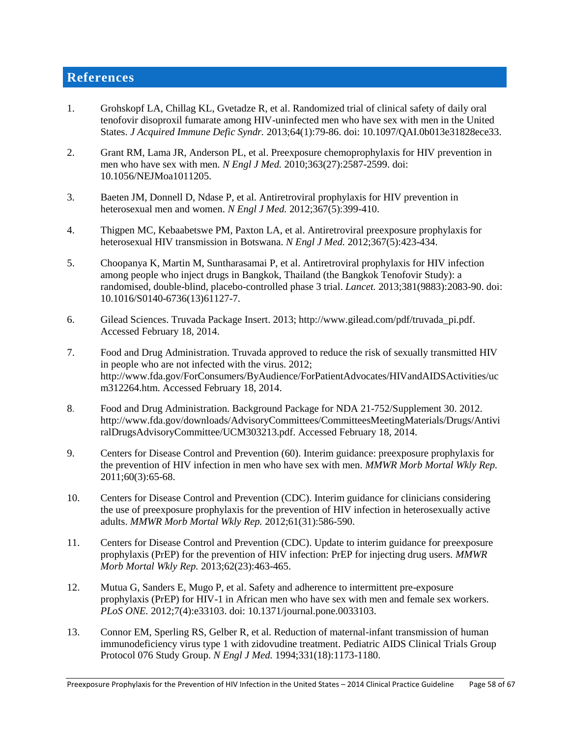# **References**

- 1. Grohskopf LA, Chillag KL, Gvetadze R, et al. Randomized trial of clinical safety of daily oral tenofovir disoproxil fumarate among HIV-uninfected men who have sex with men in the United States. *J Acquired Immune Defic Syndr.* 2013;64(1):79-86. doi: 10.1097/QAI.0b013e31828ece33.
- 2. Grant RM, Lama JR, Anderson PL, et al. Preexposure chemoprophylaxis for HIV prevention in men who have sex with men. *N Engl J Med.* 2010;363(27):2587-2599. doi: 10.1056/NEJMoa1011205.
- 3. Baeten JM, Donnell D, Ndase P, et al. Antiretroviral prophylaxis for HIV prevention in heterosexual men and women. *N Engl J Med.* 2012;367(5):399-410.
- 4. Thigpen MC, Kebaabetswe PM, Paxton LA, et al. Antiretroviral preexposure prophylaxis for heterosexual HIV transmission in Botswana. *N Engl J Med.* 2012;367(5):423-434.
- 5. Choopanya K, Martin M, Suntharasamai P, et al. Antiretroviral prophylaxis for HIV infection among people who inject drugs in Bangkok, Thailand (the Bangkok Tenofovir Study): a randomised, double-blind, placebo-controlled phase 3 trial. *Lancet.* 2013;381(9883):2083-90. doi: 10.1016/S0140-6736(13)61127-7.
- 6. Gilead Sciences. Truvada Package Insert. 2013; http://www.gilead.com/pdf/truvada\_pi.pdf. Accessed February 18, 2014.
- 7. Food and Drug Administration. Truvada approved to reduce the risk of sexually transmitted HIV in people who are not infected with the virus. 2012; http://www.fda.gov/ForConsumers/ByAudience/ForPatientAdvocates/HIVandAIDSActivities/uc m312264.htm. Accessed February 18, 2014.
- 8. Food and Drug Administration. Background Package for NDA 21-752/Supplement 30. 2012. http://www.fda.gov/downloads/AdvisoryCommittees/CommitteesMeetingMaterials/Drugs/Antivi ralDrugsAdvisoryCommittee/UCM303213.pdf. Accessed February 18, 2014.
- 9. Centers for Disease Control and Prevention (60). Interim guidance: preexposure prophylaxis for the prevention of HIV infection in men who have sex with men. *MMWR Morb Mortal Wkly Rep.*  2011;60(3):65-68.
- 10. Centers for Disease Control and Prevention (CDC). Interim guidance for clinicians considering the use of preexposure prophylaxis for the prevention of HIV infection in heterosexually active adults. *MMWR Morb Mortal Wkly Rep.* 2012;61(31):586-590.
- 11. Centers for Disease Control and Prevention (CDC). Update to interim guidance for preexposure prophylaxis (PrEP) for the prevention of HIV infection: PrEP for injecting drug users. *MMWR Morb Mortal Wkly Rep.* 2013;62(23):463-465.
- 12. Mutua G, Sanders E, Mugo P, et al. Safety and adherence to intermittent pre-exposure prophylaxis (PrEP) for HIV-1 in African men who have sex with men and female sex workers. *PLoS ONE.* 2012;7(4):e33103. doi: 10.1371/journal.pone.0033103.
- 13. Connor EM, Sperling RS, Gelber R, et al. Reduction of maternal-infant transmission of human immunodeficiency virus type 1 with zidovudine treatment. Pediatric AIDS Clinical Trials Group Protocol 076 Study Group. *N Engl J Med.* 1994;331(18):1173-1180.

Preexposure Prophylaxis for the Prevention of HIV Infection in the United States – 2014 Clinical Practice Guideline Page 58 of 67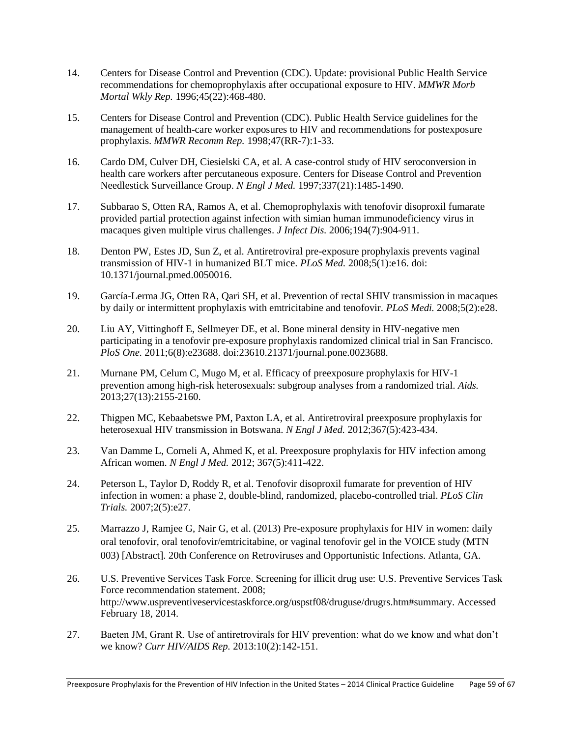- 14. Centers for Disease Control and Prevention (CDC). Update: provisional Public Health Service recommendations for chemoprophylaxis after occupational exposure to HIV. *MMWR Morb Mortal Wkly Rep.* 1996;45(22):468-480.
- 15. Centers for Disease Control and Prevention (CDC). Public Health Service guidelines for the management of health-care worker exposures to HIV and recommendations for postexposure prophylaxis. *MMWR Recomm Rep.* 1998;47(RR-7):1-33.
- 16. Cardo DM, Culver DH, Ciesielski CA, et al. A case-control study of HIV seroconversion in health care workers after percutaneous exposure. Centers for Disease Control and Prevention Needlestick Surveillance Group. *N Engl J Med.* 1997;337(21):1485-1490.
- 17. Subbarao S, Otten RA, Ramos A, et al. Chemoprophylaxis with tenofovir disoproxil fumarate provided partial protection against infection with simian human immunodeficiency virus in macaques given multiple virus challenges. *J Infect Dis.* 2006;194(7):904-911.
- 18. Denton PW, Estes JD, Sun Z, et al. Antiretroviral pre-exposure prophylaxis prevents vaginal transmission of HIV-1 in humanized BLT mice. *PLoS Med.* 2008;5(1):e16. doi: 10.1371/journal.pmed.0050016.
- 19. García-Lerma JG, Otten RA, Qari SH, et al. Prevention of rectal SHIV transmission in macaques by daily or intermittent prophylaxis with emtricitabine and tenofovir. *PLoS Medi.* 2008;5(2):e28.
- 20. Liu AY, Vittinghoff E, Sellmeyer DE, et al. Bone mineral density in HIV-negative men participating in a tenofovir pre-exposure prophylaxis randomized clinical trial in San Francisco. *PloS One.* 2011;6(8):e23688. doi:23610.21371/journal.pone.0023688.
- 21. Murnane PM, Celum C, Mugo M, et al. Efficacy of preexposure prophylaxis for HIV-1 prevention among high-risk heterosexuals: subgroup analyses from a randomized trial. *Aids.*  2013;27(13):2155-2160.
- 22. Thigpen MC, Kebaabetswe PM, Paxton LA, et al. Antiretroviral preexposure prophylaxis for heterosexual HIV transmission in Botswana. *N Engl J Med.* 2012;367(5):423-434.
- 23. Van Damme L, Corneli A, Ahmed K, et al. Preexposure prophylaxis for HIV infection among African women. *N Engl J Med.* 2012; 367(5):411-422.
- 24. Peterson L, Taylor D, Roddy R, et al. Tenofovir disoproxil fumarate for prevention of HIV infection in women: a phase 2, double-blind, randomized, placebo-controlled trial. *PLoS Clin Trials.* 2007;2(5):e27.
- 25. Marrazzo J, Ramjee G, Nair G, et al. (2013) Pre-exposure prophylaxis for HIV in women: daily oral tenofovir, oral tenofovir/emtricitabine, or vaginal tenofovir gel in the VOICE study (MTN 003) [Abstract]. 20th Conference on Retroviruses and Opportunistic Infections. Atlanta, GA.
- 26. U.S. Preventive Services Task Force. Screening for illicit drug use: U.S. Preventive Services Task Force recommendation statement. 2008; http://www.uspreventiveservicestaskforce.org/uspstf08/druguse/drugrs.htm#summary. Accessed February 18, 2014.
- 27. Baeten JM, Grant R. Use of antiretrovirals for HIV prevention: what do we know and what don't we know? *Curr HIV/AIDS Rep.* 2013:10(2):142-151.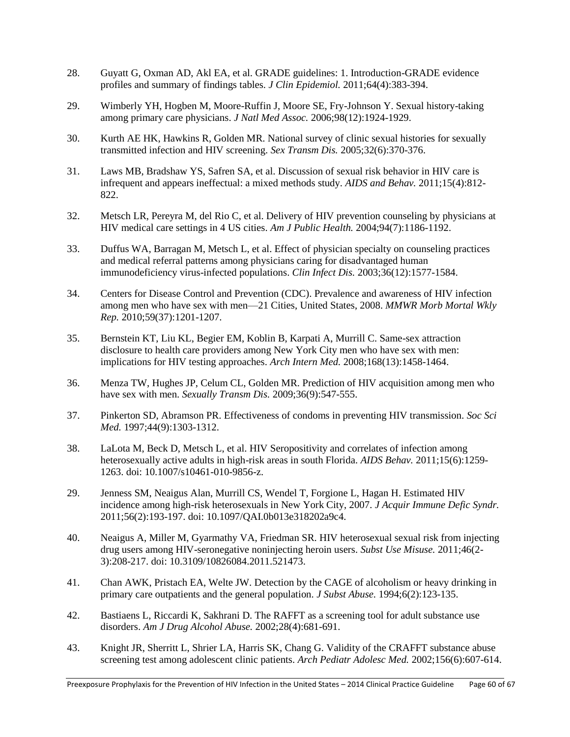- 28. Guyatt G, Oxman AD, Akl EA, et al. GRADE guidelines: 1. Introduction-GRADE evidence profiles and summary of findings tables. *J Clin Epidemiol.* 2011;64(4):383-394.
- 29. Wimberly YH, Hogben M, Moore-Ruffin J, Moore SE, Fry-Johnson Y. Sexual history-taking among primary care physicians. *J Natl Med Assoc.* 2006;98(12):1924-1929.
- 30. Kurth AE HK, Hawkins R, Golden MR. National survey of clinic sexual histories for sexually transmitted infection and HIV screening. *Sex Transm Dis.* 2005;32(6):370-376.
- 31. Laws MB, Bradshaw YS, Safren SA, et al. Discussion of sexual risk behavior in HIV care is infrequent and appears ineffectual: a mixed methods study. *AIDS and Behav.* 2011;15(4):812- 822.
- 32. Metsch LR, Pereyra M, del Rio C, et al. Delivery of HIV prevention counseling by physicians at HIV medical care settings in 4 US cities. *Am J Public Health.* 2004;94(7):1186-1192.
- 33. Duffus WA, Barragan M, Metsch L, et al. Effect of physician specialty on counseling practices and medical referral patterns among physicians caring for disadvantaged human immunodeficiency virus-infected populations. *Clin Infect Dis.* 2003;36(12):1577-1584.
- 34. Centers for Disease Control and Prevention (CDC). Prevalence and awareness of HIV infection among men who have sex with men—21 Cities, United States, 2008. *MMWR Morb Mortal Wkly Rep.* 2010;59(37):1201-1207.
- 35. Bernstein KT, Liu KL, Begier EM, Koblin B, Karpati A, Murrill C. Same-sex attraction disclosure to health care providers among New York City men who have sex with men: implications for HIV testing approaches. *Arch Intern Med.* 2008;168(13):1458-1464.
- 36. Menza TW, Hughes JP, Celum CL, Golden MR. Prediction of HIV acquisition among men who have sex with men. *Sexually Transm Dis.* 2009;36(9):547-555.
- 37. Pinkerton SD, Abramson PR. Effectiveness of condoms in preventing HIV transmission. *Soc Sci Med.* 1997;44(9):1303-1312.
- 38. LaLota M, Beck D, Metsch L, et al. HIV Seropositivity and correlates of infection among heterosexually active adults in high-risk areas in south Florida. *AIDS Behav.* 2011;15(6):1259- 1263. doi: 10.1007/s10461-010-9856-z.
- 29. Jenness SM, Neaigus Alan, Murrill CS, Wendel T, Forgione L, Hagan H. Estimated HIV incidence among high-risk heterosexuals in New York City, 2007. *J Acquir Immune Defic Syndr.*  2011;56(2):193-197. doi: 10.1097/QAI.0b013e318202a9c4.
- 40. Neaigus A, Miller M, Gyarmathy VA, Friedman SR. HIV heterosexual sexual risk from injecting drug users among HIV-seronegative noninjecting heroin users. *Subst Use Misuse.* 2011;46(2- 3):208-217. doi: 10.3109/10826084.2011.521473.
- 41. Chan AWK, Pristach EA, Welte JW. Detection by the CAGE of alcoholism or heavy drinking in primary care outpatients and the general population. *J Subst Abuse.* 1994;6(2):123-135.
- 42. Bastiaens L, Riccardi K, Sakhrani D. The RAFFT as a screening tool for adult substance use disorders. *Am J Drug Alcohol Abuse.* 2002;28(4):681-691.
- 43. Knight JR, Sherritt L, Shrier LA, Harris SK, Chang G. Validity of the CRAFFT substance abuse screening test among adolescent clinic patients. *Arch Pediatr Adolesc Med.* 2002;156(6):607-614.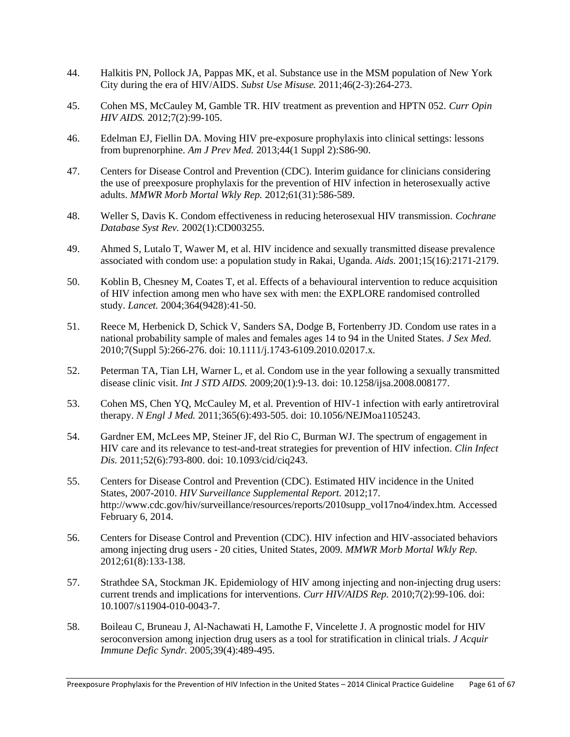- 44. Halkitis PN, Pollock JA, Pappas MK, et al. Substance use in the MSM population of New York City during the era of HIV/AIDS. *Subst Use Misuse.* 2011;46(2-3):264-273.
- 45. Cohen MS, McCauley M, Gamble TR. HIV treatment as prevention and HPTN 052. *Curr Opin HIV AIDS.* 2012;7(2):99-105.
- 46. Edelman EJ, Fiellin DA. Moving HIV pre-exposure prophylaxis into clinical settings: lessons from buprenorphine. *Am J Prev Med.* 2013;44(1 Suppl 2):S86-90.
- 47. Centers for Disease Control and Prevention (CDC). Interim guidance for clinicians considering the use of preexposure prophylaxis for the prevention of HIV infection in heterosexually active adults. *MMWR Morb Mortal Wkly Rep.* 2012;61(31):586-589.
- 48. Weller S, Davis K. Condom effectiveness in reducing heterosexual HIV transmission. *Cochrane Database Syst Rev.* 2002(1):CD003255.
- 49. Ahmed S, Lutalo T, Wawer M, et al. HIV incidence and sexually transmitted disease prevalence associated with condom use: a population study in Rakai, Uganda. *Aids.* 2001;15(16):2171-2179.
- 50. Koblin B, Chesney M, Coates T, et al. Effects of a behavioural intervention to reduce acquisition of HIV infection among men who have sex with men: the EXPLORE randomised controlled study. *Lancet.* 2004;364(9428):41-50.
- 51. Reece M, Herbenick D, Schick V, Sanders SA, Dodge B, Fortenberry JD. Condom use rates in a national probability sample of males and females ages 14 to 94 in the United States. *J Sex Med.*  2010;7(Suppl 5):266-276. doi: 10.1111/j.1743-6109.2010.02017.x.
- 52. Peterman TA, Tian LH, Warner L, et al. Condom use in the year following a sexually transmitted disease clinic visit. *Int J STD AIDS.* 2009;20(1):9-13. doi: 10.1258/ijsa.2008.008177.
- 53. Cohen MS, Chen YQ, McCauley M, et al. Prevention of HIV-1 infection with early antiretroviral therapy. *N Engl J Med.* 2011;365(6):493-505. doi: 10.1056/NEJMoa1105243.
- 54. Gardner EM, McLees MP, Steiner JF, del Rio C, Burman WJ. The spectrum of engagement in HIV care and its relevance to test-and-treat strategies for prevention of HIV infection. *Clin Infect Dis.* 2011;52(6):793-800. doi: 10.1093/cid/ciq243.
- 55. Centers for Disease Control and Prevention (CDC). Estimated HIV incidence in the United States, 2007-2010. *HIV Surveillance Supplemental Report.* 2012;17. http://www.cdc.gov/hiv/surveillance/resources/reports/2010supp\_vol17no4/index.htm. Accessed February 6, 2014.
- 56. Centers for Disease Control and Prevention (CDC). HIV infection and HIV-associated behaviors among injecting drug users - 20 cities, United States, 2009. *MMWR Morb Mortal Wkly Rep.*  2012;61(8):133-138.
- 57. Strathdee SA, Stockman JK. Epidemiology of HIV among injecting and non-injecting drug users: current trends and implications for interventions. *Curr HIV/AIDS Rep.* 2010;7(2):99-106. doi: 10.1007/s11904-010-0043-7.
- 58. Boileau C, Bruneau J, Al-Nachawati H, Lamothe F, Vincelette J. A prognostic model for HIV seroconversion among injection drug users as a tool for stratification in clinical trials. *J Acquir Immune Defic Syndr.* 2005;39(4):489-495.

Preexposure Prophylaxis for the Prevention of HIV Infection in the United States – 2014 Clinical Practice Guideline Page 61 of 67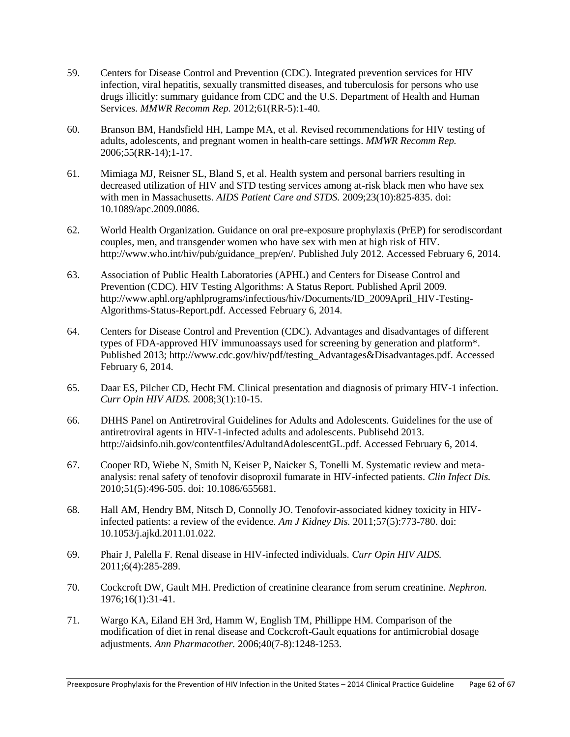- 59. Centers for Disease Control and Prevention (CDC). Integrated prevention services for HIV infection, viral hepatitis, sexually transmitted diseases, and tuberculosis for persons who use drugs illicitly: summary guidance from CDC and the U.S. Department of Health and Human Services. *MMWR Recomm Rep.* 2012;61(RR-5):1-40.
- 60. Branson BM, Handsfield HH, Lampe MA, et al. Revised recommendations for HIV testing of adults, adolescents, and pregnant women in health-care settings. *MMWR Recomm Rep.*  2006;55(RR-14);1-17.
- 61. Mimiaga MJ, Reisner SL, Bland S, et al. Health system and personal barriers resulting in decreased utilization of HIV and STD testing services among at-risk black men who have sex with men in Massachusetts. *AIDS Patient Care and STDS.* 2009;23(10):825-835. doi: 10.1089/apc.2009.0086.
- 62. World Health Organization. Guidance on oral pre-exposure prophylaxis (PrEP) for serodiscordant couples, men, and transgender women who have sex with men at high risk of HIV. http://www.who.int/hiv/pub/guidance\_prep/en/. Published July 2012. Accessed February 6, 2014.
- 63. Association of Public Health Laboratories (APHL) and Centers for Disease Control and Prevention (CDC). HIV Testing Algorithms: A Status Report. Published April 2009. http://www.aphl.org/aphlprograms/infectious/hiv/Documents/ID\_2009April\_HIV-Testing-Algorithms-Status-Report.pdf. Accessed February 6, 2014.
- 64. Centers for Disease Control and Prevention (CDC). Advantages and disadvantages of different types of FDA-approved HIV immunoassays used for screening by generation and platform\*. Published 2013; http://www.cdc.gov/hiv/pdf/testing\_Advantages&Disadvantages.pdf. Accessed February 6, 2014.
- 65. Daar ES, Pilcher CD, Hecht FM. Clinical presentation and diagnosis of primary HIV-1 infection. *Curr Opin HIV AIDS.* 2008;3(1):10-15.
- 66. DHHS Panel on Antiretroviral Guidelines for Adults and Adolescents. Guidelines for the use of antiretroviral agents in HIV-1-infected adults and adolescents. Publisehd 2013. http://aidsinfo.nih.gov/contentfiles/AdultandAdolescentGL.pdf. Accessed February 6, 2014.
- 67. Cooper RD, Wiebe N, Smith N, Keiser P, Naicker S, Tonelli M. Systematic review and metaanalysis: renal safety of tenofovir disoproxil fumarate in HIV-infected patients. *Clin Infect Dis.*  2010;51(5):496-505. doi: 10.1086/655681.
- 68. Hall AM, Hendry BM, Nitsch D, Connolly JO. Tenofovir-associated kidney toxicity in HIVinfected patients: a review of the evidence. *Am J Kidney Dis.* 2011;57(5):773-780. doi: 10.1053/j.ajkd.2011.01.022.
- 69. Phair J, Palella F. Renal disease in HIV-infected individuals. *Curr Opin HIV AIDS.*  2011;6(4):285-289.
- 70. Cockcroft DW, Gault MH. Prediction of creatinine clearance from serum creatinine. *Nephron.*  1976;16(1):31-41.
- 71. Wargo KA, Eiland EH 3rd, Hamm W, English TM, Phillippe HM. Comparison of the modification of diet in renal disease and Cockcroft-Gault equations for antimicrobial dosage adjustments. *Ann Pharmacother.* 2006;40(7-8):1248-1253.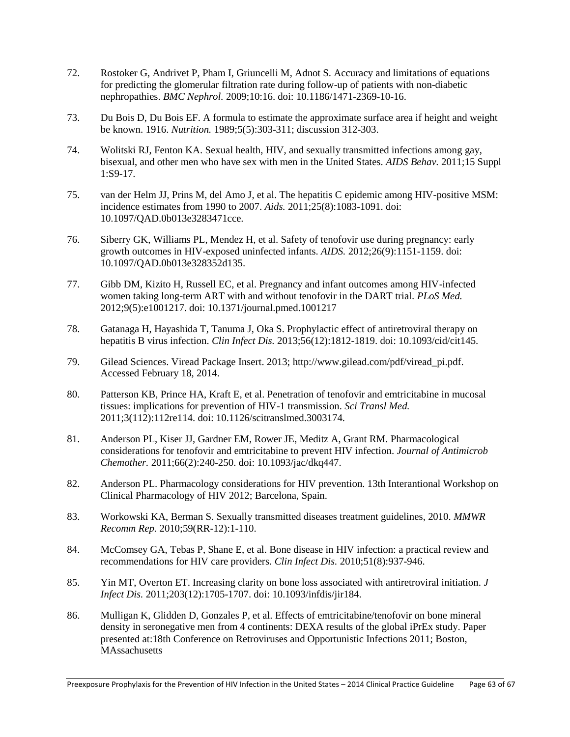- 72. Rostoker G, Andrivet P, Pham I, Griuncelli M, Adnot S. Accuracy and limitations of equations for predicting the glomerular filtration rate during follow-up of patients with non-diabetic nephropathies. *BMC Nephrol.* 2009;10:16. doi: 10.1186/1471-2369-10-16.
- 73. Du Bois D, Du Bois EF. A formula to estimate the approximate surface area if height and weight be known. 1916. *Nutrition.* 1989;5(5):303-311; discussion 312-303.
- 74. Wolitski RJ, Fenton KA. Sexual health, HIV, and sexually transmitted infections among gay, bisexual, and other men who have sex with men in the United States. *AIDS Behav.* 2011;15 Suppl 1:S9-17.
- 75. van der Helm JJ, Prins M, del Amo J, et al. The hepatitis C epidemic among HIV-positive MSM: incidence estimates from 1990 to 2007. *Aids.* 2011;25(8):1083-1091. doi: 10.1097/QAD.0b013e3283471cce.
- 76. Siberry GK, Williams PL, Mendez H, et al. Safety of tenofovir use during pregnancy: early growth outcomes in HIV-exposed uninfected infants. *AIDS.* 2012;26(9):1151-1159. doi: 10.1097/QAD.0b013e328352d135.
- 77. Gibb DM, Kizito H, Russell EC, et al. Pregnancy and infant outcomes among HIV-infected women taking long-term ART with and without tenofovir in the DART trial. *PLoS Med.*  2012;9(5):e1001217. doi: 10.1371/journal.pmed.1001217
- 78. Gatanaga H, Hayashida T, Tanuma J, Oka S. Prophylactic effect of antiretroviral therapy on hepatitis B virus infection. *Clin Infect Dis.* 2013;56(12):1812-1819. doi: 10.1093/cid/cit145.
- 79. Gilead Sciences. Viread Package Insert. 2013; http://www.gilead.com/pdf/viread\_pi.pdf. Accessed February 18, 2014.
- 80. Patterson KB, Prince HA, Kraft E, et al. Penetration of tenofovir and emtricitabine in mucosal tissues: implications for prevention of HIV-1 transmission. *Sci Transl Med.*  2011;3(112):112re114. doi: 10.1126/scitranslmed.3003174.
- 81. Anderson PL, Kiser JJ, Gardner EM, Rower JE, Meditz A, Grant RM. Pharmacological considerations for tenofovir and emtricitabine to prevent HIV infection. *Journal of Antimicrob Chemother.* 2011;66(2):240-250. doi: 10.1093/jac/dkq447.
- 82. Anderson PL. Pharmacology considerations for HIV prevention. 13th Interantional Workshop on Clinical Pharmacology of HIV 2012; Barcelona, Spain.
- 83. Workowski KA, Berman S. Sexually transmitted diseases treatment guidelines, 2010. *MMWR Recomm Rep.* 2010;59(RR-12):1-110.
- 84. McComsey GA, Tebas P, Shane E, et al. Bone disease in HIV infection: a practical review and recommendations for HIV care providers. *Clin Infect Dis.* 2010;51(8):937-946.
- 85. Yin MT, Overton ET. Increasing clarity on bone loss associated with antiretroviral initiation. *J Infect Dis.* 2011;203(12):1705-1707. doi: 10.1093/infdis/jir184.
- 86. Mulligan K, Glidden D, Gonzales P, et al. Effects of emtricitabine/tenofovir on bone mineral density in seronegative men from 4 continents: DEXA results of the global iPrEx study. Paper presented at:18th Conference on Retroviruses and Opportunistic Infections 2011; Boston, **MAssachusetts**

Preexposure Prophylaxis for the Prevention of HIV Infection in the United States – 2014 Clinical Practice Guideline Page 63 of 67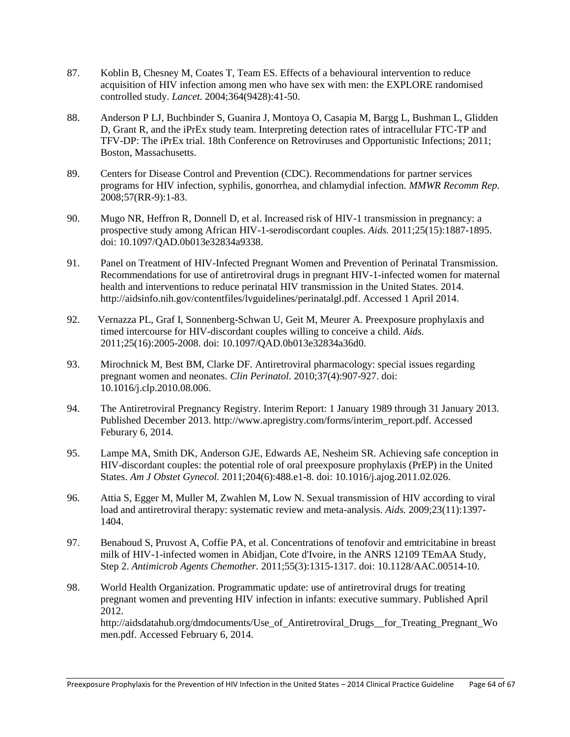- 87. Koblin B, Chesney M, Coates T, Team ES. Effects of a behavioural intervention to reduce acquisition of HIV infection among men who have sex with men: the EXPLORE randomised controlled study. *Lancet.* 2004;364(9428):41-50.
- 88. Anderson P LJ, Buchbinder S, Guanira J, Montoya O, Casapia M, Bargg L, Bushman L, Glidden D, Grant R, and the iPrEx study team. Interpreting detection rates of intracellular FTC-TP and TFV-DP: The iPrEx trial. 18th Conference on Retroviruses and Opportunistic Infections; 2011; Boston, Massachusetts.
- 89. Centers for Disease Control and Prevention (CDC). Recommendations for partner services programs for HIV infection, syphilis, gonorrhea, and chlamydial infection. *MMWR Recomm Rep.*  2008;57(RR-9):1-83.
- 90. Mugo NR, Heffron R, Donnell D, et al. Increased risk of HIV-1 transmission in pregnancy: a prospective study among African HIV-1-serodiscordant couples. *Aids.* 2011;25(15):1887-1895. doi: 10.1097/QAD.0b013e32834a9338.
- 91. Panel on Treatment of HIV-Infected Pregnant Women and Prevention of Perinatal Transmission. Recommendations for use of antiretroviral drugs in pregnant HIV-1-infected women for maternal health and interventions to reduce perinatal HIV transmission in the United States. 2014. http://aidsinfo.nih.gov/contentfiles/lvguidelines/perinatalgl.pdf. Accessed 1 April 2014.
- 92. Vernazza PL, Graf I, Sonnenberg-Schwan U, Geit M, Meurer A. Preexposure prophylaxis and timed intercourse for HIV-discordant couples willing to conceive a child. *Aids.*  2011;25(16):2005-2008. doi: 10.1097/QAD.0b013e32834a36d0.
- 93. Mirochnick M, Best BM, Clarke DF. Antiretroviral pharmacology: special issues regarding pregnant women and neonates. *Clin Perinatol.* 2010;37(4):907-927. doi: 10.1016/j.clp.2010.08.006.
- 94. The Antiretroviral Pregnancy Registry. Interim Report: 1 January 1989 through 31 January 2013. Published December 2013. http://www.apregistry.com/forms/interim\_report.pdf. Accessed Feburary 6, 2014.
- 95. Lampe MA, Smith DK, Anderson GJE, Edwards AE, Nesheim SR. Achieving safe conception in HIV-discordant couples: the potential role of oral preexposure prophylaxis (PrEP) in the United States. *Am J Obstet Gynecol.* 2011;204(6):488.e1-8. doi: 10.1016/j.ajog.2011.02.026.
- 96. Attia S, Egger M, Muller M, Zwahlen M, Low N. Sexual transmission of HIV according to viral load and antiretroviral therapy: systematic review and meta-analysis. *Aids.* 2009;23(11):1397- 1404.
- 97. Benaboud S, Pruvost A, Coffie PA, et al. Concentrations of tenofovir and emtricitabine in breast milk of HIV-1-infected women in Abidjan, Cote d'Ivoire, in the ANRS 12109 TEmAA Study, Step 2. *Antimicrob Agents Chemother.* 2011;55(3):1315-1317. doi: 10.1128/AAC.00514-10.
- 98. World Health Organization. Programmatic update: use of antiretroviral drugs for treating pregnant women and preventing HIV infection in infants: executive summary. Published April 2012.

http://aidsdatahub.org/dmdocuments/Use\_of\_Antiretroviral\_Drugs\_\_for\_Treating\_Pregnant\_Wo men.pdf. Accessed February 6, 2014.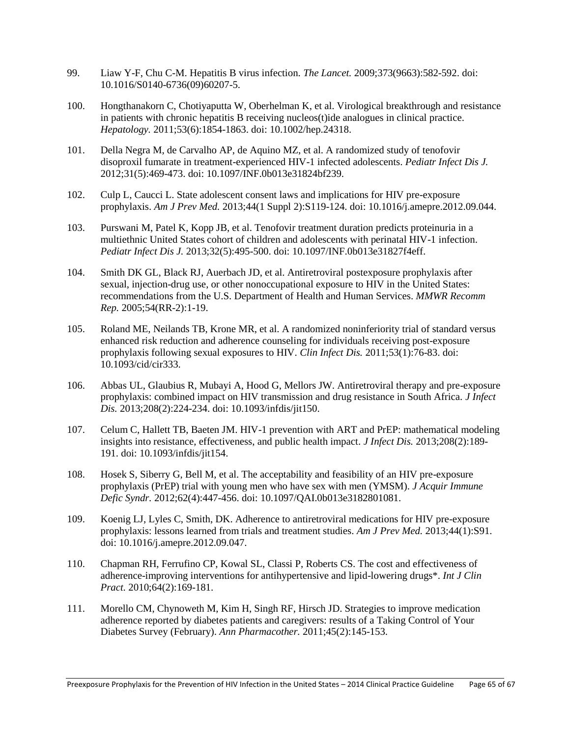- 99. Liaw Y-F, Chu C-M. Hepatitis B virus infection. *The Lancet.* 2009;373(9663):582-592. doi: 10.1016/S0140-6736(09)60207-5.
- 100. Hongthanakorn C, Chotiyaputta W, Oberhelman K, et al. Virological breakthrough and resistance in patients with chronic hepatitis B receiving nucleos(t)ide analogues in clinical practice. *Hepatology.* 2011;53(6):1854-1863. doi: 10.1002/hep.24318.
- 101. Della Negra M, de Carvalho AP, de Aquino MZ, et al. A randomized study of tenofovir disoproxil fumarate in treatment-experienced HIV-1 infected adolescents. *Pediatr Infect Dis J.*  2012;31(5):469-473. doi: 10.1097/INF.0b013e31824bf239.
- 102. Culp L, Caucci L. State adolescent consent laws and implications for HIV pre-exposure prophylaxis. *Am J Prev Med.* 2013;44(1 Suppl 2):S119-124. doi: 10.1016/j.amepre.2012.09.044.
- 103. Purswani M, Patel K, Kopp JB, et al. Tenofovir treatment duration predicts proteinuria in a multiethnic United States cohort of children and adolescents with perinatal HIV-1 infection. *Pediatr Infect Dis J.* 2013;32(5):495-500. doi: 10.1097/INF.0b013e31827f4eff.
- 104. Smith DK GL, Black RJ, Auerbach JD, et al. Antiretroviral postexposure prophylaxis after sexual, injection-drug use, or other nonoccupational exposure to HIV in the United States: recommendations from the U.S. Department of Health and Human Services. *MMWR Recomm Rep.* 2005;54(RR-2):1-19.
- 105. Roland ME, Neilands TB, Krone MR, et al. A randomized noninferiority trial of standard versus enhanced risk reduction and adherence counseling for individuals receiving post-exposure prophylaxis following sexual exposures to HIV. *Clin Infect Dis.* 2011;53(1):76-83. doi: 10.1093/cid/cir333.
- 106. Abbas UL, Glaubius R, Mubayi A, Hood G, Mellors JW. Antiretroviral therapy and pre-exposure prophylaxis: combined impact on HIV transmission and drug resistance in South Africa. *J Infect Dis.* 2013;208(2):224-234. doi: 10.1093/infdis/jit150.
- 107. Celum C, Hallett TB, Baeten JM. HIV-1 prevention with ART and PrEP: mathematical modeling insights into resistance, effectiveness, and public health impact. *J Infect Dis.* 2013;208(2):189- 191. doi: 10.1093/infdis/jit154.
- 108. Hosek S, Siberry G, Bell M, et al. The acceptability and feasibility of an HIV pre-exposure prophylaxis (PrEP) trial with young men who have sex with men (YMSM). *J Acquir Immune Defic Syndr.* 2012;62(4):447-456. doi: 10.1097/QAI.0b013e3182801081.
- 109. Koenig LJ, Lyles C, Smith, DK. Adherence to antiretroviral medications for HIV pre-exposure prophylaxis: lessons learned from trials and treatment studies. *Am J Prev Med.* 2013;44(1):S91. doi: 10.1016/j.amepre.2012.09.047.
- 110. Chapman RH, Ferrufino CP, Kowal SL, Classi P, Roberts CS. The cost and effectiveness of adherence-improving interventions for antihypertensive and lipid-lowering drugs\*. *Int J Clin Pract.* 2010;64(2):169-181.
- 111. Morello CM, Chynoweth M, Kim H, Singh RF, Hirsch JD. Strategies to improve medication adherence reported by diabetes patients and caregivers: results of a Taking Control of Your Diabetes Survey (February). *Ann Pharmacother.* 2011;45(2):145-153.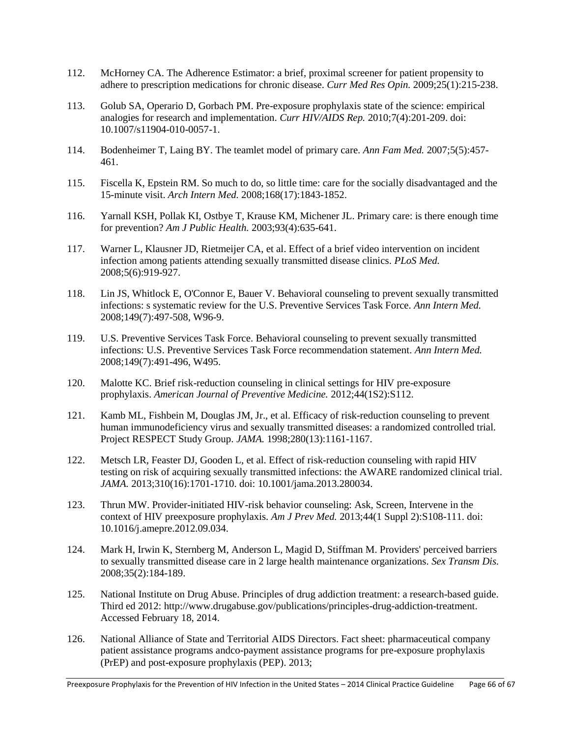- 112. McHorney CA. The Adherence Estimator: a brief, proximal screener for patient propensity to adhere to prescription medications for chronic disease. *Curr Med Res Opin.* 2009;25(1):215-238.
- 113. Golub SA, Operario D, Gorbach PM. Pre-exposure prophylaxis state of the science: empirical analogies for research and implementation. *Curr HIV/AIDS Rep.* 2010;7(4):201-209. doi: 10.1007/s11904-010-0057-1.
- 114. Bodenheimer T, Laing BY. The teamlet model of primary care. *Ann Fam Med.* 2007;5(5):457- 461.
- 115. Fiscella K, Epstein RM. So much to do, so little time: care for the socially disadvantaged and the 15-minute visit. *Arch Intern Med.* 2008;168(17):1843-1852.
- 116. Yarnall KSH, Pollak KI, Ostbye T, Krause KM, Michener JL. Primary care: is there enough time for prevention? *Am J Public Health.* 2003;93(4):635-641.
- 117. Warner L, Klausner JD, Rietmeijer CA, et al. Effect of a brief video intervention on incident infection among patients attending sexually transmitted disease clinics. *PLoS Med.*  2008;5(6):919-927.
- 118. Lin JS, Whitlock E, O'Connor E, Bauer V. Behavioral counseling to prevent sexually transmitted infections: s systematic review for the U.S. Preventive Services Task Force. *Ann Intern Med.*  2008;149(7):497-508, W96-9.
- 119. U.S. Preventive Services Task Force. Behavioral counseling to prevent sexually transmitted infections: U.S. Preventive Services Task Force recommendation statement. *Ann Intern Med.*  2008;149(7):491-496, W495.
- 120. Malotte KC. Brief risk-reduction counseling in clinical settings for HIV pre-exposure prophylaxis. *American Journal of Preventive Medicine.* 2012;44(1S2):S112.
- 121. Kamb ML, Fishbein M, Douglas JM, Jr., et al. Efficacy of risk-reduction counseling to prevent human immunodeficiency virus and sexually transmitted diseases: a randomized controlled trial. Project RESPECT Study Group. *JAMA.* 1998;280(13):1161-1167.
- 122. Metsch LR, Feaster DJ, Gooden L, et al. Effect of risk-reduction counseling with rapid HIV testing on risk of acquiring sexually transmitted infections: the AWARE randomized clinical trial. *JAMA.* 2013;310(16):1701-1710. doi: 10.1001/jama.2013.280034.
- 123. Thrun MW. Provider-initiated HIV-risk behavior counseling: Ask, Screen, Intervene in the context of HIV preexposure prophylaxis. *Am J Prev Med.* 2013;44(1 Suppl 2):S108-111. doi: 10.1016/j.amepre.2012.09.034.
- 124. Mark H, Irwin K, Sternberg M, Anderson L, Magid D, Stiffman M. Providers' perceived barriers to sexually transmitted disease care in 2 large health maintenance organizations. *Sex Transm Dis.*  2008;35(2):184-189.
- 125. National Institute on Drug Abuse. Principles of drug addiction treatment: a research-based guide. Third ed 2012: http://www.drugabuse.gov/publications/principles-drug-addiction-treatment. Accessed February 18, 2014.
- 126. National Alliance of State and Territorial AIDS Directors. Fact sheet: pharmaceutical company patient assistance programs andco-payment assistance programs for pre-exposure prophylaxis (PrEP) and post-exposure prophylaxis (PEP). 2013;

Preexposure Prophylaxis for the Prevention of HIV Infection in the United States – 2014 Clinical Practice Guideline Page 66 of 67